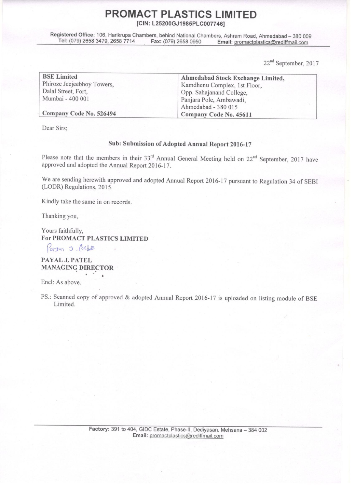[CIN: L25200GJ1985PLC007746]

Registered Office: 106, Harikrupa Chambers, behind National Chambers, Ashram Road, Ahmedabad - 380 009 Tel: (079) 2658 3479, 2658 7714 Fax: (079) 2658 0950 Email: promactplastics@rediffmail.com

22<sup>nd</sup> September, 2017

| <b>BSE Limited</b>         | Ahmedabad Stock Exchange Limited, |
|----------------------------|-----------------------------------|
| Phiroze Jeejeebhoy Towers, | Kamdhenu Complex, 1st Floor,      |
| Dalal Street, Fort,        | Opp. Sahajanand College,          |
| Mumbai - 400 001           | Panjara Pole, Ambawadi,           |
|                            | Ahmedabad - 380 015               |
| Company Code No. 526494    | Company Code No. 45611            |

Dear Sirs:

## Sub: Submission of Adopted Annual Report 2016-17

Please note that the members in their 33<sup>rd</sup> Annual General Meeting held on 22<sup>nd</sup> September, 2017 have approved and adopted the Annual Report 2016-17.

We are sending herewith approved and adopted Annual Report 2016-17 pursuant to Regulation 34 of SEBI (LODR) Regulations, 2015.

Kindly take the same in on records.

Thanking you,

Yours faithfully, **For PROMACT PLASTICS LIMITED** 

 $P_{q3q_1}$  3.  $q42$ 

PAYAL J. PATEL **MANAGING DIRECTOR** 

Encl: As above.

PS.: Scanned copy of approved & adopted Annual Report 2016-17 is uploaded on listing module of BSE Limited.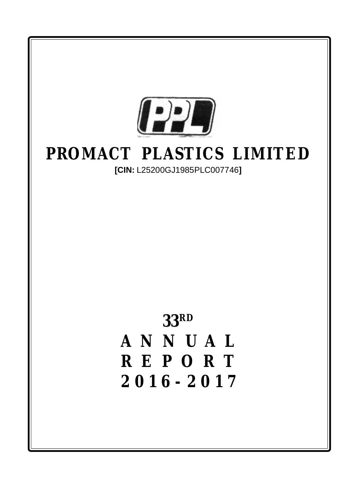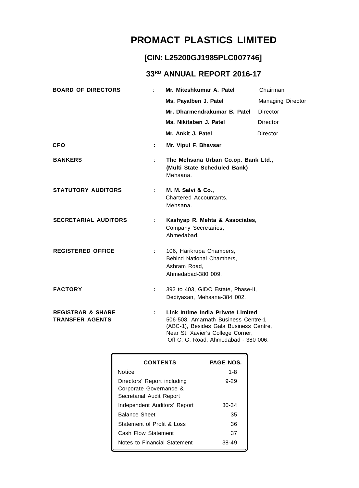## **[CIN: L25200GJ1985PLC007746]**

## **RD 33 ANNUAL REPORT 2016-17**

| <b>BOARD OF DIRECTORS</b>                              |    | Mr. Miteshkumar A. Patel                                                                                                                                                                        | Chairman                 |
|--------------------------------------------------------|----|-------------------------------------------------------------------------------------------------------------------------------------------------------------------------------------------------|--------------------------|
|                                                        |    | Ms. Payalben J. Patel                                                                                                                                                                           | <b>Managing Director</b> |
|                                                        |    | Mr. Dharmendrakumar B. Patel                                                                                                                                                                    | Director                 |
|                                                        |    | Ms. Nikitaben J. Patel                                                                                                                                                                          | Director                 |
|                                                        |    | Mr. Ankit J. Patel                                                                                                                                                                              | Director                 |
| <b>CFO</b>                                             | ÷  | Mr. Vipul F. Bhavsar                                                                                                                                                                            |                          |
| <b>BANKERS</b>                                         |    | The Mehsana Urban Co.op. Bank Ltd.,<br>(Multi State Scheduled Bank)<br>Mehsana.                                                                                                                 |                          |
| <b>STATUTORY AUDITORS</b>                              | t. | M. M. Salvi & Co.,<br>Chartered Accountants,<br>Mehsana.                                                                                                                                        |                          |
| <b>SECRETARIAL AUDITORS</b>                            |    | Kashyap R. Mehta & Associates,<br>Company Secretaries,<br>Ahmedabad.                                                                                                                            |                          |
| <b>REGISTERED OFFICE</b>                               | t. | 106, Harikrupa Chambers,<br>Behind National Chambers,<br>Ashram Road,<br>Ahmedabad-380 009.                                                                                                     |                          |
| <b>FACTORY</b>                                         | ÷  | 392 to 403, GIDC Estate, Phase-II,<br>Dediyasan, Mehsana-384 002.                                                                                                                               |                          |
| <b>REGISTRAR &amp; SHARE</b><br><b>TRANSFER AGENTS</b> | ÷. | Link Intime India Private Limited<br>506-508, Amarnath Business Centre-1<br>(ABC-1), Besides Gala Business Centre,<br>Near St. Xavier's College Corner,<br>Off C. G. Road, Ahmedabad - 380 006. |                          |

| <b>CONTENTS</b>                                                                   | <b>PAGE NOS.</b> |
|-----------------------------------------------------------------------------------|------------------|
| <b>Notice</b>                                                                     | $1 - 8$          |
| Directors' Report including<br>Corporate Governance &<br>Secretarial Audit Report | $9 - 29$         |
| Independent Auditors' Report                                                      | 30-34            |
| <b>Balance Sheet</b>                                                              | 35               |
| Statement of Profit & Loss                                                        | 36               |
| Cash Flow Statement                                                               | 37               |
| Notes to Financial Statement                                                      | 38-49            |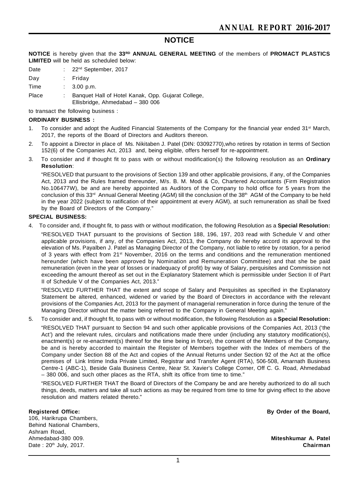## **NOTICE**

**NO RD TICE** is hereby given that the **33 ANNUAL GENERAL MEETING** of the members of **PROMACT PLASTICS LIMITED** will be held as scheduled below:

| Date |  | 22 <sup>nd</sup> September, 2017 |  |
|------|--|----------------------------------|--|
|      |  |                                  |  |

Day : Friday

#### Time : 3.00 p.m.

Place : Banquet Hall of Hotel Kanak, Opp. Gujarat College, Ellisbridge, Ahmedabad – 380 006

to transact the following business :

## **ORDINARY BUSINESS :**

- 1. To consider and adopt the Audited Financial Statements of the Company for the financial year ended  $31<sup>st</sup>$  March, 2017, the reports of the Board of Directors and Auditors thereon.
- 2. To appoint a Director in place of Ms. Nikitaben J. Patel (DIN: 03092770),who retires by rotation in terms of Section 152(6) of the Companies Act, 2013 and, being eligible, offers herself for re-appointment.
- 3. To consider and if thought fit to pass with or without modification(s) the following resolution as an **Ordinary Resolution**:

"RESOLVED that pursuant to the provisions of Section 139 and other applicable provisions, if any, of the Companies Act, 2013 and the Rules framed thereunder, M/s. B. M. Modi & Co, Chartered Accountants (Firm Registration No.106477W), be and are hereby appointed as Auditors of the Company to hold office for 5 years from the conclusion of this 33<sup>rd</sup> Annual General Meeting (AGM) till the conclusion of the 38<sup>th</sup> AGM of the Company to be held in the year 2022 (subject to ratification of their appointment at every AGM), at such remuneration as shall be fixed by the Board of Directors of the Company."

## **SPECIAL BUSINESS:**

4.To consider and, if thought fit, to pass with or without modification, the following Resolution as a **Special Resolution:**

"RESOLVED THAT pursuant to the provisions of Section 188, 196, 197, 203 read with Schedule V and other applicable provisions, if any, of the Companies Act, 2013, the Company do hereby accord its approval to the elevation of Ms. Payalben J. Patel as Managing Director of the Company, not liable to retire by rotation, for a period of 3 years with effect from 21<sup>st</sup> November, 2016 on the terms and conditions and the remuneration mentioned hereunder (which have been approved by Nomination and Remuneration Committee) and that she be paid remuneration (even in the year of losses or inadequacy of profit) by way of Salary, perquisites and Commission not exceeding the amount thereof as set out in the Explanatory Statement which is permissible under Section II of Part II of Schedule V of the Companies Act, 2013."

"RESOLVED FURTHER THAT the extent and scope of Salary and Perquisites as specified in the Explanatory Statement be altered, enhanced, widened or varied by the Board of Directors in accordance with the relevant provisions of the Companies Act, 2013 for the payment of managerial remuneration in force during the tenure of the Managing Director without the matter being referred to the Company in General Meeting again."

5. To consider and, if thought fit, to pass with or without modification, the following Resolution as a **Special Resolution:**

"RESOLVED THAT pursuant to Section 94 and such other applicable provisions of the Companies Act, 2013 ('the Act') and the relevant rules, circulars and notifications made there under (including any statutory modification(s), enactment(s) or re-enactment(s) thereof for the time being in force), the consent of the Members of the Company, be and is hereby accorded to maintain the Register of Members together with the Index of members of the Company under Section 88 of the Act and copies of the Annual Returns under Section 92 of the Act at the office premises of Link Intime India Private Limited, Registrar and Transfer Agent (RTA), 506-508, Amarnath Business Centre-1 (ABC-1), Beside Gala Business Centre, Near St. Xavier's College Corner, Off C. G. Road, Ahmedabad – 380 006, and such other places as the RTA, shift its office from time to time."

"RESOLVED FURTHER THAT the Board of Directors of the Company be and are hereby authorized to do all such things, deeds, matters and take all such actions as may be required from time to time for giving effect to the above resolution and matters related thereto."

106, Harikrupa Chambers, Behind National Chambers, Ashram Road, Ahmedabad-380 009. **Miteshkumar A. Patel** Date: 20<sup>th</sup> July, 2017. **Chairman Chairman Chairman Chairman Chairman** 

**Registered Office: By Order of the Board,**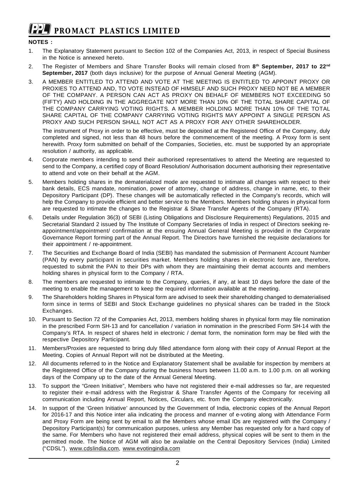## **NOTES :**

- 1. The Explanatory Statement pursuant to Section 102 of the Companies Act, 2013, in respect of Special Business in the Notice is annexed hereto.
- 2. The Register of Members and Share Transfer Books will remain closed from 8<sup>th</sup> September, 2017 to 22<sup>nd</sup> **September, 2017** (both days inclusive) for the purpose of Annual General Meeting (AGM).
- 3. A MEMBER ENTITLED TO ATTEND AND VOTE AT THE MEETING IS ENTITLED TO APPOINT PROXY OR PROXIES TO ATTEND AND, TO VOTE INSTEAD OF HIMSELF AND SUCH PROXY NEED NOT BE A MEMBER OF THE COMPANY. A PERSON CAN ACT AS PROXY ON BEHALF OF MEMBERS NOT EXCEEDING 50 (FIFTY) AND HOLDING IN THE AGGREGATE NOT MORE THAN 10% OF THE TOTAL SHARE CAPITAL OF THE COMPANY CARRYING VOTING RIGHTS. A MEMBER HOLDING MORE THAN 10% OF THE TOTAL SHARE CAPITAL OF THE COMPANY CARRYING VOTING RIGHTS MAY APPOINT A SINGLE PERSON AS PROXY AND SUCH PERSON SHALL NOT ACT AS A PROXY FOR ANY OTHER SHAREHOLDER.

The instrument of Proxy in order to be effective, must be deposited at the Registered Office of the Company, duly completed and signed, not less than 48 hours before the commencement of the meeting. A Proxy form is sent herewith. Proxy form submitted on behalf of the Companies, Societies, etc. must be supported by an appropriate resolution / authority, as applicable.

- 4. Corporate members intending to send their authorised representatives to attend the Meeting are requested to send to the Company, a certified copy of Board Resolution/ Authorisation document authorising their representative to attend and vote on their behalf at the AGM.
- 5. Members holding shares in the dematerialized mode are requested to intimate all changes with respect to their bank details, ECS mandate, nomination, power of attorney, change of address, change in name, etc, to their Depository Participant (DP). These changes will be automatically reflected in the Company's records, which will help the Company to provide efficient and better service to the Members. Members holding shares in physical form are requested to intimate the changes to the Registrar & Share Transfer Agents of the Company (RTA).
- 6. Details under Regulation 36(3) of SEBI (Listing Obligations and Disclosure Requirements) Regulations, 2015 and Secretarial Standard 2 issued by The Institute of Company Secretaries of India in respect of Directors seeking reappointment/appointment/ confirmation at the ensuing Annual General Meeting is provided in the Corporate Governance Report forming part of the Annual Report. The Directors have furnished the requisite declarations for their appointment / re-appointment.
- 7. The Securities and Exchange Board of India (SEBI) has mandated the submission of Permanent Account Number (PAN) by every participant in securities market. Members holding shares in electronic form are, therefore, requested to submit the PAN to their DPs with whom they are maintaining their demat accounts and members holding shares in physical form to the Company / RTA.
- 8. The members are requested to intimate to the Company, queries, if any, at least 10 days before the date of the meeting to enable the management to keep the required information available at the meeting.
- 9. The Shareholders holding Shares in Physical form are advised to seek their shareholding changed to dematerialised form since in terms of SEBI and Stock Exchange guidelines no physical shares can be traded in the Stock Exchanges.
- 10. Pursuant to Section 72 of the Companies Act, 2013, members holding shares in physical form may file nomination in the prescribed Form SH-13 and for cancellation / variation in nomination in the prescribed Form SH-14 with the Company's RTA. In respect of shares held in electronic / demat form, the nomination form may be filed with the respective Depository Participant.
- 11. Members/Proxies are requested to bring duly filled attendance form along with their copy of Annual Report at the Meeting. Copies of Annual Report will not be distributed at the Meeting.
- 12. All documents referred to in the Notice and Explanatory Statement shall be available for inspection by members at the Registered Office of the Company during the business hours between 11.00 a.m. to 1.00 p.m. on all working days of the Company up to the date of the Annual General Meeting.
- 13. To support the "Green Initiative", Members who have not registered their e-mail addresses so far, are requested to register their e-mail address with the Registrar & Share Transfer Agents of the Company for receiving all communication including Annual Report, Notices, Circulars, etc. from the Company electronically.
- 14. In support of the 'Green Initiative' announced by the Government of India, electronic copies of the Annual Report for 2016-17 and this Notice inter alia indicating the process and manner of e-voting along with Attendance Form and Proxy Form are being sent by email to all the Members whose email IDs are registered with the Company / Depository Participant(s) for communication purposes, unless any Member has requested only for a hard copy of the same. For Members who have not registered their email address, physical copies will be sent to them in the permitted mode. The Notice of AGM will also be available on the Central Depository Services (India) Limited ("CDSL"), www.cdslindia.com, www.evotingindia.com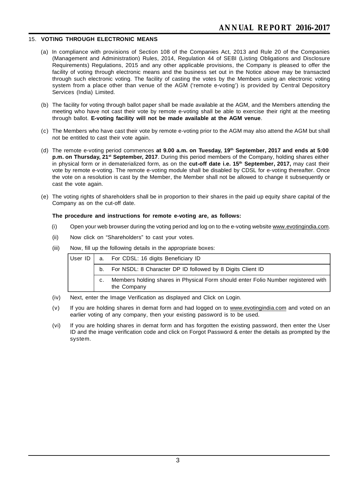## 15. **VOTING THROUGH ELECTRONIC MEANS**

- (a) In compliance with provisions of Section 108 of the Companies Act, 2013 and Rule 20 of the Companies (Management and Administration) Rules, 2014, Regulation 44 of SEBI (Listing Obligations and Disclosure Requirements) Regulations, 2015 and any other applicable provisions, the Company is pleased to offer the facility of voting through electronic means and the business set out in the Notice above may be transacted through such electronic voting. The facility of casting the votes by the Members using an electronic voting system from a place other than venue of the AGM ('remote e-voting') is provided by Central Depository Services (India) Limited.
- (b) The facility for voting through ballot paper shall be made available at the AGM, and the Members attending the meeting who have not cast their vote by remote e-voting shall be able to exercise their right at the meeting through ballot. **E-voting facility will not be made available at the AGM venue**.
- (c) The Members who have cast their vote by remote e-voting prior to the AGM may also attend the AGM but shall not be entitled to cast their vote again.
- **th** (d) The remote e-voting period commences **at 9.00 a.m. on Tuesday, 19 September, 2017 and ends at 5:00 st p.m. on Thursday, 21 September, 2017**. During this period members of the Company, holding shares either **th** in physical form or in dematerialized form, as on the **cut-off date i.e. 15 September, 2017,** may cast their vote by remote e-voting. The remote e-voting module shall be disabled by CDSL for e-voting thereafter. Once the vote on a resolution is cast by the Member, the Member shall not be allowed to change it subsequently or cast the vote again.
- (e) The voting rights of shareholders shall be in proportion to their shares in the paid up equity share capital of the Company as on the cut-off date.

#### **The procedure and instructions for remote e-voting are, as follows:**

- (i) Open your web browser during the voting period and log on to the e-voting website www.evotingindia.com.
- (ii) Now click on "Shareholders" to cast your votes.
- (iii) Now, fill up the following details in the appropriate boxes:

|    | User ID   a. For CDSL: 16 digits Beneficiary ID                                                  |
|----|--------------------------------------------------------------------------------------------------|
| b. | For NSDL: 8 Character DP ID followed by 8 Digits Client ID                                       |
| c. | Members holding shares in Physical Form should enter Folio Number registered with<br>the Company |

- (iv) Next, enter the Image Verification as displayed and Click on Login.
- (v) If you are holding shares in demat form and had logged on to www.evotingindia.com and voted on an earlier voting of any company, then your existing password is to be used.
- (vi) If you are holding shares in demat form and has forgotten the existing password, then enter the User ID and the image verification code and click on Forgot Password & enter the details as prompted by the system.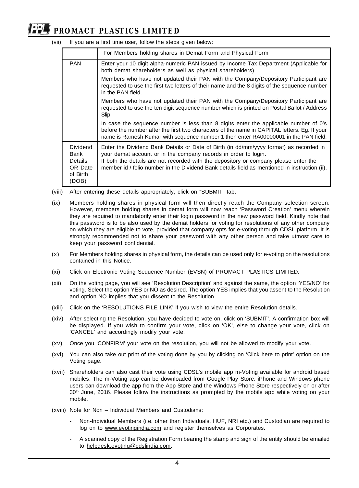#### (vii) If you are a first time user, follow the steps given below:

|                                                                    | For Members holding shares in Demat Form and Physical Form                                                                                                                                                                                                                                                                                         |
|--------------------------------------------------------------------|----------------------------------------------------------------------------------------------------------------------------------------------------------------------------------------------------------------------------------------------------------------------------------------------------------------------------------------------------|
| <b>PAN</b>                                                         | Enter your 10 digit alpha-numeric PAN issued by Income Tax Department (Applicable for<br>both demat shareholders as well as physical shareholders)                                                                                                                                                                                                 |
|                                                                    | Members who have not updated their PAN with the Company/Depository Participant are<br>requested to use the first two letters of their name and the 8 digits of the sequence number<br>in the PAN field.                                                                                                                                            |
|                                                                    | Members who have not updated their PAN with the Company/Depository Participant are<br>requested to use the ten digit sequence number which is printed on Postal Ballot / Address<br>Slip.                                                                                                                                                          |
|                                                                    | In case the sequence number is less than 8 digits enter the applicable number of 0's<br>before the number after the first two characters of the name in CAPITAL letters. Eq. If your<br>name is Ramesh Kumar with sequence number 1 then enter RA00000001 in the PAN field.                                                                        |
| Dividend<br>Bank<br><b>Details</b><br>OR Date<br>of Birth<br>(DOB) | Enter the Dividend Bank Details or Date of Birth (in dd/mm/yyyy format) as recorded in<br>your demat account or in the company records in order to login.<br>If both the details are not recorded with the depository or company please enter the<br>member id / folio number in the Dividend Bank details field as mentioned in instruction (ii). |

- (viii) After entering these details appropriately, click on "SUBMIT" tab.
- (ix) Members holding shares in physical form will then directly reach the Company selection screen. However, members holding shares in demat form will now reach 'Password Creation' menu wherein they are required to mandatorily enter their login password in the new password field. Kindly note that this password is to be also used by the demat holders for voting for resolutions of any other company on which they are eligible to vote, provided that company opts for e-voting through CDSL platform. It is strongly recommended not to share your password with any other person and take utmost care to keep your password confidential.
- (x) For Members holding shares in physical form, the details can be used only for e-voting on the resolutions contained in this Notice.
- (xi) Click on Electronic Voting Sequence Number (EVSN) of PROMACT PLASTICS LIMITED.
- (xii) On the voting page, you will see 'Resolution Description' and against the same, the option 'YES/NO' for voting. Select the option YES or NO as desired. The option YES implies that you assent to the Resolution and option NO implies that you dissent to the Resolution.
- (xiii) Click on the 'RESOLUTIONS FILE LINK' if you wish to view the entire Resolution details.
- (xiv) After selecting the Resolution, you have decided to vote on, click on 'SUBMIT'. A confirmation box will be displayed. If you wish to confirm your vote, click on 'OK', else to change your vote, click on 'CANCEL' and accordingly modify your vote.
- (xv) Once you 'CONFIRM' your vote on the resolution, you will not be allowed to modify your vote.
- (xvi) You can also take out print of the voting done by you by clicking on 'Click here to print' option on the Voting page.
- (xvii) Shareholders can also cast their vote using CDSL's mobile app m-Voting available for android based mobiles. The m-Voting app can be downloaded from Google Play Store. iPhone and Windows phone users can download the app from the App Store and the Windows Phone Store respectively on or after  $30<sup>th</sup>$  June, 2016. Please follow the instructions as prompted by the mobile app while voting on your mobile.
- (xviii) Note for Non Individual Members and Custodians:
	- Non-Individual Members (i.e. other than Individuals, HUF, NRI etc.) and Custodian are required to log on to www.evotingindia.com and register themselves as Corporates.
	- A scanned copy of the Registration Form bearing the stamp and sign of the entity should be emailed to helpdesk.evoting@cdslindia.com.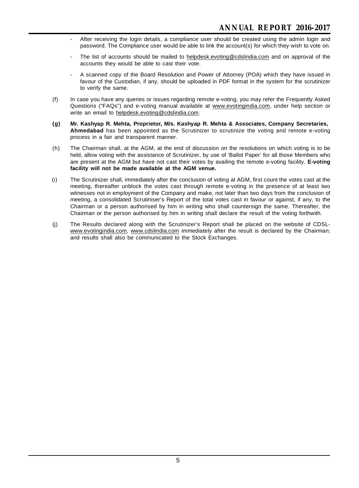- After receiving the login details, a compliance user should be created using the admin login and password. The Compliance user would be able to link the account(s) for which they wish to vote on.
- The list of accounts should be mailed to helpdesk.evoting@cdslindia.com and on approval of the accounts they would be able to cast their vote.
- A scanned copy of the Board Resolution and Power of Attorney (POA) which they have issued in favour of the Custodian, if any, should be uploaded in PDF format in the system for the scrutinizer to verify the same.
- (f) In case you have any queries or issues regarding remote e-voting, you may refer the Frequently Asked Questions ("FAQs") and e-voting manual available at www.evotingindia.com, under help section or write an email to helpdesk.evoting@cdslindia.com.
- **(g) Mr. Kashyap R. Mehta, Proprietor, M/s. Kashyap R. Mehta & Associates, Company Secretaries, Ahmedabad** has been appointed as the Scrutinizer to scrutinize the voting and remote e-voting process in a fair and transparent manner.
- (h) The Chairman shall, at the AGM, at the end of discussion on the resolutions on which voting is to be held, allow voting with the assistance of Scrutinizer, by use of 'Ballot Paper' for all those Members who are present at the AGM but have not cast their votes by availing the remote e-voting facility. **E-voting facility will not be made available at the AGM venue.**
- (i) The Scrutinizer shall, immediately after the conclusion of voting at AGM, first count the votes cast at the meeting, thereafter unblock the votes cast through remote e-voting in the presence of at least two witnesses not in employment of the Company and make, not later than two days from the conclusion of meeting, a consolidated Scrutiniser's Report of the total votes cast in favour or against, if any, to the Chairman or a person authorised by him in writing who shall countersign the same. Thereafter, the Chairman or the person authorised by him in writing shall declare the result of the voting forthwith.
- (j) The Results declared along with the Scrutinizer's Report shall be placed on the website of CDSLwww.evotingindia.com, www.cdslindia.com immediately after the result is declared by the Chairman; and results shall also be communicated to the Stock Exchanges.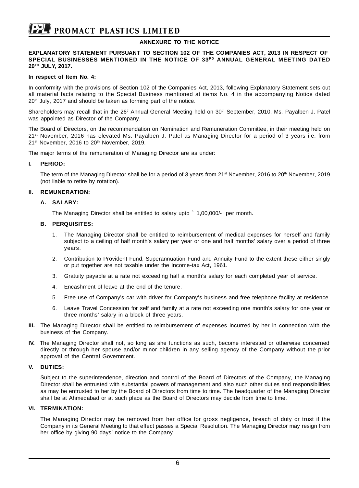## **ANNEXURE TO THE NOTICE**

#### **EXPLANATORY STATEMENT PURSUANT TO SECTION 102 OF THE COMPANIES ACT, 2013 IN RESPECT OF RD SPECIAL BUSINESSES MENTIONED IN THE NOTICE OF 33 ANNUAL GENERAL MEETING DATED TH 20 JULY, 2017.**

## **In respect of Item No. 4:**

In conformity with the provisions of Section 102 of the Companies Act, 2013, following Explanatory Statement sets out all material facts relating to the Special Business mentioned at items No. 4 in the accompanying Notice dated 20<sup>th</sup> July, 2017 and should be taken as forming part of the notice.

Shareholders may recall that in the 26<sup>th</sup> Annual General Meeting held on 30<sup>th</sup> September, 2010, Ms. Payalben J. Patel was appointed as Director of the Company.

The Board of Directors, on the recommendation on Nomination and Remuneration Committee, in their meeting held on 21<sup>st</sup> November, 2016 has elevated Ms. Payalben J. Patel as Managing Director for a period of 3 years i.e. from 21<sup>st</sup> November, 2016 to 20<sup>th</sup> November, 2019.

The major terms of the remuneration of Managing Director are as under:

## **I. PERIOD:**

The term of the Managing Director shall be for a period of 3 years from 21<sup>st</sup> November, 2016 to 20<sup>th</sup> November, 2019 (not liable to retire by rotation).

## **II. REMUNERATION:**

## **A. SALARY:**

The Managing Director shall be entitled to salary upto ` 1,00,000/- per month.

## **B. PERQUISITES:**

- 1. The Managing Director shall be entitled to reimbursement of medical expenses for herself and family subject to a ceiling of half month's salary per year or one and half months' salary over a period of three years.
- 2. Contribution to Provident Fund, Superannuation Fund and Annuity Fund to the extent these either singly or put together are not taxable under the Income-tax Act, 1961.
- 3. Gratuity payable at a rate not exceeding half a month's salary for each completed year of service.
- 4. Encashment of leave at the end of the tenure.
- 5. Free use of Company's car with driver for Company's business and free telephone facility at residence.
- 6. Leave Travel Concession for self and family at a rate not exceeding one month's salary for one year or three months' salary in a block of three years.
- **III.** The Managing Director shall be entitled to reimbursement of expenses incurred by her in connection with the business of the Company.
- **IV.** The Managing Director shall not, so long as she functions as such, become interested or otherwise concerned directly or through her spouse and/or minor children in any selling agency of the Company without the prior approval of the Central Government.

## **V. DUTIES:**

Subject to the superintendence, direction and control of the Board of Directors of the Company, the Managing Director shall be entrusted with substantial powers of management and also such other duties and responsibilities as may be entrusted to her by the Board of Directors from time to time. The headquarter of the Managing Director shall be at Ahmedabad or at such place as the Board of Directors may decide from time to time.

## **VI. TERMINATION:**

The Managing Director may be removed from her office for gross negligence, breach of duty or trust if the Company in its General Meeting to that effect passes a Special Resolution. The Managing Director may resign from her office by giving 90 days' notice to the Company.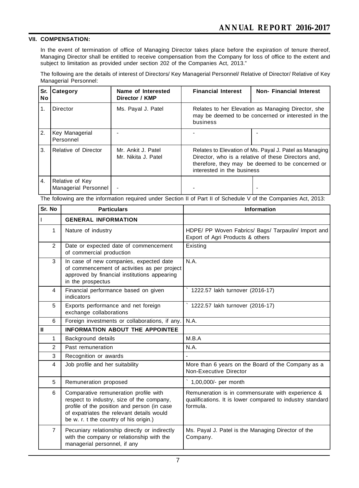## **VII. COMPENSATION:**

In the event of termination of office of Managing Director takes place before the expiration of tenure thereof, Managing Director shall be entitled to receive compensation from the Company for loss of office to the extent and subject to limitation as provided under section 202 of the Companies Act, 2013."

The following are the details of interest of Directors/ Key Managerial Personnel/ Relative of Director/ Relative of Key Managerial Personnel:

| Sr.<br>No | <b>Category</b>                                | Name of Interested<br>Director / KMP      | <b>Financial Interest</b>                                                                                            | <b>Non-Financial Interest</b>                                                                                                                                     |
|-----------|------------------------------------------------|-------------------------------------------|----------------------------------------------------------------------------------------------------------------------|-------------------------------------------------------------------------------------------------------------------------------------------------------------------|
| 1.        | Director                                       | Ms. Payal J. Patel                        | Relates to her Elevation as Managing Director, she<br>may be deemed to be concerned or interested in the<br>business |                                                                                                                                                                   |
| 2.        | Key Managerial<br>Personnel                    |                                           |                                                                                                                      |                                                                                                                                                                   |
| 3.        | Relative of Director                           | Mr. Ankit J. Patel<br>Mr. Nikita J. Patel | interested in the business                                                                                           | Relates to Elevation of Ms. Payal J. Patel as Managing<br>Director, who is a relative of these Directors and,<br>therefore, they may be deemed to be concerned or |
| 4.        | Relative of Key<br><b>Managerial Personnel</b> |                                           |                                                                                                                      |                                                                                                                                                                   |

The following are the information required under Section II of Part II of Schedule V of the Companies Act, 2013:

| Sr. No         | <b>Particulars</b>                                                                                                                                                                                                       | <b>Information</b>                                                                                                         |
|----------------|--------------------------------------------------------------------------------------------------------------------------------------------------------------------------------------------------------------------------|----------------------------------------------------------------------------------------------------------------------------|
|                | <b>GENERAL INFORMATION</b>                                                                                                                                                                                               |                                                                                                                            |
| $\mathbf{1}$   | Nature of industry                                                                                                                                                                                                       | HDPE/ PP Woven Fabrics/ Bags/ Tarpaulin/ Import and<br>Export of Agri Products & others                                    |
| $\overline{2}$ | Date or expected date of commencement<br>of commercial production                                                                                                                                                        | Existing                                                                                                                   |
| 3              | In case of new companies, expected date<br>of commencement of activities as per project<br>approved by financial institutions appearing<br>in the prospectus                                                             | N.A.                                                                                                                       |
| $\overline{4}$ | Financial performance based on given<br>indicators                                                                                                                                                                       | 1222.57 lakh turnover (2016-17)                                                                                            |
| 5              | Exports performance and net foreign<br>exchange collaborations                                                                                                                                                           | 1222.57 lakh turnover (2016-17)                                                                                            |
| 6              | Foreign investments or collaborations, if any.                                                                                                                                                                           | N.A.                                                                                                                       |
| $\mathbf{H}$   | <b>INFORMATION ABOUT THE APPOINTEE</b>                                                                                                                                                                                   |                                                                                                                            |
| $\mathbf{1}$   | Background details                                                                                                                                                                                                       | M.B.A                                                                                                                      |
| 2              | Past remuneration                                                                                                                                                                                                        | N.A.                                                                                                                       |
| 3              | Recognition or awards                                                                                                                                                                                                    |                                                                                                                            |
| 4              | Job profile and her suitability                                                                                                                                                                                          | More than 6 years on the Board of the Company as a<br>Non-Executive Director                                               |
| 5              | Remuneration proposed                                                                                                                                                                                                    | 1,00,000/- per month                                                                                                       |
| 6              | Comparative remuneration profile with<br>respect to industry, size of the company,<br>profile of the position and person (in case<br>of expatriates the relevant details would<br>be w. r. t the country of his origin.) | Remuneration is in commensurate with experience &<br>qualifications. It is lower compared to industry standard<br>formula. |
| $\overline{7}$ | Pecuniary relationship directly or indirectly<br>with the company or relationship with the<br>managerial personnel, if any                                                                                               | Ms. Payal J. Patel is the Managing Director of the<br>Company.                                                             |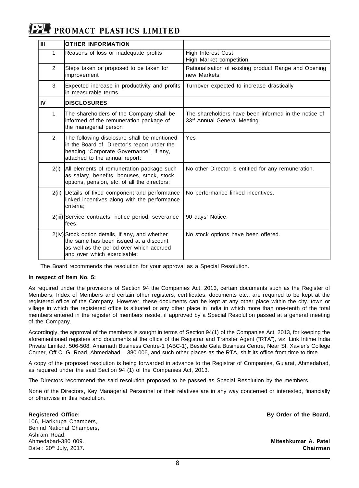| $\mathbf{III}$ |                                                                                                               | <b>OTHER INFORMATION</b>                                                                                                                                                |                                                                                                  |
|----------------|---------------------------------------------------------------------------------------------------------------|-------------------------------------------------------------------------------------------------------------------------------------------------------------------------|--------------------------------------------------------------------------------------------------|
|                | $\mathbf{1}$                                                                                                  | Reasons of loss or inadequate profits                                                                                                                                   | <b>High Interest Cost</b><br>High Market competition                                             |
|                | $\overline{2}$                                                                                                | Steps taken or proposed to be taken for<br>improvement                                                                                                                  | Rationalisation of existing product Range and Opening<br>new Markets                             |
|                | 3                                                                                                             | Expected increase in productivity and profits<br>in measurable terms                                                                                                    | Turnover expected to increase drastically                                                        |
| IV             |                                                                                                               | <b>IDISCLOSURES</b>                                                                                                                                                     |                                                                                                  |
|                | $\mathbf{1}$                                                                                                  | The shareholders of the Company shall be<br>informed of the remuneration package of<br>the managerial person                                                            | The shareholders have been informed in the notice of<br>33 <sup>rd</sup> Annual General Meeting. |
|                | $\overline{2}$                                                                                                | The following disclosure shall be mentioned<br>in the Board of Director's report under the<br>heading "Corporate Governance", if any,<br>attached to the annual report: | Yes                                                                                              |
|                | 2(i)                                                                                                          | All elements of remuneration package such<br>as salary, benefits, bonuses, stock, stock<br>options, pension, etc, of all the directors;                                 | No other Director is entitled for any remuneration.                                              |
|                | 2(ii) Details of fixed component and performance<br>linked incentives along with the performance<br>criteria: |                                                                                                                                                                         | No performance linked incentives.                                                                |
|                | 2(iii) Service contracts, notice period, severance<br>fees:                                                   |                                                                                                                                                                         | 90 days' Notice.                                                                                 |
|                |                                                                                                               | 2(iv) Stock option details, if any, and whether<br>the same has been issued at a discount<br>as well as the period over which accrued<br>and over which exercisable;    | No stock options have been offered.                                                              |

The Board recommends the resolution for your approval as a Special Resolution.

## **In respect of Item No. 5:**

As required under the provisions of Section 94 the Companies Act, 2013, certain documents such as the Register of Members, Index of Members and certain other registers, certificates, documents etc., are required to be kept at the registered office of the Company. However, these documents can be kept at any other place within the city, town or village in which the registered office is situated or any other place in India in which more than one-tenth of the total members entered in the register of members reside, if approved by a Special Resolution passed at a general meeting of the Company.

Accordingly, the approval of the members is sought in terms of Section 94(1) of the Companies Act, 2013, for keeping the aforementioned registers and documents at the office of the Registrar and Transfer Agent ("RTA"), viz. Link Intime India Private Limited, 506-508, Amarnath Business Centre-1 (ABC-1), Beside Gala Business Centre, Near St. Xavier's College Corner, Off C. G. Road, Ahmedabad – 380 006, and such other places as the RTA, shift its office from time to time.

A copy of the proposed resolution is being forwarded in advance to the Registrar of Companies, Gujarat, Ahmedabad, as required under the said Section 94 (1) of the Companies Act, 2013.

The Directors recommend the said resolution proposed to be passed as Special Resolution by the members.

None of the Directors, Key Managerial Personnel or their relatives are in any way concerned or interested, financially or otherwise in this resolution.

**Registered Office: By Order of the Board,** 106, Harikrupa Chambers, Behind National Chambers, Ashram Road, Ahmedabad-380 009. **Miteshkumar A. Patel** Date: 20<sup>th</sup> July, 2017. **Chairman Chairman Chairman Chairman**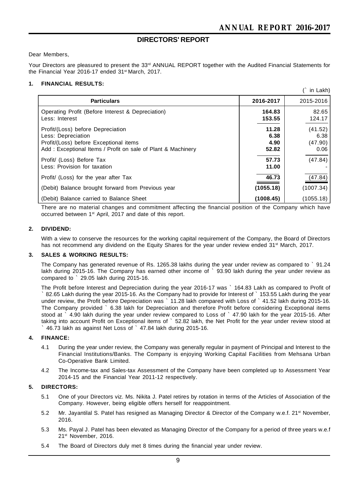$(x - 1)$  in Lakh  $(x - 1)$ 

## **DIRECTORS' REPORT**

Dear Members,

Your Directors are pleasured to present the 33<sup>rd</sup> ANNUAL REPORT together with the Audited Financial Statements for the Financial Year 2016-17 ended 31<sup>st</sup> March, 2017.

## **1. FINANCIAL RESULTS:**

|                                                                                                                                                                   |                                | in Lakh)                           |
|-------------------------------------------------------------------------------------------------------------------------------------------------------------------|--------------------------------|------------------------------------|
| <b>Particulars</b>                                                                                                                                                | 2016-2017                      | 2015-2016                          |
| Operating Profit (Before Interest & Depreciation)<br>Less: Interest                                                                                               | 164.83<br>153.55               | 82.65<br>124.17                    |
| Profit/(Loss) before Depreciation<br>Less: Depreciation<br>Profit/(Loss) before Exceptional items<br>Add: Exceptional Items / Profit on sale of Plant & Machinery | 11.28<br>6.38<br>4.90<br>52.82 | (41.52)<br>6.38<br>(47.90)<br>0.06 |
| Profit/ (Loss) Before Tax<br>Less: Provision for taxation                                                                                                         | 57.73<br>11.00                 | (47.84)                            |
| Profit/ (Loss) for the year after Tax                                                                                                                             | 46.73                          | (47.84)                            |
| (Debit) Balance brought forward from Previous year                                                                                                                | (1055.18)                      | (1007.34)                          |
| (Debit) Balance carried to Balance Sheet                                                                                                                          | (1008.45)                      | (1055.18)                          |

There are no material changes and commitment affecting the financial position of the Company which have occurred between 1<sup>st</sup> April, 2017 and date of this report.

## **2. DIVIDEND:**

With a view to conserve the resources for the working capital requirement of the Company, the Board of Directors has not recommend any dividend on the Equity Shares for the year under review ended 31<sup>st</sup> March, 2017.

## **3. SALES & WORKING RESULTS:**

The Company has generated revenue of Rs. 1265.38 lakhs during the year under review as compared to ` 91.24 lakh during 2015-16. The Company has earned other income of ` 93.90 lakh during the year under review as compared to ` 29.05 lakh during 2015-16.

The Profit before Interest and Depreciation during the year 2016-17 was ` 164.83 Lakh as compared to Profit of ` 82.65 Lakh during the year 2015-16. As the Company had to provide for Interest of ` 153.55 Lakh during the year under review, the Profit before Depreciation was ` 11.28 lakh compared with Loss of ` 41.52 lakh during 2015-16. The Company provided ` 6.38 lakh for Depreciation and therefore Profit before considering Exceptional items stood at ` 4.90 lakh during the year under review compared to Loss of ` 47.90 lakh for the year 2015-16. After taking into account Profit on Exceptional items of ` 52.82 lakh, the Net Profit for the year under review stood at  $\degree$  46.73 lakh as against Net Loss of  $\degree$  47.84 lakh during 2015-16.

## **4. FINANCE:**

- 4.1 During the year under review, the Company was generally regular in payment of Principal and Interest to the Financial Institutions/Banks. The Company is enjoying Working Capital Facilities from Mehsana Urban Co-Operative Bank Limited.
- 4.2 The Income-tax and Sales-tax Assessment of the Company have been completed up to Assessment Year 2014-15 and the Financial Year 2011-12 respectively.

## **5. DIRECTORS:**

- 5.1 One of your Directors viz. Ms. Nikita J. Patel retires by rotation in terms of the Articles of Association of the Company. However, being eligible offers herself for reappointment.
- 5.2 Mr. Jayantilal S. Patel has resigned as Managing Director & Director of the Company w.e.f. 21<sup>st</sup> November, 2016.
- 5.3 Ms. Payal J. Patel has been elevated as Managing Director of the Company for a period of three years w.e.f 21<sup>st</sup> November, 2016.
- 5.4 The Board of Directors duly met 8 times during the financial year under review.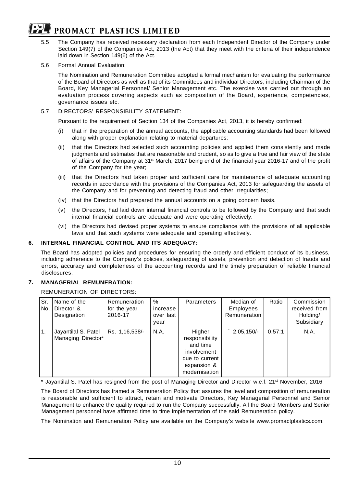- 5.5 The Company has received necessary declaration from each Independent Director of the Company under Section 149(7) of the Companies Act, 2013 (the Act) that they meet with the criteria of their independence laid down in Section 149(6) of the Act.
- 5.6 Formal Annual Evaluation:

The Nomination and Remuneration Committee adopted a formal mechanism for evaluating the performance of the Board of Directors as well as that of its Committees and individual Directors, including Chairman of the Board, Key Managerial Personnel/ Senior Management etc. The exercise was carried out through an evaluation process covering aspects such as composition of the Board, experience, competencies, governance issues etc.

## 5.7 DIRECTORS' RESPONSIBILITY STATEMENT:

Pursuant to the requirement of Section 134 of the Companies Act, 2013, it is hereby confirmed:

- (i) that in the preparation of the annual accounts, the applicable accounting standards had been followed along with proper explanation relating to material departures;
- (ii) that the Directors had selected such accounting policies and applied them consistently and made judgments and estimates that are reasonable and prudent, so as to give a true and fair view of the state of affairs of the Company at 31<sup>st</sup> March, 2017 being end of the financial year 2016-17 and of the profit of the Company for the year;
- (iii) that the Directors had taken proper and sufficient care for maintenance of adequate accounting records in accordance with the provisions of the Companies Act, 2013 for safeguarding the assets of the Company and for preventing and detecting fraud and other irregularities;
- (iv) that the Directors had prepared the annual accounts on a going concern basis.
- (v) the Directors, had laid down internal financial controls to be followed by the Company and that such internal financial controls are adequate and were operating effectively.
- (vi) the Directors had devised proper systems to ensure compliance with the provisions of all applicable laws and that such systems were adequate and operating effectively.

## **6. INTERNAL FINANCIAL CONTROL AND ITS ADEQUACY:**

The Board has adopted policies and procedures for ensuring the orderly and efficient conduct of its business, including adherence to the Company's policies, safeguarding of assets, prevention and detection of frauds and errors, accuracy and completeness of the accounting records and the timely preparation of reliable financial disclosures.

## **7. MANAGERIAL REMUNERATION:**

REMUNERATION OF DIRECTORS:

| lSr.<br>l No.  | Name of the<br>Director &<br>Designation  | Remuneration<br>for the year<br>2016-17 | $\%$<br>increase<br>over last<br>year | Parameters                                                                                            | Median of<br>Employees<br>Remuneration | Ratio  | Commission<br>received from<br>Holding/<br>Subsidiary |
|----------------|-------------------------------------------|-----------------------------------------|---------------------------------------|-------------------------------------------------------------------------------------------------------|----------------------------------------|--------|-------------------------------------------------------|
| $\mathbf{1}$ . | Jayantilal S. Patel<br>Managing Director* | Rs. 1,16,538/-                          | N.A.                                  | Higher<br>responsibility<br>and time<br>involvement<br>due to current<br>expansion &<br>modernisation | $2,05,150/-$                           | 0.57:1 | N.A.                                                  |

\* Jayantilal S. Patel has resigned from the post of Managing Director and Director w.e.f. 21<sup>st</sup> November, 2016

The Board of Directors has framed a Remuneration Policy that assures the level and composition of remuneration is reasonable and sufficient to attract, retain and motivate Directors, Key Managerial Personnel and Senior Management to enhance the quality required to run the Company successfully. All the Board Members and Senior Management personnel have affirmed time to time implementation of the said Remuneration policy.

The Nomination and Remuneration Policy are available on the Company's website www.promactplastics.com.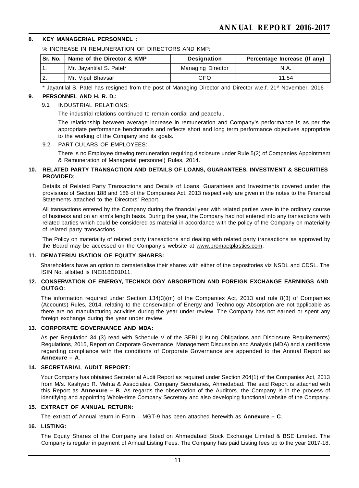## **8. KEY MANAGERIAL PERSONNEL :**

% INCREASE IN REMUNERATION OF DIRECTORS AND KMP:

| Sr. No. | Name of the Director & KMP | <b>Designation</b>       | Percentage Increase (If any) |
|---------|----------------------------|--------------------------|------------------------------|
|         | Mr. Jayantilal S. Patel*   | <b>Managing Director</b> | N.A.                         |
| ۷.      | Mr. Vipul Bhavsar          | CFO                      | 11.54                        |

\* Jayantilal S. Patel has resigned from the post of Managing Director and Director w.e.f. 21<sup>st</sup> November, 2016

## **9. PERSONNEL AND H. R. D.:**

## 9.1 INDUSTRIAL RELATIONS:

The industrial relations continued to remain cordial and peaceful.

The relationship between average increase in remuneration and Company's performance is as per the appropriate performance benchmarks and reflects short and long term performance objectives appropriate to the working of the Company and its goals.

## 9.2 PARTICULARS OF EMPLOYEES:

There is no Employee drawing remuneration requiring disclosure under Rule 5(2) of Companies Appointment & Remuneration of Managerial personnel) Rules, 2014.

## **10. RELATED PARTY TRANSACTION AND DETAILS OF LOANS, GUARANTEES, INVESTMENT & SECURITIES PROVIDED:**

Details of Related Party Transactions and Details of Loans, Guarantees and Investments covered under the provisions of Section 188 and 186 of the Companies Act, 2013 respectively are given in the notes to the Financial Statements attached to the Directors' Report.

All transactions entered by the Company during the financial year with related parties were in the ordinary course of business and on an arm's length basis. During the year, the Company had not entered into any transactions with related parties which could be considered as material in accordance with the policy of the Company on materiality of related party transactions.

The Policy on materiality of related party transactions and dealing with related party transactions as approved by the Board may be accessed on the Company's website at www.promactplastics.com.

## **11. DEMATERIALISATION OF EQUITY SHARES:**

Shareholders have an option to dematerialise their shares with either of the depositories viz NSDL and CDSL. The ISIN No. allotted is INE818D01011.

## **12. CONSERVATION OF ENERGY, TECHNOLOGY ABSORPTION AND FOREIGN EXCHANGE EARNINGS AND OUTGO:**

The information required under Section 134(3)(m) of the Companies Act, 2013 and rule 8(3) of Companies (Accounts) Rules, 2014, relating to the conservation of Energy and Technology Absorption are not applicable as there are no manufacturing activities during the year under review. The Company has not earned or spent any foreign exchange during the year under review.

## **13. CORPORATE GOVERNANCE AND MDA:**

As per Regulation 34 (3) read with Schedule V of the SEBI (Listing Obligations and Disclosure Requirements) Regulations, 2015, Report on Corporate Governance, Management Discussion and Analysis (MDA) and a certificate regarding compliance with the conditions of Corporate Governance are appended to the Annual Report as **Annexure – A**.

## **14. SECRETARIAL AUDIT REPORT:**

Your Company has obtained Secretarial Audit Report as required under Section 204(1) of the Companies Act, 2013 from M/s. Kashyap R. Mehta & Associates, Company Secretaries, Ahmedabad. The said Report is attached with this Report as **Annexure – B**. As regards the observation of the Auditors, the Company is in the process of identifying and appointing Whole-time Company Secretary and also developing functional website of the Company.

## **15. EXTRACT OF ANNUAL RETURN:**

The extract of Annual return in Form – MGT-9 has been attached herewith as **Annexure – C**.

## **16. LISTING:**

The Equity Shares of the Company are listed on Ahmedabad Stock Exchange Limited & BSE Limited. The Company is regular in payment of Annual Listing Fees. The Company has paid Listing fees up to the year 2017-18.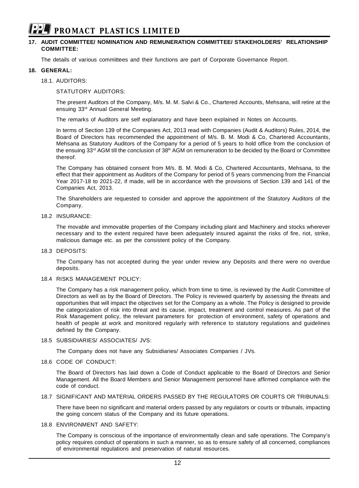#### **17. AUDIT COMMITTEE/ NOMINATION AND REMUNERATION COMMITTEE/ STAKEHOLDERS' RELATIONSHIP COMMITTEE:**

The details of various committees and their functions are part of Corporate Governance Report.

#### **18. GENERAL:**

18.1. AUDITORS:

STATUTORY AUDITORS:

The present Auditors of the Company, M/s. M. M. Salvi & Co., Chartered Accounts, Mehsana, will retire at the ensuing 33<sup>rd</sup> Annual General Meeting.

The remarks of Auditors are self explanatory and have been explained in Notes on Accounts.

In terms of Section 139 of the Companies Act, 2013 read with Companies (Audit & Auditors) Rules, 2014, the Board of Directors has recommended the appointment of M/s. B. M. Modi & Co, Chartered Accountants, Mehsana as Statutory Auditors of the Company for a period of 5 years to hold office from the conclusion of the ensuing 33<sup>rd</sup> AGM till the conclusion of 38<sup>th</sup> AGM on remuneration to be decided by the Board or Committee thereof.

The Company has obtained consent from M/s. B. M. Modi & Co, Chartered Accountants, Mehsana, to the effect that their appointment as Auditors of the Company for period of 5 years commencing from the Financial Year 2017-18 to 2021-22, if made, will be in accordance with the provisions of Section 139 and 141 of the Companies Act, 2013.

The Shareholders are requested to consider and approve the appointment of the Statutory Auditors of the Company.

#### 18.2 INSURANCE:

The movable and immovable properties of the Company including plant and Machinery and stocks wherever necessary and to the extent required have been adequately insured against the risks of fire, riot, strike, malicious damage etc. as per the consistent policy of the Company.

18.3 DEPOSITS:

The Company has not accepted during the year under review any Deposits and there were no overdue deposits.

#### 18.4 RISKS MANAGEMENT POLICY:

The Company has a risk management policy, which from time to time, is reviewed by the Audit Committee of Directors as well as by the Board of Directors. The Policy is reviewed quarterly by assessing the threats and opportunities that will impact the objectives set for the Company as a whole. The Policy is designed to provide the categorization of risk into threat and its cause, impact, treatment and control measures. As part of the Risk Management policy, the relevant parameters for protection of environment, safety of operations and health of people at work and monitored regularly with reference to statutory regulations and guidelines defined by the Company.

18.5 SUBSIDIARIES/ ASSOCIATES/ JVS:

The Company does not have any Subsidiaries/ Associates Companies / JVs.

#### 18.6 CODE OF CONDUCT:

The Board of Directors has laid down a Code of Conduct applicable to the Board of Directors and Senior Management. All the Board Members and Senior Management personnel have affirmed compliance with the code of conduct.

## 18.7 SIGNIFICANT AND MATERIAL ORDERS PASSED BY THE REGULATORS OR COURTS OR TRIBUNALS:

There have been no significant and material orders passed by any regulators or courts or tribunals, impacting the going concern status of the Company and its future operations.

#### 18.8 ENVIRONMENT AND SAFETY:

The Company is conscious of the importance of environmentally clean and safe operations. The Company's policy requires conduct of operations in such a manner, so as to ensure safety of all concerned, compliances of environmental regulations and preservation of natural resources.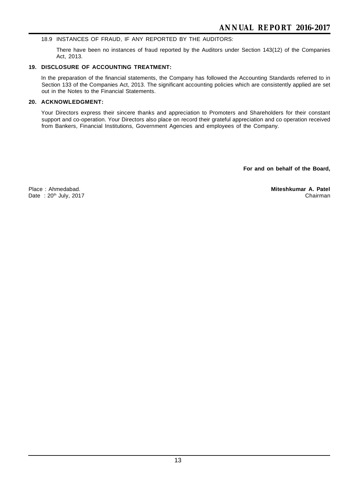## 18.9 INSTANCES OF FRAUD, IF ANY REPORTED BY THE AUDITORS:

There have been no instances of fraud reported by the Auditors under Section 143(12) of the Companies Act, 2013.

## **19. DISCLOSURE OF ACCOUNTING TREATMENT:**

In the preparation of the financial statements, the Company has followed the Accounting Standards referred to in Section 133 of the Companies Act, 2013. The significant accounting policies which are consistently applied are set out in the Notes to the Financial Statements.

## **20. ACKNOWLEDGMENT:**

Your Directors express their sincere thanks and appreciation to Promoters and Shareholders for their constant support and co-operation. Your Directors also place on record their grateful appreciation and co operation received from Bankers, Financial Institutions, Government Agencies and employees of the Company.

**For and on behalf of the Board,**

Place : Ahmedabad. **Miteshkumar A. Patel** Date : 20<sup>th</sup> July, 2017 **Chairman**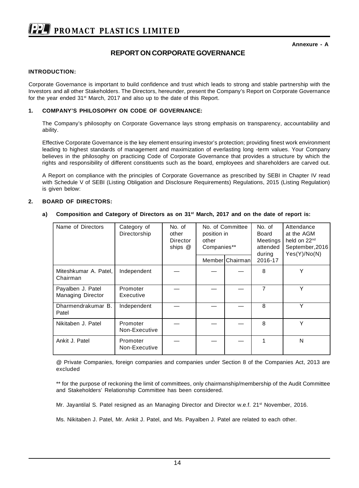**Annexure - A**

## **REPORT ON CORPORATE GOVERNANCE**

## **INTRODUCTION:**

Corporate Governance is important to build confidence and trust which leads to strong and stable partnership with the Investors and all other Stakeholders. The Directors, hereunder, present the Company's Report on Corporate Governance for the year ended 31<sup>st</sup> March, 2017 and also up to the date of this Report.

## **1. COMPANY'S PHILOSOPHY ON CODE OF GOVERNANCE:**

The Company's philosophy on Corporate Governance lays strong emphasis on transparency, accountability and ability.

Effective Corporate Governance is the key element ensuring investor's protection; providing finest work environment leading to highest standards of management and maximization of everlasting long -term values. Your Company believes in the philosophy on practicing Code of Corporate Governance that provides a structure by which the rights and responsibility of different constituents such as the board, employees and shareholders are carved out.

A Report on compliance with the principles of Corporate Governance as prescribed by SEBI in Chapter IV read with Schedule V of SEBI (Listing Obligation and Disclosure Requirements) Regulations, 2015 (Listing Regulation) is given below:

## **2. BOARD OF DIRECTORS:**

## **a) Com st position and Category of Directors as on 31 March, 2017 and on the date of report is:**

| Name of Directors                      | Category of<br>Directorship | No. of<br>other<br>Director<br>ships @ | No. of Committee<br>position in<br>other<br>Companies** |                 | No. of<br>Board<br>Meetings<br>attended<br>during | Attendance<br>at the AGM<br>held on 22 <sup>nd</sup><br>September, 2016<br>Yes(Y)/No(N) |
|----------------------------------------|-----------------------------|----------------------------------------|---------------------------------------------------------|-----------------|---------------------------------------------------|-----------------------------------------------------------------------------------------|
|                                        |                             |                                        |                                                         | Member Chairman | 2016-17                                           |                                                                                         |
| Miteshkumar A. Patel,<br>Chairman      | Independent                 |                                        |                                                         |                 | 8                                                 | Υ                                                                                       |
| Payalben J. Patel<br>Managing Director | Promoter<br>Executive       |                                        |                                                         |                 | 7                                                 |                                                                                         |
| Dharmendrakumar B.<br>Patel            | Independent                 |                                        |                                                         |                 | 8                                                 |                                                                                         |
| Nikitaben J. Patel                     | Promoter<br>Non-Executive   |                                        |                                                         |                 | 8                                                 | Υ                                                                                       |
| Ankit J. Patel                         | Promoter<br>Non-Executive   |                                        |                                                         |                 |                                                   | N                                                                                       |

@ Private Companies, foreign companies and companies under Section 8 of the Companies Act, 2013 are excluded

\*\* for the purpose of reckoning the limit of committees, only chairmanship/membership of the Audit Committee and Stakeholders' Relationship Committee has been considered.

Mr. Jayantilal S. Patel resigned as an Managing Director and Director w.e.f. 21<sup>st</sup> November, 2016.

Ms. Nikitaben J. Patel, Mr. Ankit J. Patel, and Ms. Payalben J. Patel are related to each other.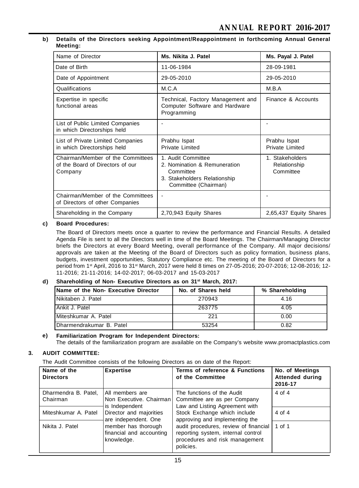#### **b) Details of the Directors seeking Appointment/Reappointment in forthcoming Annual General Meeting:**

| Name of Director                                                                 | Ms. Nikita J. Patel                                                                                                     | Ms. Payal J. Patel                           |
|----------------------------------------------------------------------------------|-------------------------------------------------------------------------------------------------------------------------|----------------------------------------------|
| Date of Birth                                                                    | 11-06-1984                                                                                                              | 28-09-1981                                   |
| Date of Appointment                                                              | 29-05-2010                                                                                                              | 29-05-2010                                   |
| Qualifications                                                                   | M.C.A                                                                                                                   | M.B.A                                        |
| Expertise in specific<br>functional areas                                        | Technical, Factory Management and<br>Computer Software and Hardware<br>Programming                                      | Finance & Accounts                           |
| List of Public Limited Companies<br>in which Directorships held                  | $\blacksquare$                                                                                                          |                                              |
| List of Private Limited Companies<br>in which Directorships held                 | Prabhu Ispat<br>Private Limited                                                                                         | Prabhu Ispat<br>Private Limited              |
| Chairman/Member of the Committees<br>of the Board of Directors of our<br>Company | 1. Audit Committee<br>2. Nomination & Remuneration<br>Committee<br>3. Stakeholders Relationship<br>Committee (Chairman) | 1. Stakeholders<br>Relationship<br>Committee |
| Chairman/Member of the Committees<br>of Directors of other Companies             | $\blacksquare$                                                                                                          |                                              |
| Shareholding in the Company                                                      | 2,70,943 Equity Shares                                                                                                  | 2,65,437 Equity Shares                       |

## **c) Board Procedures:**

The Board of Directors meets once a quarter to review the performance and Financial Results. A detailed Agenda File is sent to all the Directors well in time of the Board Meetings. The Chairman/Managing Director briefs the Directors at every Board Meeting, overall performance of the Company. All major decisions/ approvals are taken at the Meeting of the Board of Directors such as policy formation, business plans, budgets, investment opportunities, Statutory Compliance etc. The meeting of the Board of Directors for a period from 1<sup>st</sup> April, 2016 to 31<sup>st</sup> March, 2017 were held 8 times on 27-05-2016; 20-07-2016; 12-08-2016; 12-11-2016; 21-11-2016; 14-02-2017; 06-03-2017 and 15-03-2017

#### **d) st Shareholding of Non- Executive Directors as on 31 March, 2017:**

| <b>IName of the Non- Executive Director</b> | No. of Shares held | % Shareholding |
|---------------------------------------------|--------------------|----------------|
| INikitaben J. Patel                         | 270943             | 4.16           |
| Ankit J. Patel                              | 263775             | 4.05           |
| IMiteshkumar A. Patel                       | 221                | 0.00           |
| Dharmendrakumar B. Patel                    | 53254              | 0.82           |

## **e) Familiarization Program for Independent Directors:**

The details of the familiarization program are available on the Company's website www.promactplastics.com **3. AUDIT COMMITTEE:**

## The Audit Committee consists of the following Directors as on date of the Report:

| Name of the<br><b>Directors</b>  | <b>Expertise</b>                                               | Terms of reference & Functions<br>of the Committee                                                                         | No. of Meetings<br><b>Attended during</b><br>2016-17 |
|----------------------------------|----------------------------------------------------------------|----------------------------------------------------------------------------------------------------------------------------|------------------------------------------------------|
| Dharmendra B. Patel,<br>Chairman | I All members are<br>Non Executive, Chairman<br>is Independent | The functions of the Audit<br>Committee are as per Company<br>Law and Listing Agreement with                               | $4$ of $4$                                           |
| Miteshkumar A. Patel             | Director and majorities<br>are independent. One                | Stock Exchange which include<br>approving and implementing the                                                             | 4 of 4                                               |
| Nikita J. Patel                  | member has thorough<br>financial and accounting<br>knowledge.  | audit procedures, review of financial<br>reporting system, internal control<br>procedures and risk management<br>policies. | 1 of 1                                               |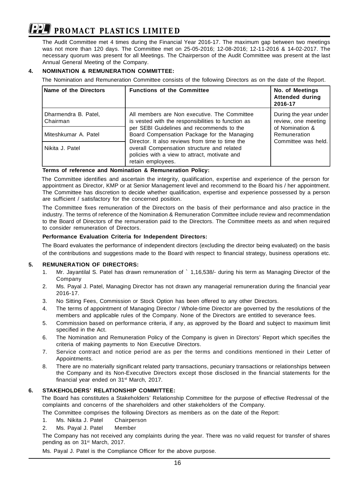The Audit Committee met 4 times during the Financial Year 2016-17. The maximum gap between two meetings was not more than 120 days. The Committee met on 25-05-2016; 12-08-2016; 12-11-2016 & 14-02-2017. The necessary quorum was present for all Meetings. The Chairperson of the Audit Committee was present at the last Annual General Meeting of the Company.

## **4. NOMINATION & REMUNERATION COMMITTEE:**

The Nomination and Remuneration Committee consists of the following Directors as on the date of the Report.

| Name of the Directors            | <b>Functions of the Committee</b>                                                                                                           | No. of Meetings<br><b>Attended during</b><br>2016-17   |
|----------------------------------|---------------------------------------------------------------------------------------------------------------------------------------------|--------------------------------------------------------|
| Dharmendra B. Patel,<br>Chairman | All members are Non executive. The Committee<br>is vested with the responsibilities to function as                                          | During the year under<br>review, one meeting           |
| Miteshkumar A. Patel             | per SEBI Guidelines and recommends to the<br>Board Compensation Package for the Managing<br>Director. It also reviews from time to time the | of Nomination &<br>Remuneration<br>Committee was held. |
| Nikita J. Patel                  | overall Compensation structure and related<br>policies with a view to attract, motivate and<br>retain employees.                            |                                                        |

## **Terms of reference and Nomination & Remuneration Policy:**

The Committee identifies and ascertain the integrity, qualification, expertise and experience of the person for appointment as Director, KMP or at Senior Management level and recommend to the Board his / her appointment. The Committee has discretion to decide whether qualification, expertise and experience possessed by a person are sufficient / satisfactory for the concerned position.

The Committee fixes remuneration of the Directors on the basis of their performance and also practice in the industry. The terms of reference of the Nomination & Remuneration Committee include review and recommendation to the Board of Directors of the remuneration paid to the Directors. The Committee meets as and when required to consider remuneration of Directors.

## **Performance Evaluation Criteria for Independent Directors:**

The Board evaluates the performance of independent directors (excluding the director being evaluated) on the basis of the contributions and suggestions made to the Board with respect to financial strategy, business operations etc.

## **5. REMUNERATION OF DIRECTORS:**

- 1. Mr. Jayantilal S. Patel has drawn remuneration of ` 1,16,538/- during his term as Managing Director of the Company
- 2. Ms. Payal J. Patel, Managing Director has not drawn any managerial remuneration during the financial year 2016-17.
- 3. No Sitting Fees, Commission or Stock Option has been offered to any other Directors.
- 4. The terms of appointment of Managing Director / Whole-time Director are governed by the resolutions of the members and applicable rules of the Company. None of the Directors are entitled to severance fees.
- 5. Commission based on performance criteria, if any, as approved by the Board and subject to maximum limit specified in the Act.
- 6. The Nomination and Remuneration Policy of the Company is given in Directors' Report which specifies the criteria of making payments to Non Executive Directors.
- 7. Service contract and notice period are as per the terms and conditions mentioned in their Letter of Appointments.
- 8. There are no materially significant related party transactions, pecuniary transactions or relationships between the Company and its Non-Executive Directors except those disclosed in the financial statements for the financial year ended on 31<sup>st</sup> March, 2017.

## **6. STAKEHOLDERS' RELATIONSHIP COMMITTEE:**

The Board has constitutes a Stakeholders' Relationship Committee for the purpose of effective Redressal of the complaints and concerns of the shareholders and other stakeholders of the Company.

The Committee comprises the following Directors as members as on the date of the Report:

- 1. Ms. Nikita J. Patel Chairperson
- 2. Ms. Payal J. Patel Member

The Company has not received any complaints during the year. There was no valid request for transfer of shares pending as on 31<sup>st</sup> March, 2017.

Ms. Payal J. Patel is the Compliance Officer for the above purpose.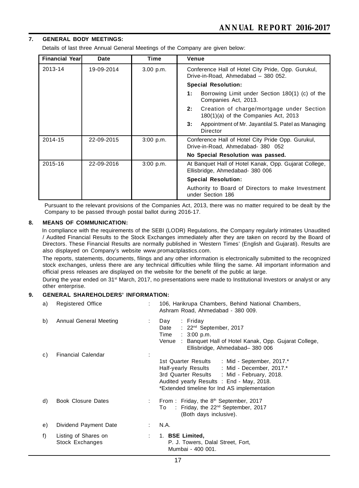## **7. GENERAL BODY MEETINGS:**

Details of last three Annual General Meetings of the Company are given below:

| <b>Financial Yearl</b> | Date       | Time        | Venue                                                                                     |
|------------------------|------------|-------------|-------------------------------------------------------------------------------------------|
| 2013-14                | 19-09-2014 | 3.00 p.m.   | Conference Hall of Hotel City Pride, Opp. Gurukul,<br>Drive-in-Road. Ahmedabad - 380 052. |
|                        |            |             | <b>Special Resolution:</b>                                                                |
|                        |            |             | 1:<br>Borrowing Limit under Section 180(1) (c) of the<br>Companies Act, 2013.             |
|                        |            |             | 2:<br>Creation of charge/mortgage under Section<br>180(1)(a) of the Companies Act, 2013   |
|                        |            |             | 3:<br>Appointment of Mr. Jayantilal S. Patel as Managing<br>Director                      |
| 2014-15                | 22-09-2015 | $3:00$ p.m. | Conference Hall of Hotel City Pride Opp. Gurukul,<br>Drive-in-Road. Ahmedabad- 380 052    |
|                        |            |             | No Special Resolution was passed.                                                         |
| 2015-16                | 22-09-2016 | $3:00$ p.m. | At Banquet Hall of Hotel Kanak, Opp. Gujarat College,<br>Ellisbridge, Ahmedabad- 380 006  |
|                        |            |             | <b>Special Resolution:</b>                                                                |
|                        |            |             | Authority to Board of Directors to make Investment<br>under Section 186                   |

Pursuant to the relevant provisions of the Companies Act, 2013, there was no matter required to be dealt by the Company to be passed through postal ballot during 2016-17.

## **8. MEANS OF COMMUNICATION:**

In compliance with the requirements of the SEBI (LODR) Regulations, the Company regularly intimates Unaudited / Audited Financial Results to the Stock Exchanges immediately after they are taken on record by the Board of Directors. These Financial Results are normally published in 'Western Times' (English and Gujarati). Results are also displayed on Company's website www.promactplastics.com.

The reports, statements, documents, filings and any other information is electronically submitted to the recognized stock exchanges, unless there are any technical difficulties while filing the same. All important information and official press releases are displayed on the website for the benefit of the public at large.

During the year ended on 31<sup>st</sup> March, 2017, no presentations were made to Institutional Investors or analyst or any other enterprise.

## **9. GENERAL SHAREHOLDERS' INFORMATION:**

| a) | <b>Registered Office</b>                |                              | 106, Harikrupa Chambers, Behind National Chambers,<br>Ashram Road, Ahmedabad - 380 009.                                                                                                                                                   |
|----|-----------------------------------------|------------------------------|-------------------------------------------------------------------------------------------------------------------------------------------------------------------------------------------------------------------------------------------|
| b) | Annual General Meeting                  | $\mathcal{L}_{\mathrm{max}}$ | : Friday<br>Day<br>$\therefore$ 22 <sup>nd</sup> September, 2017<br>Date<br>: 3:00 p.m.<br>Time<br>Venue : Banquet Hall of Hotel Kanak, Opp. Gujarat College,<br>Ellisbridge, Ahmedabad- 380 006                                          |
| C) | Financial Calendar                      |                              | 1st Quarter Results : Mid - September, 2017.*<br>Half-yearly Results : Mid - December, 2017.*<br>3rd Quarter Results : Mid - February, 2018.<br>Audited yearly Results : End - May, 2018.<br>*Extended timeline for Ind AS implementation |
| d) | <b>Book Closure Dates</b>               |                              | : From : Friday, the $8th$ September, 2017<br>To : Friday, the $22^{nd}$ September, 2017<br>(Both days inclusive).                                                                                                                        |
| e) | Dividend Payment Date                   |                              | N.A.                                                                                                                                                                                                                                      |
| f) | Listing of Shares on<br>Stock Exchanges | $\mathcal{L}^{\text{max}}$   | 1. BSE Limited,<br>P. J. Towers, Dalal Street, Fort,<br>Mumbai - 400 001.                                                                                                                                                                 |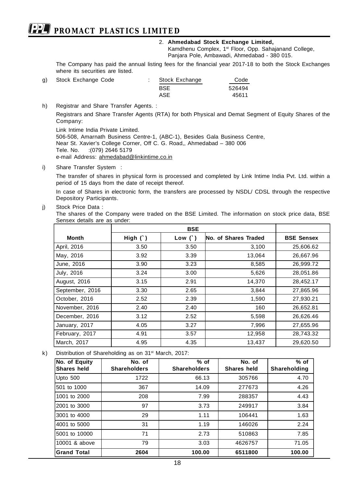#### 2. **Ahmedabad Stock Exchange Limited,**

Kamdhenu Complex, 1<sup>st</sup> Floor, Opp. Sahajanand College, Panjara Pole, Ambawadi, Ahmedabad - 380 015.

The Company has paid the annual listing fees for the financial year 2017-18 to both the Stock Exchanges where its securities are listed.

| g) | Stock Exchange Code | Stock Exchange | Code   |
|----|---------------------|----------------|--------|
|    |                     | <b>BSE</b>     | 526494 |
|    |                     | ASE            | 45611  |

h) Registrar and Share Transfer Agents. :

Registrars and Share Transfer Agents (RTA) for both Physical and Demat Segment of Equity Shares of the Company:

Link Intime India Private Limited. 506-508, Amarnath Business Centre-1, (ABC-1), Besides Gala Business Centre, Near St. Xavier's College Corner, Off C. G. Road,, Ahmedabad – 380 006 Tele. No. :(079) 2646 5179 e-mail Address: ahmedabad@linkintime.co.in

i) Share Transfer System :

The transfer of shares in physical form is processed and completed by Link Intime India Pvt. Ltd. within a period of 15 days from the date of receipt thereof.

In case of Shares in electronic form, the transfers are processed by NSDL/ CDSL through the respective Depository Participants.

#### j) Stock Price Data :

The shares of the Company were traded on the BSE Limited. The information on stock price data, BSE Sensex details are as under:

| Month           | High $($ ) | Low $( )$ | No. of Shares Traded | <b>BSE Sensex</b> |
|-----------------|------------|-----------|----------------------|-------------------|
| April, 2016     | 3.50       | 3.50      | 3,100                | 25,606.62         |
| May, 2016       | 3.92       | 3.39      | 13,064               | 26,667.96         |
| June, 2016      | 3.90       | 3.23      | 8,585                | 26,999.72         |
| July, 2016      | 3.24       | 3.00      | 5,626                | 28,051.86         |
| August, 2016    | 3.15       | 2.91      | 14,370               | 28,452.17         |
| September, 2016 | 3.30       | 2.65      | 3.844                | 27.865.96         |
| October, 2016   | 2.52       | 2.39      | 1,590                | 27,930.21         |
| November, 2016  | 2.40       | 2.40      | 160                  | 26.652.81         |
| December, 2016  | 3.12       | 2.52      | 5,598                | 26,626.46         |
| January, 2017   | 4.05       | 3.27      | 7,996                | 27,655.96         |
| February, 2017  | 4.91       | 3.57      | 12,958               | 28,743.32         |
| March, 2017     | 4.95       | 4.35      | 13,437               | 29,620.50         |

k) Distribution of Shareholding as on 31<sup>st</sup> March, 2017:

| No. of Equity<br>Shares held | No. of<br><b>Shareholders</b> | $%$ of<br><b>Shareholders</b> | No. of<br>Shares held | $%$ of<br>Shareholding |
|------------------------------|-------------------------------|-------------------------------|-----------------------|------------------------|
| Upto 500                     | 1722                          | 66.13                         | 305766                | 4.70                   |
| 501 to 1000                  | 367                           | 14.09                         | 277673                | 4.26                   |
| 1001 to 2000                 | 208                           | 7.99                          | 288357                | 4.43                   |
| 2001 to 3000                 | 97                            | 3.73                          | 249917                | 3.84                   |
| 3001 to 4000                 | 29                            | 1.11                          | 106441                | 1.63                   |
| 4001 to 5000                 | 31                            | 1.19                          | 146026                | 2.24                   |
| 5001 to 10000                | 71                            | 2.73                          | 510863                | 7.85                   |
| 10001 & above                | 79                            | 3.03                          | 4626757               | 71.05                  |
| <b>Grand Total</b>           | 2604                          | 100.00                        | 6511800               | 100.00                 |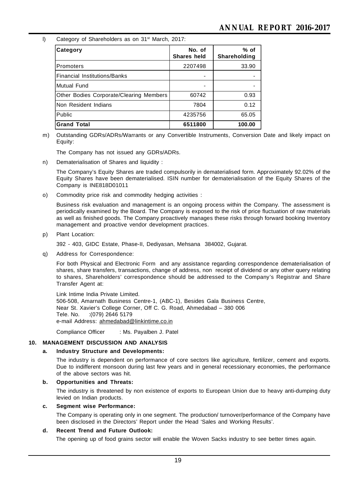l) Category of Shareholders as on  $31<sup>st</sup>$  March, 2017:

| Category                                | No. of<br><b>Shares held</b> | $%$ of<br>Shareholding |
|-----------------------------------------|------------------------------|------------------------|
| Promoters                               | 2207498                      | 33.90                  |
| <b>Financial Institutions/Banks</b>     |                              |                        |
| <b>Mutual Fund</b>                      |                              |                        |
| Other Bodies Corporate/Clearing Members | 60742                        | 0.93                   |
| Non Resident Indians                    | 7804                         | 0.12                   |
| Public                                  | 4235756                      | 65.05                  |
| <b>Grand Total</b>                      | 6511800                      | 100.00                 |

m) Outstanding GDRs/ADRs/Warrants or any Convertible Instruments, Conversion Date and likely impact on Equity:

The Company has not issued any GDRs/ADRs.

n) Dematerialisation of Shares and liquidity :

The Company's Equity Shares are traded compulsorily in dematerialised form. Approximately 92.02% of the Equity Shares have been dematerialised. ISIN number for dematerialisation of the Equity Shares of the Company is INE818D01011

o) Commodity price risk and commodity hedging activities :

Business risk evaluation and management is an ongoing process within the Company. The assessment is periodically examined by the Board. The Company is exposed to the risk of price fluctuation of raw materials as well as finished goods. The Company proactively manages these risks through forward booking Inventory management and proactive vendor development practices.

p) Plant Location:

392 - 403, GIDC Estate, Phase-II, Dediyasan, Mehsana 384002, Gujarat.

q) Address for Correspondence:

For both Physical and Electronic Form and any assistance regarding correspondence dematerialisation of shares, share transfers, transactions, change of address, non receipt of dividend or any other query relating to shares, Shareholders' correspondence should be addressed to the Company's Registrar and Share Transfer Agent at:

Link Intime India Private Limited. 506-508, Amarnath Business Centre-1, (ABC-1), Besides Gala Business Centre, Near St. Xavier's College Corner, Off C. G. Road, Ahmedabad – 380 006 Tele. No. :(079) 2646 5179 e-mail Address: ahmedabad@linkintime.co.in

Compliance Officer : Ms. Payalben J. Patel

## **10. MANAGEMENT DISCUSSION AND ANALYSIS**

#### **a. Industry Structure and Developments:**

The industry is dependent on performance of core sectors like agriculture, fertilizer, cement and exports. Due to indifferent monsoon during last few years and in general recessionary economies, the performance of the above sectors was hit.

#### **b. Opportunities and Threats:**

The industry is threatened by non existence of exports to European Union due to heavy anti-dumping duty levied on Indian products.

## **c. Segment wise Performance:**

The Company is operating only in one segment. The production/ turnover/performance of the Company have been disclosed in the Directors' Report under the Head 'Sales and Working Results'.

## **d. Recent Trend and Future Outlook:**

The opening up of food grains sector will enable the Woven Sacks industry to see better times again.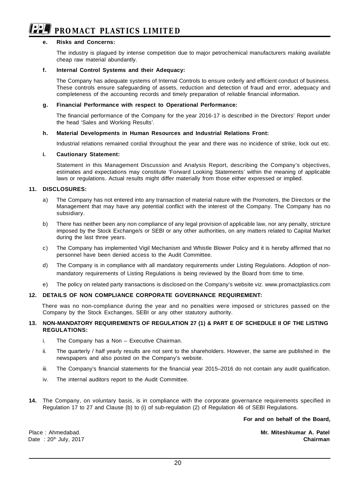## **e. Risks and Concerns:**

The industry is plagued by intense competition due to major petrochemical manufacturers making available cheap raw material abundantly.

## **f. Internal Control Systems and their Adequacy:**

The Company has adequate systems of Internal Controls to ensure orderly and efficient conduct of business. These controls ensure safeguarding of assets, reduction and detection of fraud and error, adequacy and completeness of the accounting records and timely preparation of reliable financial information.

## **g. Financial Performance with respect to Operational Performance:**

The financial performance of the Company for the year 2016-17 is described in the Directors' Report under the head 'Sales and Working Results'.

## **h. Material Developments in Human Resources and Industrial Relations Front:**

Industrial relations remained cordial throughout the year and there was no incidence of strike, lock out etc.

## **i. Cautionary Statement:**

Statement in this Management Discussion and Analysis Report, describing the Company's objectives, estimates and expectations may constitute 'Forward Looking Statements' within the meaning of applicable laws or regulations. Actual results might differ materially from those either expressed or implied.

## **11. DISCLOSURES:**

- a) The Company has not entered into any transaction of material nature with the Promoters, the Directors or the Management that may have any potential conflict with the interest of the Company. The Company has no subsidiary.
- b) There has neither been any non compliance of any legal provision of applicable law, nor any penalty, stricture imposed by the Stock Exchange/s or SEBI or any other authorities, on any matters related to Capital Market during the last three years.
- c) The Company has implemented Vigil Mechanism and Whistle Blower Policy and it is hereby affirmed that no personnel have been denied access to the Audit Committee.
- d) The Company is in compliance with all mandatory requirements under Listing Regulations. Adoption of nonmandatory requirements of Listing Regulations is being reviewed by the Board from time to time.
- e) The policy on related party transactions is disclosed on the Company's website viz. www.promactplastics.com

## **12. DETAILS OF NON COMPLIANCE CORPORATE GOVERNANCE REQUIREMENT:**

There was no non-compliance during the year and no penalties were imposed or strictures passed on the Company by the Stock Exchanges, SEBI or any other statutory authority.

## **13. NON-MANDATORY REQUIREMENTS OF REGULATION 27 (1) & PART E OF SCHEDULE II OF THE LISTING REGULATIONS:**

- i. The Company has a Non Executive Chairman.
- ii. The quarterly / half yearly results are not sent to the shareholders. However, the same are published in the newspapers and also posted on the Company's website.
- iii. The Company's financial statements for the financial year 2015–2016 do not contain any audit qualification.
- iv. The internal auditors report to the Audit Committee.
- **14.** The Company, on voluntary basis, is in compliance with the corporate governance requirements specified in Regulation 17 to 27 and Clause (b) to (i) of sub-regulation (2) of Regulation 46 of SEBI Regulations.

**For and on behalf of the Board,**

Place : Ahmedabad. **Mr. Miteshkumar A. Patel** Date : 20<sup>th</sup> July, 2017 **Chairman**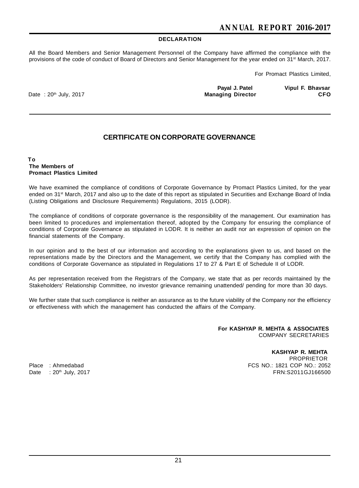## **DECLARATION**

All the Board Members and Senior Management Personnel of the Company have affirmed the compliance with the provisions of the code of conduct of Board of Directors and Senior Management for the year ended on 31<sup>st</sup> March, 2017.

For Promact Plastics Limited,

 **Payal J. Patel Vipul F. Bhavsar** Date : 20<sup>th</sup> July, 2017 **CFO CHO** 

## **CERTIFICATE ON CORPORATE GOVERNANCE**

#### **To The Members of Promact Plastics Limited**

We have examined the compliance of conditions of Corporate Governance by Promact Plastics Limited, for the year ended on 31<sup>st</sup> March, 2017 and also up to the date of this report as stipulated in Securities and Exchange Board of India (Listing Obligations and Disclosure Requirements) Regulations, 2015 (LODR).

The compliance of conditions of corporate governance is the responsibility of the management. Our examination has been limited to procedures and implementation thereof, adopted by the Company for ensuring the compliance of conditions of Corporate Governance as stipulated in LODR. It is neither an audit nor an expression of opinion on the financial statements of the Company.

In our opinion and to the best of our information and according to the explanations given to us, and based on the representations made by the Directors and the Management, we certify that the Company has complied with the conditions of Corporate Governance as stipulated in Regulations 17 to 27 & Part E of Schedule II of LODR.

As per representation received from the Registrars of the Company, we state that as per records maintained by the Stakeholders' Relationship Committee, no investor grievance remaining unattended/ pending for more than 30 days.

We further state that such compliance is neither an assurance as to the future viability of the Company nor the efficiency or effectiveness with which the management has conducted the affairs of the Company.

> **For KASHYAP R. MEHTA & ASSOCIATES** COMPANY SECRETARIES

**KASHYAP R. MEHTA** PROPRIETOR Place : Ahmedabad FCS NO.: 1821 COP NO.: 2052 FRN:S2011GJ166500

Date  $: 20<sup>th</sup>$  July, 2017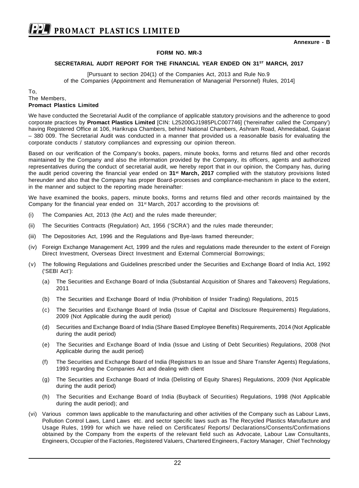## **FORM NO. MR-3**

## **ST SECRETARIAL AUDIT REPORT FOR THE FINANCIAL YEAR ENDED ON 31 MARCH, 2017**

[Pursuant to section 204(1) of the Companies Act, 2013 and Rule No.9 of the Companies (Appointment and Remuneration of Managerial Personnel) Rules, 2014]

#### To, The Members, **Promact Plastics Limited**

We have conducted the Secretarial Audit of the compliance of applicable statutory provisions and the adherence to good corporate practices by **Promact Plastics Limited** [CIN: L25200GJ1985PLC007746] ('hereinafter called the Company') having Registered Office at 106, Harikrupa Chambers, behind National Chambers, Ashram Road, Ahmedabad, Gujarat – 380 009. The Secretarial Audit was conducted in a manner that provided us a reasonable basis for evaluating the corporate conducts / statutory compliances and expressing our opinion thereon.

Based on our verification of the Company's books, papers, minute books, forms and returns filed and other records maintained by the Company and also the information provided by the Company, its officers, agents and authorized representatives during the conduct of secretarial audit, we hereby report that in our opinion, the Company has, during **st** the audit period covering the financial year ended on **31 March, 2017** complied with the statutory provisions listed hereunder and also that the Company has proper Board-processes and compliance-mechanism in place to the extent, in the manner and subject to the reporting made hereinafter:

We have examined the books, papers, minute books, forms and returns filed and other records maintained by the Company for the financial year ended on  $31<sup>st</sup>$  March, 2017 according to the provisions of:

- (i) The Companies Act, 2013 (the Act) and the rules made thereunder;
- (ii) The Securities Contracts (Regulation) Act, 1956 ('SCRA') and the rules made thereunder;
- (iii) The Depositories Act, 1996 and the Regulations and Bye-laws framed thereunder;
- (iv) Foreign Exchange Management Act, 1999 and the rules and regulations made thereunder to the extent of Foreign Direct Investment, Overseas Direct Investment and External Commercial Borrowings;
- (v) The following Regulations and Guidelines prescribed under the Securities and Exchange Board of India Act, 1992 ('SEBI Act'):
	- (a) The Securities and Exchange Board of India (Substantial Acquisition of Shares and Takeovers) Regulations, 2011
	- (b) The Securities and Exchange Board of India (Prohibition of Insider Trading) Regulations, 2015
	- (c) The Securities and Exchange Board of India (Issue of Capital and Disclosure Requirements) Regulations, 2009 (Not Applicable during the audit period)
	- (d) Securities and Exchange Board of India (Share Based Employee Benefits) Requirements, 2014 (Not Applicable during the audit period)
	- (e) The Securities and Exchange Board of India (Issue and Listing of Debt Securities) Regulations, 2008 (Not Applicable during the audit period)
	- (f) The Securities and Exchange Board of India (Registrars to an Issue and Share Transfer Agents) Regulations, 1993 regarding the Companies Act and dealing with client
	- (g) The Securities and Exchange Board of India (Delisting of Equity Shares) Regulations, 2009 (Not Applicable during the audit period)
	- (h) The Securities and Exchange Board of India (Buyback of Securities) Regulations, 1998 (Not Applicable during the audit period); and
- (vi) Various common laws applicable to the manufacturing and other activities of the Company such as Labour Laws, Pollution Control Laws, Land Laws etc. and sector specific laws such as The Recycled Plastics Manufacture and Usage Rules, 1999 for which we have relied on Certificates/ Reports/ Declarations/Consents/Confirmations obtained by the Company from the experts of the relevant field such as Advocate, Labour Law Consultants, Engineers, Occupier of the Factories, Registered Valuers, Chartered Engineers, Factory Manager, Chief Technology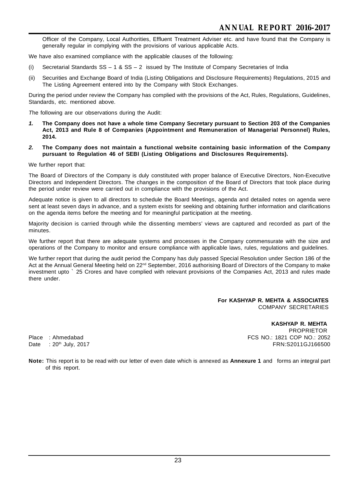Officer of the Company, Local Authorities, Effluent Treatment Adviser etc. and have found that the Company is generally regular in complying with the provisions of various applicable Acts.

We have also examined compliance with the applicable clauses of the following:

- (i) Secretarial Standards  $SS 1$  &  $SS 2$  issued by The Institute of Company Secretaries of India
- (ii) Securities and Exchange Board of India (Listing Obligations and Disclosure Requirements) Regulations, 2015 and The Listing Agreement entered into by the Company with Stock Exchanges.

During the period under review the Company has complied with the provisions of the Act, Rules, Regulations, Guidelines, Standards, etc. mentioned above.

The following are our observations during the Audit:

- **1. The Company does not have a whole time Company Secretary pursuant to Section 203 of the Companies Act, 2013 and Rule 8 of Companies (Appointment and Remuneration of Managerial Personnel) Rules, 2014.**
- **2. The Company does not maintain a functional website containing basic information of the Company pursuant to Regulation 46 of SEBI (Listing Obligations and Disclosures Requirements).**

We further report that:

The Board of Directors of the Company is duly constituted with proper balance of Executive Directors, Non-Executive Directors and Independent Directors. The changes in the composition of the Board of Directors that took place during the period under review were carried out in compliance with the provisions of the Act.

Adequate notice is given to all directors to schedule the Board Meetings, agenda and detailed notes on agenda were sent at least seven days in advance, and a system exists for seeking and obtaining further information and clarifications on the agenda items before the meeting and for meaningful participation at the meeting.

Majority decision is carried through while the dissenting members' views are captured and recorded as part of the minutes.

We further report that there are adequate systems and processes in the Company commensurate with the size and operations of the Company to monitor and ensure compliance with applicable laws, rules, regulations and guidelines.

We further report that during the audit period the Company has duly passed Special Resolution under Section 186 of the Act at the Annual General Meeting held on 22<sup>nd</sup> September, 2016 authorising Board of Directors of the Company to make investment upto ` 25 Crores and have complied with relevant provisions of the Companies Act, 2013 and rules made there under.

## **For KASHYAP R. MEHTA & ASSOCIATES** COMPANY SECRETARIES

**KASHYAP R. MEHTA** PROPRIETOR Place : Ahmedabad FCS NO.: 1821 COP NO.: 2052 Date the 20<sup>th</sup> July, 2017 **FRN:S2011GJ166500** 

**Note:** This report is to be read with our letter of even date which is annexed as **Annexure 1** and forms an integral part of this report.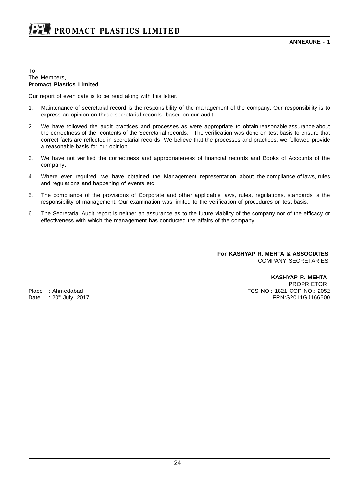**ANNEXURE - 1**

## To, The Members, **Promact Plastics Limited**

Our report of even date is to be read along with this letter.

- 1. Maintenance of secretarial record is the responsibility of the management of the company. Our responsibility is to express an opinion on these secretarial records based on our audit.
- 2. We have followed the audit practices and processes as were appropriate to obtain reasonable assurance about the correctness of the contents of the Secretarial records. The verification was done on test basis to ensure that correct facts are reflected in secretarial records. We believe that the processes and practices, we followed provide a reasonable basis for our opinion.
- 3. We have not verified the correctness and appropriateness of financial records and Books of Accounts of the company.
- 4. Where ever required, we have obtained the Management representation about the compliance of laws, rules and regulations and happening of events etc.
- 5. The compliance of the provisions of Corporate and other applicable laws, rules, regulations, standards is the responsibility of management. Our examination was limited to the verification of procedures on test basis.
- 6. The Secretarial Audit report is neither an assurance as to the future viability of the company nor of the efficacy or effectiveness with which the management has conducted the affairs of the company.

**For KASHYAP R. MEHTA & ASSOCIATES** COMPANY SECRETARIES

**KASHYAP R. MEHTA** PROPRIETOR Place : Ahmedabad FCS NO.: 1821 COP NO.: 2052 Date the : 20<sup>th</sup> July, 2017 **FRN:S2011GJ166500**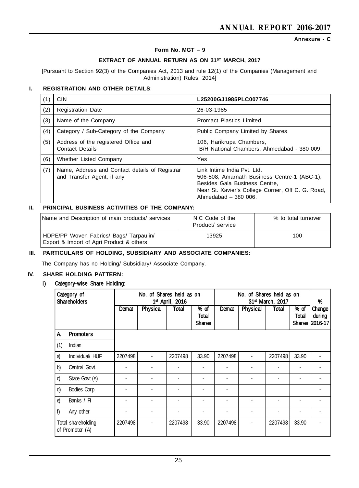**Annexure - C**

## **Form No. MGT – 9**

## **ST EXTRACT OF ANNUAL RETURN AS ON 31 MARCH, 2017**

[Pursuant to Section 92(3) of the Companies Act, 2013 and rule 12(1) of the Companies (Management and Administration) Rules, 2014]

## **I. REGISTRATION AND OTHER DETAILS**:

|     | <b>CIN</b>                                                                   | L25200GJ1985PLC007746                                                                                                                                                                     |
|-----|------------------------------------------------------------------------------|-------------------------------------------------------------------------------------------------------------------------------------------------------------------------------------------|
| (2) | <b>Registration Date</b>                                                     | 26-03-1985                                                                                                                                                                                |
| (3) | Name of the Company                                                          | <b>Promact Plastics Limited</b>                                                                                                                                                           |
| (4) | Category / Sub-Category of the Company                                       | Public Company Limited by Shares                                                                                                                                                          |
| (5) | Address of the registered Office and<br><b>Contact Details</b>               | 106, Harikrupa Chambers,<br>B/H National Chambers, Ahmedabad - 380 009.                                                                                                                   |
| (6) | <b>Whether Listed Company</b>                                                | Yes                                                                                                                                                                                       |
| (7) | Name, Address and Contact details of Registrar<br>and Transfer Agent, if any | Link Intime India Pvt. Ltd.<br>506-508, Amarnath Business Centre-1 (ABC-1),<br>Besides Gala Business Centre.<br>Near St. Xavier's College Corner, Off C. G. Road,<br>Ahmedabad - 380 006. |

## **II. PRINCIPAL BUSINESS ACTIVITIES OF THE COMPANY:**

| Name and Description of main products/ services                                     | NIC Code of the<br>Product/ service | % to total turnover |
|-------------------------------------------------------------------------------------|-------------------------------------|---------------------|
| HDPE/PP Woven Fabrics/ Bags/ Tarpaulin/<br>Export & Import of Agri Product & others | 13925                               | 100                 |

## **III. PARTICULARS OF HOLDING, SUBSIDIARY AND ASSOCIATE COMPANIES:**

The Company has no Holding/ Subsidiary/ Associate Company.

## **IV. SHARE HOLDING PATTERN:**

## i) Category-wise Share Holding:

| Category of<br><b>Shareholders</b> |                                       | No. of Shares held as on<br>1st April, 2016 |                              |         | No. of Shares held as on<br>31st March, 2017 |         |          |         | %                           |                                    |
|------------------------------------|---------------------------------------|---------------------------------------------|------------------------------|---------|----------------------------------------------|---------|----------|---------|-----------------------------|------------------------------------|
|                                    |                                       | Demat                                       | Physical                     | Total   | % of<br>Total<br><b>Shares</b>               | Demat   | Physical | Total   | $\overline{\%}$ of<br>Total | Change<br>during<br>Shares 2016-17 |
| А.                                 | <b>Promoters</b>                      |                                             |                              |         |                                              |         |          |         |                             |                                    |
| (1)                                | Indian                                |                                             |                              |         |                                              |         |          |         |                             |                                    |
| a)                                 | Individual/ HUF                       | 2207498                                     | $\overline{a}$               | 2207498 | 33.90                                        | 2207498 |          | 2207498 | 33.90                       |                                    |
| b)                                 | Central Govt.                         |                                             |                              |         |                                              |         |          |         |                             |                                    |
| c)                                 | State Govt.(s)                        |                                             | $\overline{a}$               |         |                                              |         |          |         | ٠                           |                                    |
| d)                                 | <b>Bodies Corp</b>                    |                                             | $\overline{\phantom{a}}$     |         |                                              | ٠       |          |         |                             |                                    |
| $\Theta$                           | Banks / FI                            |                                             | ۰                            |         |                                              |         |          |         |                             |                                    |
| f)                                 | Any other                             |                                             | ۰                            |         |                                              |         |          |         |                             |                                    |
|                                    | Total shareholding<br>of Promoter (A) | 2207498                                     | $\qquad \qquad \blacksquare$ | 2207498 | 33.90                                        | 2207498 |          | 2207498 | 33.90                       |                                    |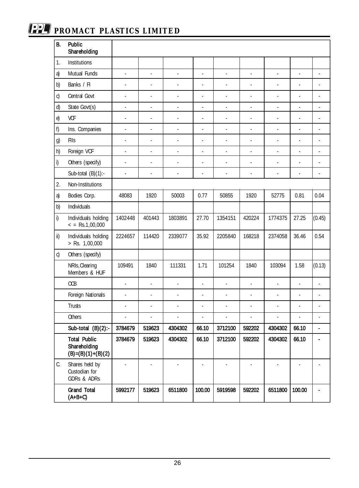| B.  | <b>Public</b><br>Shareholding                              |                          |                          |                          |                          |                |                          |                |                          |                          |
|-----|------------------------------------------------------------|--------------------------|--------------------------|--------------------------|--------------------------|----------------|--------------------------|----------------|--------------------------|--------------------------|
| 1.  | Institutions                                               |                          |                          |                          |                          |                |                          |                |                          |                          |
| a)  | Mutual Funds                                               | $\overline{\phantom{a}}$ | $\overline{\phantom{a}}$ | $\blacksquare$           | $\overline{\phantom{a}}$ | $\blacksquare$ | $\blacksquare$           | $\frac{1}{2}$  | $\overline{\phantom{a}}$ | L,                       |
| b)  | Banks / FI                                                 | $\overline{\phantom{a}}$ | $\overline{\phantom{a}}$ | $\overline{\phantom{a}}$ | $\overline{a}$           | ÷              | $\overline{\phantom{a}}$ | $\frac{1}{2}$  | $\overline{\phantom{a}}$ |                          |
| C)  | Central Govt                                               | $\overline{\phantom{a}}$ | $\overline{a}$           | $\overline{\phantom{a}}$ | $\overline{a}$           | $\overline{a}$ | $\overline{a}$           | $\overline{a}$ | $\overline{a}$           | $\overline{a}$           |
| d)  | State Govt(s)                                              | $\blacksquare$           | $\frac{1}{2}$            | $\frac{1}{2}$            | $\blacksquare$           | $\frac{1}{2}$  | $\blacksquare$           | $\frac{1}{2}$  | $\blacksquare$           | $\overline{\phantom{a}}$ |
| e)  | <b>VCF</b>                                                 | $\overline{a}$           | $\overline{a}$           | $\overline{a}$           | $\overline{a}$           | $\overline{a}$ | $\overline{a}$           | $\overline{a}$ | $\overline{a}$           |                          |
| f)  | Ins. Companies                                             | $\overline{\phantom{a}}$ | $\overline{a}$           | $\overline{a}$           | $\overline{\phantom{a}}$ | $\overline{a}$ | $\overline{a}$           | $\overline{a}$ | $\overline{a}$           | $\overline{a}$           |
| g)  | <b>FIIs</b>                                                | $\overline{a}$           | $\overline{a}$           | $\overline{a}$           | $\overline{a}$           | $\overline{a}$ | $\overline{a}$           | $\overline{a}$ | $\overline{a}$           | $\overline{a}$           |
| h)  | Foreign VCF                                                | $\frac{1}{2}$            | $\frac{1}{2}$            | $\overline{a}$           | $\overline{\phantom{a}}$ | L              | $\blacksquare$           | $\frac{1}{2}$  | $\frac{1}{2}$            | $\overline{a}$           |
| i)  | Others (specify)                                           | $\overline{\phantom{a}}$ | $\overline{a}$           | $\overline{a}$           | $\overline{\phantom{a}}$ | ÷,             | $\overline{\phantom{a}}$ | $\blacksquare$ | $\blacksquare$           | $\overline{a}$           |
|     | Sub-total $(B)(1)$ :-                                      | $\overline{\phantom{a}}$ | $\overline{a}$           | $\overline{a}$           | L,                       | $\overline{a}$ | $\overline{a}$           | $\overline{a}$ | $\overline{a}$           |                          |
| 2.  | Non-Institutions                                           |                          |                          |                          |                          |                |                          |                |                          |                          |
| a)  | Bodies Corp.                                               | 48083                    | 1920                     | 50003                    | 0.77                     | 50855          | 1920                     | 52775          | 0.81                     | 0.04                     |
| b)  | Individuals                                                |                          |                          |                          |                          |                |                          |                |                          |                          |
| i)  | Individuals holding<br>$\epsilon$ = Rs.1,00,000            | 1402448                  | 401443                   | 1803891                  | 27.70                    | 1354151        | 420224                   | 1774375        | 27.25                    | (0.45)                   |
| ii) | Individuals holding<br>$>$ Rs. 1,00,000                    | 2224657                  | 114420                   | 2339077                  | 35.92                    | 2205840        | 168218                   | 2374058        | 36.46                    | 0.54                     |
| c)  | Others (specify)                                           |                          |                          |                          |                          |                |                          |                |                          |                          |
|     | NRIs, Clearing<br>Members & HUF                            | 109491                   | 1840                     | 111331                   | 1.71                     | 101254         | 1840                     | 103094         | 1.58                     | (0.13)                   |
|     | OCB                                                        | $\overline{\phantom{a}}$ | $\frac{1}{2}$            | $\overline{a}$           | $\overline{a}$           | $\overline{a}$ | $\blacksquare$           | $\overline{a}$ | $\frac{1}{2}$            | $\overline{a}$           |
|     | Foreign Nationals                                          | $\overline{a}$           |                          | $\overline{a}$           |                          | $\overline{a}$ |                          |                |                          |                          |
|     | Trusts                                                     | $\blacksquare$           | $\overline{a}$           | $\frac{1}{2}$            | ÷,                       | ÷,             | $\blacksquare$           | $\blacksquare$ | $\overline{\phantom{a}}$ |                          |
|     | <b>Others</b>                                              | $\frac{1}{2}$            | $\overline{a}$           | $\frac{1}{2}$            | $\overline{\phantom{a}}$ | $\overline{a}$ | $\overline{\phantom{a}}$ | $\overline{a}$ | $\overline{\phantom{a}}$ | $\overline{a}$           |
|     | Sub-total $(B)(2)$ :-                                      | 3784679                  | 519623                   | 4304302                  | 66.10                    | 3712100        | 592202                   | 4304302        | 66.10                    | $\overline{a}$           |
|     | <b>Total Public</b><br>Shareholding<br>$(B)=(B)(1)+(B)(2)$ | 3784679                  | 519623                   | 4304302                  | 66.10                    | 3712100        | 592202                   | 4304302        | 66.10                    | $\blacksquare$           |
| C.  | Shares held by<br>Custodian for<br>GDRs & ADRs             | $\overline{\phantom{a}}$ | $\overline{\phantom{a}}$ | $\overline{a}$           | $\overline{\phantom{a}}$ | $\overline{a}$ | $\blacksquare$           | $\overline{a}$ | $\overline{a}$           | $\overline{a}$           |
|     | <b>Grand Total</b><br>$(A+B+C)$                            | 5992177                  | 519623                   | 6511800                  | 100.00                   | 5919598        | 592202                   | 6511800        | 100.00                   | ÷,                       |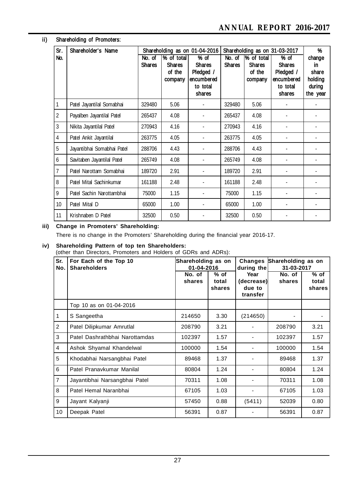## ii) Shareholding of Promoters:

| Sr.              | Shareholder's Name         | Shareholding as on 01-04-2016<br>Shareholding as on 31-03-2017 |                                                  |                                                                          |                         |                                                   | %                                                                      |                                                        |
|------------------|----------------------------|----------------------------------------------------------------|--------------------------------------------------|--------------------------------------------------------------------------|-------------------------|---------------------------------------------------|------------------------------------------------------------------------|--------------------------------------------------------|
| No.              |                            | No. of<br><b>Shares</b>                                        | % of total<br><b>Shares</b><br>of the<br>company | $%$ of<br><b>Shares</b><br>Pledged /<br>encumbered<br>to total<br>shares | No. of<br><b>Shares</b> | l% of total<br><b>Shares</b><br>of the<br>company | % of<br><b>Shares</b><br>Pledged /<br>encumbered<br>to total<br>shares | change<br>in<br>share<br>holding<br>during<br>the year |
| 1                | Patel Jayantilal Somabhai  | 329480                                                         | 5.06                                             |                                                                          | 329480                  | 5.06                                              |                                                                        |                                                        |
| $\overline{2}$   | Payalben Jayantilal Patel  | 265437                                                         | 4.08                                             | $\overline{\phantom{a}}$                                                 | 265437                  | 4.08                                              |                                                                        |                                                        |
| 3                | Nikita Jayantilal Patel    | 270943                                                         | 4.16                                             |                                                                          | 270943                  | 4.16                                              |                                                                        |                                                        |
| $\overline{4}$   | Patel Ankit Jayantilal     | 263775                                                         | 4.05                                             |                                                                          | 263775                  | 4.05                                              |                                                                        |                                                        |
| 5                | Jayantibhai Somabhai Patel | 288706                                                         | 4.43                                             | $\overline{\phantom{a}}$                                                 | 288706                  | 4.43                                              |                                                                        |                                                        |
| 6                | Savitaben Jayantilal Patel | 265749                                                         | 4.08                                             |                                                                          | 265749                  | 4.08                                              |                                                                        |                                                        |
| 7                | Patel Narottam Somabhai    | 189720                                                         | 2.91                                             | ÷,                                                                       | 189720                  | 2.91                                              |                                                                        |                                                        |
| 8                | Patel Mital Sachinkumar    | 161188                                                         | 2.48                                             | $\overline{\phantom{a}}$                                                 | 161188                  | 2.48                                              |                                                                        |                                                        |
| 9                | Patel Sachin Narottambhai  | 75000                                                          | 1.15                                             |                                                                          | 75000                   | 1.15                                              |                                                                        |                                                        |
| 10 <sup>10</sup> | Patel Mital D              | 65000                                                          | 1.00                                             |                                                                          | 65000                   | 1.00                                              |                                                                        |                                                        |
| 11               | Krishnaben D Patel         | 32500                                                          | 0.50                                             | ٠                                                                        | 32500                   | 0.50                                              |                                                                        |                                                        |

## **iii) Change in Promoters' Shareholding:**

There is no change in the Promoters' Shareholding during the financial year 2016-17.

## **iv) Shareholding Pattern of top ten Shareholders:**

(other than Directors, Promoters and Holders of GDRs and ADRs):

| Sr.<br>No.     | For Each of the Top 10<br><b>Shareholders</b> | Shareholding as on<br>01-04-2016 |                 | Changes<br>during the | Shareholding as on<br>31-03-2017 |                 |
|----------------|-----------------------------------------------|----------------------------------|-----------------|-----------------------|----------------------------------|-----------------|
|                |                                               | No. of                           | $%$ of          | Year                  | No. of                           | % of            |
|                |                                               | shares                           | total<br>shares | (decrease)<br>due to  | shares                           | total<br>shares |
|                |                                               |                                  |                 | transfer              |                                  |                 |
|                | Top 10 as on 01-04-2016                       |                                  |                 |                       |                                  |                 |
| $\mathbf{1}$   | S Sangeetha                                   | 214650                           | 3.30            | (214650)              |                                  |                 |
| 2              | Patel Dilipkumar Amrutlal                     | 208790                           | 3.21            |                       | 208790                           | 3.21            |
| 3              | Patel Dashrathbhai Narottamdas                | 102397                           | 1.57            |                       | 102397                           | 1.57            |
| $\overline{4}$ | Ashok Shyamal Khandelwal                      | 100000                           | 1.54            |                       | 100000                           | 1.54            |
| 5              | Khodabhai Narsangbhai Patel                   | 89468                            | 1.37            |                       | 89468                            | 1.37            |
| 6              | Patel Pranavkumar Manilal                     | 80804                            | 1.24            |                       | 80804                            | 1.24            |
| $\overline{7}$ | Jayantibhai Narsangbhai Patel                 | 70311                            | 1.08            |                       | 70311                            | 1.08            |
| 8              | Patel Hemal Naranbhai                         | 67105                            | 1.03            |                       | 67105                            | 1.03            |
| 9              | Jayant Kalyanji                               | 57450                            | 0.88            | (5411)                | 52039                            | 0.80            |
| 10             | Deepak Patel                                  | 56391                            | 0.87            |                       | 56391                            | 0.87            |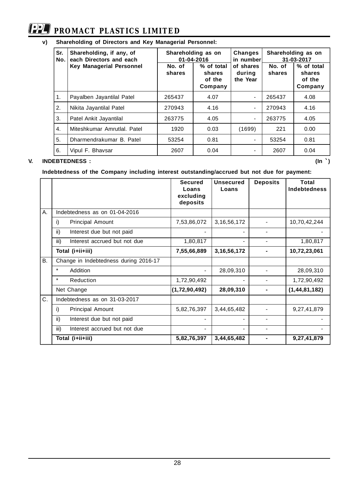## **v) Shareholding of Directors and Key Managerial Personnel:**

| Sr.<br>No. | Shareholding, if any, of<br>each Directors and each |                  | Shareholding as on<br><b>Changes</b><br>01-04-2016<br>in number |                                 |                  | Shareholding as on<br>31-03-2017          |
|------------|-----------------------------------------------------|------------------|-----------------------------------------------------------------|---------------------------------|------------------|-------------------------------------------|
|            | Key Managerial Personnel                            | No. of<br>shares | % of total<br>shares<br>of the<br>Company                       | of shares<br>during<br>the Year | No. of<br>shares | % of total<br>shares<br>of the<br>Company |
| l 1.       | Payalben Jayantilal Patel                           | 265437           | 4.07                                                            | $\overline{\phantom{a}}$        | 265437           | 4.08                                      |
| l 2.       | Nikita Jayantilal Patel                             | 270943           | 4.16                                                            | $\overline{\phantom{a}}$        | 270943           | 4.16                                      |
| lз.        | Patel Ankit Jayantilal                              | 263775           | 4.05                                                            | $\blacksquare$                  | 263775           | 4.05                                      |
| 4.         | Miteshkumar Amrutlal, Patel                         | 1920             | 0.03                                                            | (1699)                          | 221              | 0.00                                      |
| 5.         | Dharmendrakumar B. Patel                            | 53254            | 0.81                                                            |                                 | 53254            | 0.81                                      |
| 6.         | Vipul F. Bhavsar                                    | 2607             | 0.04                                                            | ٠                               | 2607             | 0.04                                      |

## **V. INDEBTEDNESS : (In** `**)**

**Indebtedness of the Company including interest outstanding/accrued but not due for payment:**

|           |                                       | <b>Secured</b><br>Loans<br>excluding<br>deposits | <b>Unsecured</b><br>Loans | <b>Deposits</b>          | Total<br><b>Indebtedness</b> |
|-----------|---------------------------------------|--------------------------------------------------|---------------------------|--------------------------|------------------------------|
| A.        | Indebtedness as on 01-04-2016         |                                                  |                           |                          |                              |
|           | i)<br><b>Principal Amount</b>         | 7,53,86,072                                      | 3, 16, 56, 172            |                          | 10,70,42,244                 |
|           | ii)<br>Interest due but not paid      |                                                  | $\overline{\phantom{a}}$  | $\overline{\phantom{a}}$ |                              |
|           | iii)<br>Interest accrued but not due  | 1,80,817                                         | $\overline{\phantom{a}}$  | ٠                        | 1,80,817                     |
|           | Total (i+ii+iii)                      | 7,55,66,889                                      | 3,16,56,172               |                          | 10,72,23,061                 |
| <b>B.</b> | Change in Indebtedness during 2016-17 |                                                  |                           |                          |                              |
|           | $\star$<br>Addition                   |                                                  | 28,09,310                 |                          | 28,09,310                    |
|           | $\star$<br>Reduction                  | 1,72,90,492                                      |                           |                          | 1,72,90,492                  |
|           | Net Change                            | (1,72,90,492)                                    | 28,09,310                 |                          | (1, 44, 81, 182)             |
| C.        | Indebtedness as on 31-03-2017         |                                                  |                           |                          |                              |
|           | i)<br><b>Principal Amount</b>         | 5,82,76,397                                      | 3,44,65,482               |                          | 9,27,41,879                  |
|           | ii)<br>Interest due but not paid      |                                                  | $\blacksquare$            | $\overline{\phantom{a}}$ |                              |
|           | iii)<br>Interest accrued but not due  | $\overline{\phantom{a}}$                         | $\overline{\phantom{a}}$  | ٠                        |                              |
|           | Total (i+ii+iii)                      | 5,82,76,397                                      | 3,44,65,482               |                          | 9,27,41,879                  |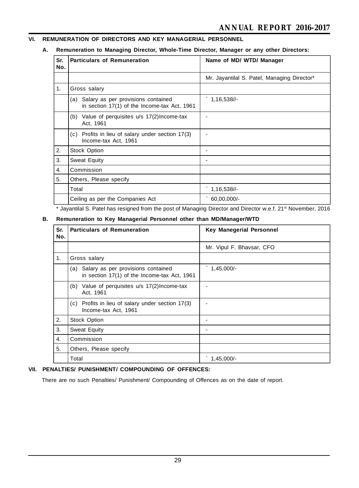## **VI. REMUNERATION OF DIRECTORS AND KEY MANAGERIAL PERSONNEL**

## **A. Remuneration to Managing Director, Whole-Time Director, Manager or any other Directors:**

| Sr.<br>No. | <b>Particulars of Remuneration</b>                                                     | Name of MD/ WTD/ Manager                    |
|------------|----------------------------------------------------------------------------------------|---------------------------------------------|
|            |                                                                                        | Mr. Jayantilal S. Patel, Managing Director* |
| 1.         | Gross salary                                                                           |                                             |
|            | (a) Salary as per provisions contained<br>in section 17(1) of the Income-tax Act, 1961 | $\degree$ 1,16,538//-                       |
|            | (b) Value of perquisites u/s 17(2) Income-tax<br>Act, 1961                             |                                             |
|            | (c) Profits in lieu of salary under section 17(3)<br>Income-tax Act, 1961              |                                             |
| 2.         | Stock Option                                                                           |                                             |
| 3.         | Sweat Equity                                                                           |                                             |
| 4.         | Commission                                                                             |                                             |
| 5.         | Others, Please specify                                                                 |                                             |
|            | Total                                                                                  | $\degree$ 1,16,538//-                       |
|            | Ceiling as per the Companies Act                                                       | 60,00,000/-                                 |

\* Jayantilal S. Patel has resigned from the post of Managing Director and Director w.e.f. 21<sup>st</sup> November, 2016

## **B. Remuneration to Key Managerial Personnel other than MD/Manager/WTD**

| Sr.<br>No. | <b>Particulars of Remuneration</b>                                                        | <b>Key Manegerial Personnel</b> |
|------------|-------------------------------------------------------------------------------------------|---------------------------------|
|            |                                                                                           | Mr. Vipul F. Bhavsar, CFO       |
| 1.         | Gross salary                                                                              |                                 |
|            | Salary as per provisions contained<br>(a)<br>in section 17(1) of the Income-tax Act, 1961 | $1,45,000/-$                    |
|            | (b) Value of perquisites u/s 17(2) Income-tax<br>Act, 1961                                |                                 |
|            | Profits in lieu of salary under section 17(3)<br>(c)<br>Income-tax Act, 1961              |                                 |
| 2.         | Stock Option                                                                              |                                 |
| 3.         | <b>Sweat Equity</b>                                                                       | -                               |
| 4.         | Commission                                                                                |                                 |
| 5.         | Others, Please specify                                                                    |                                 |
|            | Total                                                                                     | $1,45,000/-$                    |

## **VII. PENALTIES/ PUNISHMENT/ COMPOUNDING OF OFFENCES:**

There are no such Penalties/ Punishment/ Compounding of Offences as on the date of report.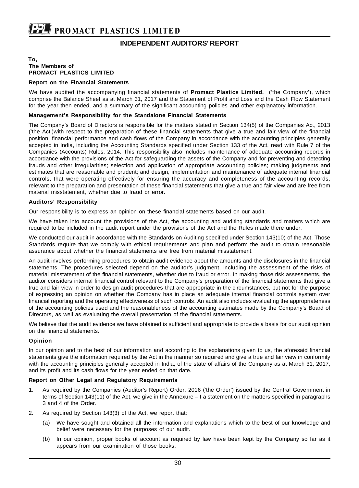## **INDEPENDENT AUDITORS' REPORT**

#### **To, The Members of PROMACT PLASTICS LIMITED**

#### **Report on the Financial Statements**

We have audited the accompanying financial statements of **Promact Plastics Limited.** ('the Company'), which comprise the Balance Sheet as at March 31, 2017 and the Statement of Profit and Loss and the Cash Flow Statement for the year then ended, and a summary of the significant accounting policies and other explanatory information.

#### **Management's Responsibility for the Standalone Financial Statements**

The Company's Board of Directors is responsible for the matters stated in Section 134(5) of the Companies Act, 2013 ('the Act')with respect to the preparation of these financial statements that give a true and fair view of the financial position, financial performance and cash flows of the Company in accordance with the accounting principles generally accepted in India, including the Accounting Standards specified under Section 133 of the Act, read with Rule 7 of the Companies (Accounts) Rules, 2014. This responsibility also includes maintenance of adequate accounting records in accordance with the provisions of the Act for safeguarding the assets of the Company and for preventing and detecting frauds and other irregularities; selection and application of appropriate accounting policies; making judgments and estimates that are reasonable and prudent; and design, implementation and maintenance of adequate internal financial controls, that were operating effectively for ensuring the accuracy and completeness of the accounting records, relevant to the preparation and presentation of these financial statements that give a true and fair view and are free from material misstatement, whether due to fraud or error.

## **Auditors' Responsibility**

Our responsibility is to express an opinion on these financial statements based on our audit.

We have taken into account the provisions of the Act, the accounting and auditing standards and matters which are required to be included in the audit report under the provisions of the Act and the Rules made there under.

We conducted our audit in accordance with the Standards on Auditing specified under Section 143(10) of the Act. Those Standards require that we comply with ethical requirements and plan and perform the audit to obtain reasonable assurance about whether the financial statements are free from material misstatement.

An audit involves performing procedures to obtain audit evidence about the amounts and the disclosures in the financial statements. The procedures selected depend on the auditor's judgment, including the assessment of the risks of material misstatement of the financial statements, whether due to fraud or error. In making those risk assessments, the auditor considers internal financial control relevant to the Company's preparation of the financial statements that give a true and fair view in order to design audit procedures that are appropriate in the circumstances, but not for the purpose of expressing an opinion on whether the Company has in place an adequate internal financial controls system over financial reporting and the operating effectiveness of such controls. An audit also includes evaluating the appropriateness of the accounting policies used and the reasonableness of the accounting estimates made by the Company's Board of Directors, as well as evaluating the overall presentation of the financial statements.

We believe that the audit evidence we have obtained is sufficient and appropriate to provide a basis for our audit opinion on the financial statements.

## **Opinion**

In our opinion and to the best of our information and according to the explanations given to us, the aforesaid financial statements give the information required by the Act in the manner so required and give a true and fair view in conformity with the accounting principles generally accepted in India, of the state of affairs of the Company as at March 31, 2017, and its profit and its cash flows for the year ended on that date.

## **Report on Other Legal and Regulatory Requirements**

- 1. As required by the Companies (Auditor's Report) Order, 2016 ('the Order') issued by the Central Government in terms of Section 143(11) of the Act, we give in the Annexure – I a statement on the matters specified in paragraphs 3 and 4 of the Order.
- 2. As required by Section 143(3) of the Act, we report that:
	- (a) We have sought and obtained all the information and explanations which to the best of our knowledge and belief were necessary for the purposes of our audit.
	- (b) In our opinion, proper books of account as required by law have been kept by the Company so far as it appears from our examination of those books.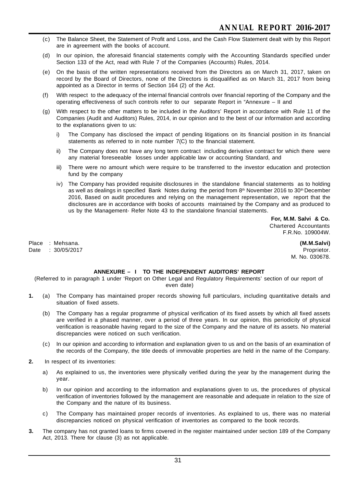- (c) The Balance Sheet, the Statement of Profit and Loss, and the Cash Flow Statement dealt with by this Report are in agreement with the books of account.
- (d) In our opinion, the aforesaid financial statements comply with the Accounting Standards specified under Section 133 of the Act, read with Rule 7 of the Companies (Accounts) Rules, 2014.
- (e) On the basis of the written representations received from the Directors as on March 31, 2017, taken on record by the Board of Directors, none of the Directors is disqualified as on March 31, 2017 from being appointed as a Director in terms of Section 164 (2) of the Act.
- (f) With respect to the adequacy of the internal financial controls over financial reporting of the Company and the operating effectiveness of such controls refer to our separate Report in "Annexure – II and
- (g) With respect to the other matters to be included in the Auditors' Report in accordance with Rule 11 of the Companies (Audit and Auditors) Rules, 2014, in our opinion and to the best of our information and according to the explanations given to us:
	- i) The Company has disclosed the impact of pending litigations on its financial position in its financial statements as referred to in note number 7(C) to the financial statement.
	- ii) The Company does not have any long term contract including derivative contract for which there were any material foreseeable losses under applicable law or accounting Standard, and
	- iii) There were no amount which were require to be transferred to the investor education and protection fund by the company
	- iv) The Company has provided requisite disclosures in the standalone financial statements as to holding as well as dealings in specified Bank Notes during the period from 8<sup>th</sup> November 2016 to 30<sup>th</sup> December 2016, Based on audit procedures and relying on the management representation, we report that the disclosures are in accordance with books of accounts maintained by the Company and as produced to us by the Management- Refer Note 43 to the standalone financial statements.

**For, M.M. Salvi & Co.** Chartered Accountants F.R.No. 109004W.

Place : Mehsana. **(M.M.Salvi)** Date : 30/05/2017 **Proprietor.** 

M. No. 030678.

## **ANNEXURE – I TO THE INDEPENDENT AUDITORS' REPORT**

(Referred to in paragraph 1 under 'Report on Other Legal and Regulatory Requirements' section of our report of even date)

- **1.** (a) The Company has maintained proper records showing full particulars, including quantitative details and situation of fixed assets.
	- (b) The Company has a regular programme of physical verification of its fixed assets by which all fixed assets are verified in a phased manner, over a period of three years. In our opinion, this periodicity of physical verification is reasonable having regard to the size of the Company and the nature of its assets. No material discrepancies were noticed on such verification.
	- (c) In our opinion and according to information and explanation given to us and on the basis of an examination of the records of the Company, the title deeds of immovable properties are held in the name of the Company.
- **2.** In respect of its inventories:
	- a) As explained to us, the inventories were physically verified during the year by the management during the year.
	- b) In our opinion and according to the information and explanations given to us, the procedures of physical verification of inventories followed by the management are reasonable and adequate in relation to the size of the Company and the nature of its business.
	- c) The Company has maintained proper records of inventories. As explained to us, there was no material discrepancies noticed on physical verification of inventories as compared to the book records.
- **3.** The company has not granted loans to firms covered in the register maintained under section 189 of the Company Act, 2013. There for clause (3) as not applicable.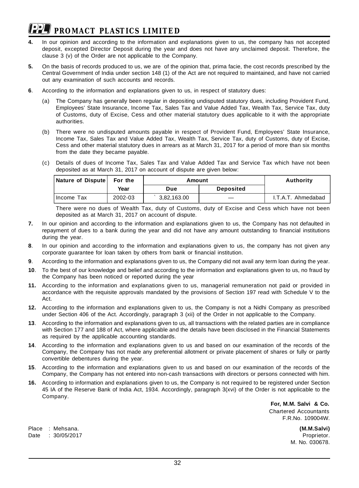- **4.** In our opinion and according to the information and explanations given to us, the company has not accepted deposit, excepted Director Deposit during the year and does not have any unclaimed deposit. Therefore, the clause 3 (v) of the Order are not applicable to the Company.
- **5.** On the basis of records produced to us, we are of the opinion that, prima facie, the cost records prescribed by the Central Government of India under section 148 (1) of the Act are not required to maintained, and have not carried out any examination of such accounts and records.
- **6**. According to the information and explanations given to us, in respect of statutory dues:
	- (a) The Company has generally been regular in depositing undisputed statutory dues, including Provident Fund, Employees' State Insurance, Income Tax, Sales Tax and Value Added Tax, Wealth Tax, Service Tax, duty of Customs, duty of Excise, Cess and other material statutory dues applicable to it with the appropriate authorities.
	- (b) There were no undisputed amounts payable in respect of Provident Fund, Employees' State Insurance, Income Tax, Sales Tax and Value Added Tax, Wealth Tax, Service Tax, duty of Customs, duty of Excise, Cess and other material statutory dues in arrears as at March 31, 2017 for a period of more than six months from the date they became payable.
	- (c) Details of dues of Income Tax, Sales Tax and Value Added Tax and Service Tax which have not been deposited as at March 31, 2017 on account of dispute are given below:

| Nature of Dispute | For the | Amount      |                  | Authority          |
|-------------------|---------|-------------|------------------|--------------------|
|                   | Year    | Due         | <b>Deposited</b> |                    |
| Income Tax        | 2002-03 | 3,82,163.00 |                  | I.T.A.T. Ahmedabad |

There were no dues of Wealth Tax, duty of Customs, duty of Excise and Cess which have not been deposited as at March 31, 2017 on account of dispute.

- **7.** In our opinion and according to the information and explanations given to us, the Company has not defaulted in repayment of dues to a bank during the year and did not have any amount outstanding to financial institutions during the year.
- **8**. In our opinion and according to the information and explanations given to us, the company has not given any corporate guarantee for loan taken by others from bank or financial institution.
- **9**. According to the information and explanations given to us, the Company did not avail any term loan during the year.
- **10**. To the best of our knowledge and belief and according to the information and explanations given to us, no fraud by the Company has been noticed or reported during the year
- **11.** According to the information and explanations given to us, managerial remuneration not paid or provided in accordance with the requisite approvals mandated by the provisions of Section 197 read with Schedule V to the Act.
- **12.** According to the information and explanations given to us, the Company is not a Nidhi Company as prescribed under Section 406 of the Act. Accordingly, paragraph 3 (xii) of the Order in not applicable to the Company.
- **13**. According to the information and explanations given to us, all transactions with the related parties are in compliance with Section 177 and 188 of Act, where applicable and the details have been disclosed in the Financial Statements as required by the applicable accounting standards.
- **14**. According to the information and explanations given to us and based on our examination of the records of the Company, the Company has not made any preferential allotment or private placement of shares or fully or partly convertible debentures during the year.
- **15**. According to the information and explanations given to us and based on our examination of the records of the Company, the Company has not entered into non-cash transactions with directors or persons connected with him.
- **16.** According to information and explanations given to us, the Company is not required to be registered under Section 45 IA of the Reserve Bank of India Act, 1934. Accordingly, paragraph 3(xvi) of the Order is not applicable to the Company.

**For, M.M. Salvi & Co.** Chartered Accountants F.R.No. 109004W.

M. No. 030678.

Place : Mehsana. **(M.M.Salvi)** Date : 30/05/2017 **Proprietor.**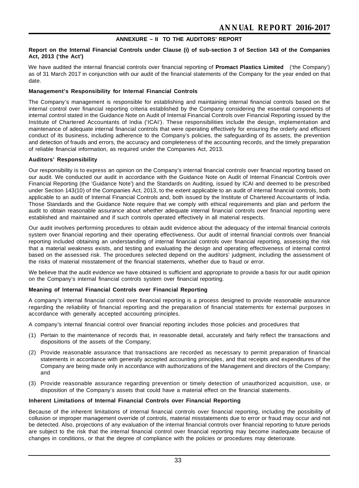## **ANNEXURE – II TO THE AUDITORS' REPORT**

## **Report on the Internal Financial Controls under Clause (i) of sub-section 3 of Section 143 of the Companies Act, 2013 ('the Act')**

We have audited the internal financial controls over financial reporting of **Promact Plastics Limited** ('the Company') as of 31 March 2017 in conjunction with our audit of the financial statements of the Company for the year ended on that date.

## **Management's Responsibility for Internal Financial Controls**

The Company's management is responsible for establishing and maintaining internal financial controls based on the internal control over financial reporting criteria established by the Company considering the essential components of internal control stated in the Guidance Note on Audit of Internal Financial Controls over Financial Reporting issued by the Institute of Chartered Accountants of India ('ICAI'). These responsibilities include the design, implementation and maintenance of adequate internal financial controls that were operating effectively for ensuring the orderly and efficient conduct of its business, including adherence to the Company's policies, the safeguarding of its assets, the prevention and detection of frauds and errors, the accuracy and completeness of the accounting records, and the timely preparation of reliable financial information, as required under the Companies Act, 2013.

## **Auditors' Responsibility**

Our responsibility is to express an opinion on the Company's internal financial controls over financial reporting based on our audit. We conducted our audit in accordance with the Guidance Note on Audit of Internal Financial Controls over Financial Reporting (the 'Guidance Note') and the Standards on Auditing, issued by ICAI and deemed to be prescribed under Section 143(10) of the Companies Act, 2013, to the extent applicable to an audit of internal financial controls, both applicable to an audit of Internal Financial Controls and, both issued by the Institute of Chartered Accountants of India. Those Standards and the Guidance Note require that we comply with ethical requirements and plan and perform the audit to obtain reasonable assurance about whether adequate internal financial controls over financial reporting were established and maintained and if such controls operated effectively in all material respects.

Our audit involves performing procedures to obtain audit evidence about the adequacy of the internal financial controls system over financial reporting and their operating effectiveness. Our audit of internal financial controls over financial reporting included obtaining an understanding of internal financial controls over financial reporting, assessing the risk that a material weakness exists, and testing and evaluating the design and operating effectiveness of internal control based on the assessed risk. The procedures selected depend on the auditors' judgment, including the assessment of the risks of material misstatement of the financial statements, whether due to fraud or error.

We believe that the audit evidence we have obtained is sufficient and appropriate to provide a basis for our audit opinion on the Company's internal financial controls system over financial reporting.

## **Meaning of Internal Financial Controls over Financial Reporting**

A company's internal financial control over financial reporting is a process designed to provide reasonable assurance regarding the reliability of financial reporting and the preparation of financial statements for external purposes in accordance with generally accepted accounting principles.

A company's internal financial control over financial reporting includes those policies and procedures that

- (1) Pertain to the maintenance of records that, in reasonable detail, accurately and fairly reflect the transactions and dispositions of the assets of the Company;
- (2) Provide reasonable assurance that transactions are recorded as necessary to permit preparation of financial statements in accordance with generally accepted accounting principles, and that receipts and expenditures of the Company are being made only in accordance with authorizations of the Management and directors of the Company; and
- (3) Provide reasonable assurance regarding prevention or timely detection of unauthorized acquisition, use, or disposition of the Company's assets that could have a material effect on the financial statements.

## **Inherent Limitations of Internal Financial Controls over Financial Reporting**

Because of the inherent limitations of internal financial controls over financial reporting, including the possibility of collusion or improper management override of controls, material misstatements due to error or fraud may occur and not be detected. Also, projections of any evaluation of the internal financial controls over financial reporting to future periods are subject to the risk that the internal financial control over financial reporting may become inadequate because of changes in conditions, or that the degree of compliance with the policies or procedures may deteriorate.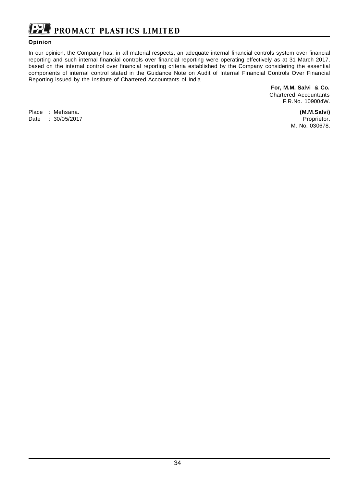## **Opinion**

In our opinion, the Company has, in all material respects, an adequate internal financial controls system over financial reporting and such internal financial controls over financial reporting were operating effectively as at 31 March 2017, based on the internal control over financial reporting criteria established by the Company considering the essential components of internal control stated in the Guidance Note on Audit of Internal Financial Controls Over Financial Reporting issued by the Institute of Chartered Accountants of India.

> **For, M.M. Salvi & Co.** Chartered Accountants F.R.No. 109004W.

Place : Mehsana. **(M.M.Salvi)** Date : 30/05/2017 **Proprietor.** 

M. No. 030678.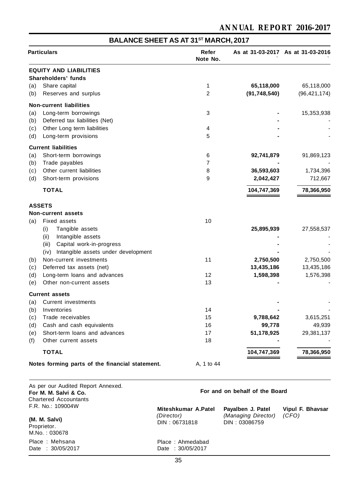## **ANNUAL REPORT 2016-2017**

## **BALANCE SHEET AS AT 31<sup>st</sup> MARCH, 2017**

|     | <b>Particulars</b>                              | Refer<br>Note No. |                | As at 31-03-2017 As at 31-03-2016 |
|-----|-------------------------------------------------|-------------------|----------------|-----------------------------------|
|     | <b>EQUITY AND LIABILITIES</b>                   |                   |                |                                   |
|     | Shareholders' funds                             |                   |                |                                   |
| (a) | Share capital                                   | 1                 | 65,118,000     | 65,118,000                        |
| (b) | Reserves and surplus                            | $\overline{2}$    | (91, 748, 540) | (96, 421, 174)                    |
|     | <b>Non-current liabilities</b>                  |                   |                |                                   |
| (a) | Long-term borrowings                            | 3                 |                | 15,353,938                        |
| (b) | Deferred tax liabilities (Net)                  |                   |                |                                   |
| (c) | Other Long term liabilities                     | 4                 |                |                                   |
| (d) | Long-term provisions                            | 5                 |                |                                   |
|     | <b>Current liabilities</b>                      |                   |                |                                   |
| (a) | Short-term borrowings                           | 6                 | 92,741,879     | 91,869,123                        |
| (b) | Trade payables                                  | $\overline{7}$    |                |                                   |
| (c) | Other current liabilities                       | 8                 | 36,593,603     | 1,734,396                         |
| (d) | Short-term provisions                           | 9                 | 2,042,427      | 712,667                           |
|     | <b>TOTAL</b>                                    |                   | 104,747,369    | 78,366,950                        |
|     | <b>ASSETS</b>                                   |                   |                |                                   |
|     | Non-current assets                              |                   |                |                                   |
| (a) | <b>Fixed assets</b>                             | 10                |                |                                   |
|     | Tangible assets<br>(i)                          |                   | 25,895,939     | 27,558,537                        |
|     | (ii)<br>Intangible assets                       |                   |                |                                   |
|     | (iii)<br>Capital work-in-progress               |                   |                |                                   |
|     | (iv) Intangible assets under development        |                   |                |                                   |
| (b) | Non-current investments                         | 11                | 2,750,500      | 2,750,500                         |
| (c) | Deferred tax assets (net)                       |                   | 13,435,186     | 13,435,186                        |
| (d) | Long-term loans and advances                    | 12                | 1,598,398      | 1,576,398                         |
| (e) | Other non-current assets                        | 13                |                |                                   |
|     | <b>Current assets</b>                           |                   |                |                                   |
| (a) | <b>Current investments</b>                      |                   |                |                                   |
| (b) | Inventories                                     | 14                |                |                                   |
| (c) | Trade receivables                               | 15                | 9,788,642      | 3,615,251                         |
| (d) | Cash and cash equivalents                       | 16                | 99,778         | 49,939                            |
| (e) | Short-term loans and advances                   | 17                | 51,178,925     | 29,381,137                        |
| (f) | Other current assets                            | 18                |                |                                   |
|     | <b>TOTAL</b>                                    |                   | 104,747,369    | 78,366,950                        |
|     | Notes forming parts of the financial statement. | A, 1 to 44        |                |                                   |

| As per our Audited Report Annexed.<br>For M. M. Salvi & Co. | For and on behalf of the Board       |                                            |                  |  |  |  |  |
|-------------------------------------------------------------|--------------------------------------|--------------------------------------------|------------------|--|--|--|--|
| <b>Chartered Accountants</b>                                |                                      |                                            |                  |  |  |  |  |
| F.R. No.: 109004W                                           | Miteshkumar A.Patel                  | Payalben J. Patel                          | Vipul F. Bhavsar |  |  |  |  |
| (M. M. Salvi)<br>Proprietor.                                | (Director)<br>DIN: 06731818          | (Managing Director) (CFO)<br>DIN: 03086759 |                  |  |  |  |  |
| M.No.: 030678                                               |                                      |                                            |                  |  |  |  |  |
| Place: Mehsana<br>Date: 30/05/2017                          | Place: Ahmedabad<br>Date: 30/05/2017 |                                            |                  |  |  |  |  |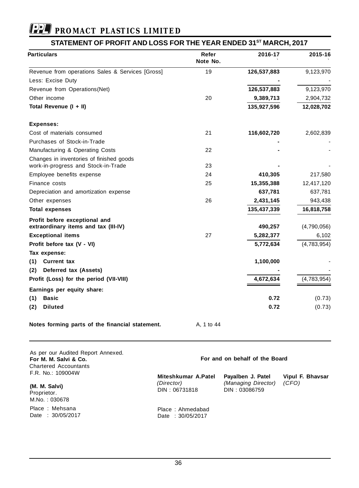## **STA ST TEMENT OF PROFIT AND LOSS FOR THE YEAR ENDED 31 MARCH, 2017**

| Particulars                                                                     | Refer<br>Note No. | 2016-17     | 2015-16     |  |
|---------------------------------------------------------------------------------|-------------------|-------------|-------------|--|
| Revenue from operations Sales & Services [Gross]                                | 19                | 126,537,883 | 9,123,970   |  |
| Less: Excise Duty                                                               |                   |             |             |  |
| Revenue from Operations (Net)                                                   |                   | 126,537,883 | 9,123,970   |  |
| Other income                                                                    | 20                | 9,389,713   | 2,904,732   |  |
| Total Revenue (I + II)                                                          |                   | 135,927,596 | 12,028,702  |  |
| <b>Expenses:</b>                                                                |                   |             |             |  |
| Cost of materials consumed                                                      | 21                | 116,602,720 | 2,602,839   |  |
| Purchases of Stock-in-Trade                                                     |                   |             |             |  |
| Manufacturing & Operating Costs                                                 | 22                |             |             |  |
| Changes in inventories of finished goods<br>work-in-progress and Stock-in-Trade | 23                |             |             |  |
| Employee benefits expense                                                       | 24                | 410,305     | 217,580     |  |
| Finance costs                                                                   | 25                | 15,355,388  | 12,417,120  |  |
| Depreciation and amortization expense                                           |                   | 637,781     | 637,781     |  |
| Other expenses                                                                  | 26                | 2,431,145   | 943,438     |  |
| <b>Total expenses</b>                                                           |                   | 135,437,339 | 16,818,758  |  |
| Profit before exceptional and<br>extraordinary items and tax (III-IV)           |                   | 490,257     | (4,790,056) |  |
| <b>Exceptional items</b>                                                        | 27                | 5,282,377   | 6,102       |  |
| Profit before tax (V - VI)                                                      |                   | 5,772,634   | (4,783,954) |  |
| Tax expense:                                                                    |                   |             |             |  |
| <b>Current tax</b><br>(1)                                                       |                   | 1,100,000   |             |  |
| Deferred tax (Assets)<br>(2)                                                    |                   |             |             |  |
| Profit (Loss) for the period (VII-VIII)                                         |                   | 4,672,634   | (4,783,954) |  |
| Earnings per equity share:                                                      |                   |             |             |  |
| <b>Basic</b><br>(1)                                                             |                   | 0.72        | (0.73)      |  |
| (2)<br><b>Diluted</b>                                                           |                   | 0.72        | (0.73)      |  |
| Notes forming parts of the financial statement.                                 | A, 1 to 44        |             |             |  |

| As per our Audited Report Annexed.<br>For M. M. Salvi & Co.<br>Chartered Accountants | For and on behalf of the Board                     |                                                           |                           |  |  |  |
|--------------------------------------------------------------------------------------|----------------------------------------------------|-----------------------------------------------------------|---------------------------|--|--|--|
| F.R. No.: 109004W<br>(M. M. Salvi)<br>Proprietor.<br>M.No. : 030678                  | Miteshkumar A.Patel<br>(Director)<br>DIN: 06731818 | Payalben J. Patel<br>(Managing Director)<br>DIN: 03086759 | Vipul F. Bhavsar<br>(CFO) |  |  |  |
| Place: Mehsana<br>Date: 30/05/2017                                                   | Place: Ahmedabad<br>Date: 30/05/2017               |                                                           |                           |  |  |  |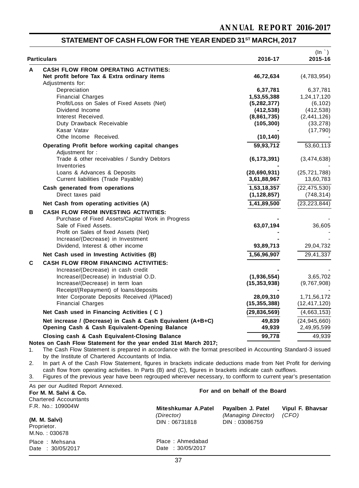## **ANNUAL REPORT 2016-2017**

## **STA ST TEMENT OF CASH FLOW FOR THE YEAR ENDED 31 MARCH, 2017**

|    | <b>Particulars</b>                                                                                                                                                               | 2016-17                     | $(\ln \cdot)$<br>2015-16      |
|----|----------------------------------------------------------------------------------------------------------------------------------------------------------------------------------|-----------------------------|-------------------------------|
| A  | <b>CASH FLOW FROM OPERATING ACTIVITIES:</b><br>Net profit before Tax & Extra ordinary items                                                                                      | 46,72,634                   | (4,783,954)                   |
|    | Adjustments for:<br>Depreciation                                                                                                                                                 | 6,37,781                    | 6,37,781                      |
|    | <b>Financial Charges</b>                                                                                                                                                         | 1,53,55,388                 | 1,24,17,120                   |
|    | Profit/Loss on Sales of Fixed Assets (Net)<br>Dividend Income                                                                                                                    | (5, 282, 377)<br>(412, 538) | (6, 102)<br>(412, 538)        |
|    | Interest Received.                                                                                                                                                               | (8,861,735)                 | (2,441,126)                   |
|    | Duty Drawback Receivable<br>Kasar Vatav                                                                                                                                          | (105, 300)                  | (33, 278)<br>(17, 790)        |
|    | Othe Income Received.                                                                                                                                                            | (10, 140)                   |                               |
|    | Operating Profit before working capital changes<br>Adjustment for:                                                                                                               | 59,93,712                   | 53,60,113                     |
|    | Trade & other receivables / Sundry Debtors<br>Inventories                                                                                                                        | (6, 173, 391)               | (3,474,638)                   |
|    | Loans & Advances & Deposits                                                                                                                                                      | (20, 690, 931)              | (25, 721, 788)                |
|    | Current liabilities (Trade Payable)                                                                                                                                              | 3,61,88,967                 | 13,60,783                     |
|    | Cash generated from operations                                                                                                                                                   | 1,53,18,357                 | (22, 475, 530)                |
|    | Direct taxes paid                                                                                                                                                                | (1, 128, 857)               | (748, 314)                    |
|    | Net Cash from operating activities (A)                                                                                                                                           | 1,41,89,500                 | (23, 223, 844)                |
| в  | <b>CASH FLOW FROM INVESTING ACTIVITIES:</b>                                                                                                                                      |                             |                               |
|    | Purchase of Fixed Assets/Capital Work in Progress                                                                                                                                |                             |                               |
|    | Sale of Fixed Assets.<br>Profit on Sales of fixed Assets (Net)                                                                                                                   | 63,07,194                   | 36,605                        |
|    | Increase/(Decrease) in Investment                                                                                                                                                |                             |                               |
|    | Dividend, Interest & other income                                                                                                                                                | 93,89,713                   | 29,04,732                     |
|    | Net Cash used in Investing Activities (B)                                                                                                                                        | 1,56,96,907                 | 29,41,337                     |
| C  | <b>CASH FLOW FROM FINANCING ACTIVITIES:</b>                                                                                                                                      |                             |                               |
|    | Increase/(Decrease) in cash credit                                                                                                                                               |                             |                               |
|    | Increase/(Decrease) in Industrial O.D.                                                                                                                                           | (1,936,554)                 | 3,65,702                      |
|    | Increase/(Decrease) in term loan                                                                                                                                                 | (15, 353, 938)              | (9,767,908)                   |
|    | Receipt/(Repayment) of loans/deposits                                                                                                                                            |                             |                               |
|    | Inter Corporate Deposits Received /(Placed)<br><b>Financial Charges</b>                                                                                                          | 28,09,310<br>(15, 355, 388) | 1,71,56,172                   |
|    |                                                                                                                                                                                  |                             | (12, 417, 120)                |
|    | Net Cash used in Financing Activities (C)                                                                                                                                        | (29, 836, 569)              | (4,663,153)                   |
|    | Net increase / (Decrease) in Cash & Cash Equivalent (A+B+C)<br>Opening Cash & Cash Equivalent-Opening Balance                                                                    | 49,839<br>49,939            | (24, 945, 660)<br>2,49,95,599 |
|    | Closing cash & Cash Equivalent-Closing Balance                                                                                                                                   | 99,778                      | 49,939                        |
| 1. | Notes on Cash Flow Statement for the year ended 31st March 2017;<br>The Cash Flow Statement is prepared in accordance with the format prescribed in Accounting Standard-3 issued |                             |                               |

by the Institute of Chartered Accountants of India.

2. In part A of the Cash Flow Statement, figures in brackets indicate deductions made from Net Profit for deriving cash flow from operating activities. In Parts (B) and (C), figures in brackets indicate cash outflows.

3. Figures of the previous year have been regrouped wherever necessary, to confform to current year's presentation

As per our Audited Report Annexed. **For M. M. Salvi & Co.** Chartered Accountants F.R. No.: 109004W **(M. M. Salvi)** Proprietor. M.No. : 030678 Place : Mehsana **For and on behalf of the Board** Date : 30/05/2017 **Miteshkumar A.Patel Payalben J. Patel Vipul F. Bhavsar**  $(Director)$  (Managing Director)<br>
DIN: 06731818 DIN: 03086759  $DIN : 06731818$ Place : Ahmedabad Date : 30/05/2017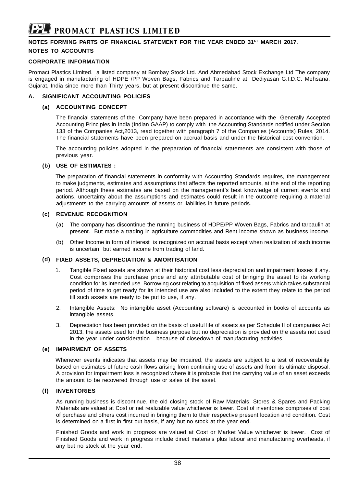## **NO ST TES FORMING PARTS OF FINANCIAL STATEMENT FOR THE YEAR ENDED 31 MARCH 2017.**

## **NOTES TO ACCOUNTS**

## **CORPORATE INFORMATION**

Promact Plastics Limited. a listed company at Bombay Stock Ltd. And Ahmedabad Stock Exchange Ltd The company is engaged in manufacturing of HDPE /PP Woven Bags, Fabrics and Tarpauline at Dediyasan G.I.D.C. Mehsana, Gujarat, India since more than Thirty years, but at present discontinue the same.

## **A. SIGNIFICANT ACCOUNTING POLICIES**

## **(a) ACCOUNTING CONCEPT**

The financial statements of the Company have been prepared in accordance with the Generally Accepted Accounting Principles in India (Indian GAAP) to comply with the Accounting Standards notified under Section 133 of the Companies Act,2013, read together with paragraph 7 of the Companies (Accounts) Rules, 2014. The financial statements have been prepared on accrual basis and under the historical cost convention.

The accounting policies adopted in the preparation of financial statements are consistent with those of previous year.

## **(b) USE OF ESTIMATES :**

The preparation of financial statements in conformity with Accounting Standards requires, the management to make judgments, estimates and assumptions that affects the reported amounts, at the end of the reporting period. Although these estimates are based on the management's best knowledge of current events and actions, uncertainty about the assumptions and estimates could result in the outcome requiring a material adjustments to the carrying amounts of assets or liabilities in future periods.

## **(c) REVENUE RECOGNITION**

- (a) The company has discontinue the running business of HDPE/PP Woven Bags, Fabrics and tarpaulin at present. But made a trading in agriculture commodities and Rent income shown as business income.
- (b) Other Income in form of interest is recognized on accrual basis except when realization of such income is uncertain but earned income from trading of land.

## **(d) FIXED ASSETS, DEPRECIATION & AMORTISATION**

- 1. Tangible Fixed assets are shown at their historical cost less depreciation and impairment losses if any. Cost comprises the purchase price and any attributable cost of bringing the asset to its working condition for its intended use. Borrowing cost relating to acquisition of fixed assets which takes substantial period of time to get ready for its intended use are also included to the extent they relate to the period till such assets are ready to be put to use, if any.
- 2. Intangible Assets: No intangible asset (Accounting software) is accounted in books of accounts as intangible assets.
- 3. Depreciation has been provided on the basis of useful life of assets as per Schedule II of companies Act 2013, the assets used for the business purpose but no depreciation is provided on the assets not used in the year under consideration because of closedown of manufacturing activities.

## **(e) IMPAIRMENT OF ASSETS**

Whenever events indicates that assets may be impaired, the assets are subject to a test of recoverability based on estimates of future cash flows arising from continuing use of assets and from its ultimate disposal. A provision for impairment loss is recognized where it is probable that the carrying value of an asset exceeds the amount to be recovered through use or sales of the asset.

## **(f) INVENTORIES**

As running business is discontinue, the old closing stock of Raw Materials, Stores & Spares and Packing Materials are valued at Cost or net realizable value whichever is lower. Cost of inventories comprises of cost of purchase and others cost incurred in bringing them to their respective present location and condition. Cost is determined on a first in first out basis, if any but no stock at the year end.

Finished Goods and work in progress are valued at Cost or Market Value whichever is lower. Cost of Finished Goods and work in progress include direct materials plus labour and manufacturing overheads, if any but no stock at the year end.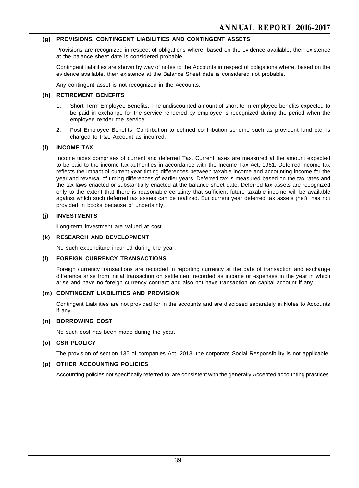## **(g) PROVISIONS, CONTINGENT LIABILITIES AND CONTINGENT ASSETS**

Provisions are recognized in respect of obligations where, based on the evidence available, their existence at the balance sheet date is considered probable.

Contingent liabilities are shown by way of notes to the Accounts in respect of obligations where, based on the evidence available, their existence at the Balance Sheet date is considered not probable.

Any contingent asset is not recognized in the Accounts.

#### **(h) RETIREMENT BENEFITS**

- 1. Short Term Employee Benefits: The undiscounted amount of short term employee benefits expected to be paid in exchange for the service rendered by employee is recognized during the period when the employee render the service.
- 2. Post Employee Benefits: Contribution to defined contribution scheme such as provident fund etc. is charged to P&L Account as incurred.

## **(i) INCOME TAX**

Income taxes comprises of current and deferred Tax. Current taxes are measured at the amount expected to be paid to the income tax authorities in accordance with the Income Tax Act, 1961. Deferred income tax reflects the impact of current year timing differences between taxable income and accounting income for the year and reversal of timing differences of earlier years. Deferred tax is measured based on the tax rates and the tax laws enacted or substantially enacted at the balance sheet date. Deferred tax assets are recognized only to the extent that there is reasonable certainty that sufficient future taxable income will be available against which such deferred tax assets can be realized. But current year deferred tax assets (net) has not provided in books because of uncertainty.

#### **(j) INVESTMENTS**

**L**ong-term investment are valued at cost.

#### **(k) RESEARCH AND DEVELOPMENT**

No such expenditure incurred during the year.

#### **(l) FOREIGN CURRENCY TRANSACTIONS**

Foreign currency transactions are recorded in reporting currency at the date of transaction and exchange difference arise from initial transaction on settlement recorded as income or expenses in the year in which arise and have no foreign currency contract and also not have transaction on capital account if any.

#### **(m) CONTINGENT LIABILITIES AND PROVISION**

Contingent Liabilities are not provided for in the accounts and are disclosed separately in Notes to Accounts if any.

#### **(n) BORROWING COST**

No such cost has been made during the year.

#### **(o) CSR PLOLICY**

The provision of section 135 of companies Act, 2013, the corporate Social Responsibility is not applicable.

#### **(p) OTHER ACCOUNTING POLICIES**

Accounting policies not specifically referred to, are consistent with the generally Accepted accounting practices.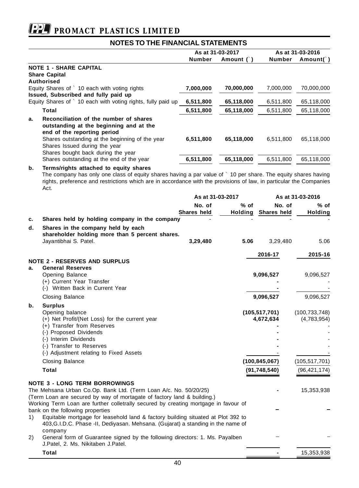## **NOTES TO THE FINANCIAL STATEMENTS**

|    |                                                                                                                                                                                                                                                       |           | As at 31-03-2017 | As at 31-03-2016 |                  |  |
|----|-------------------------------------------------------------------------------------------------------------------------------------------------------------------------------------------------------------------------------------------------------|-----------|------------------|------------------|------------------|--|
| b. |                                                                                                                                                                                                                                                       | Number    | Amount $( )$     | Number           | Amount(`)        |  |
|    | <b>NOTE 1 - SHARE CAPITAL</b>                                                                                                                                                                                                                         |           |                  |                  |                  |  |
|    | <b>Share Capital</b>                                                                                                                                                                                                                                  |           |                  |                  |                  |  |
|    | Authorised                                                                                                                                                                                                                                            |           |                  |                  |                  |  |
|    | Equity Shares of 10 each with voting rights                                                                                                                                                                                                           | 7,000,000 | 70,000,000       | 7,000,000        | 70,000,000       |  |
|    | Issued, Subscribed and fully paid up                                                                                                                                                                                                                  |           |                  |                  |                  |  |
|    | Equity Shares of 10 each with voting rights, fully paid up                                                                                                                                                                                            | 6,511,800 | 65,118,000       | 6,511,800        | 65,118,000       |  |
|    | Total                                                                                                                                                                                                                                                 | 6,511,800 | 65,118,000       | 6,511,800        | 65,118,000       |  |
| а. | Reconciliation of the number of shares<br>outstanding at the beginning and at the<br>end of the reporting period<br>Shares outstanding at the beginning of the year<br>Shares Issued during the year                                                  | 6,511,800 | 65,118,000       | 6,511,800        | 65,118,000       |  |
|    | Shares bought back during the year<br>Shares outstanding at the end of the year                                                                                                                                                                       | 6,511,800 | 65,118,000       | 6,511,800        | 65,118,000       |  |
|    | Terms/rights attached to equity shares                                                                                                                                                                                                                |           |                  |                  |                  |  |
|    | The company has only one class of equity shares having a par value of $\degree$ 10 per share. The equity shares having<br>rights, preference and restrictions which are in accordance with the provisions of law, in particular the Companies<br>Act. |           |                  |                  |                  |  |
|    |                                                                                                                                                                                                                                                       |           | As at 31-03-2017 |                  | As at 31-03-2016 |  |

|    |                                                                                                                                                                      | No. of<br>Shares held | $%$ of | No. of<br>Holding Shares held | $%$ of<br>Holding |
|----|----------------------------------------------------------------------------------------------------------------------------------------------------------------------|-----------------------|--------|-------------------------------|-------------------|
| c. | Shares held by holding company in the company                                                                                                                        |                       |        |                               |                   |
| d. | Shares in the company held by each<br>shareholder holding more than 5 percent shares.                                                                                |                       |        |                               |                   |
|    | Jayantibhai S. Patel.                                                                                                                                                | 3,29,480              | 5.06   | 3,29,480                      | 5.06              |
|    |                                                                                                                                                                      |                       |        | 2016-17                       | 2015-16           |
|    | <b>NOTE 2 - RESERVES AND SURPLUS</b>                                                                                                                                 |                       |        |                               |                   |
| а. | <b>General Reserves</b>                                                                                                                                              |                       |        |                               |                   |
|    | Opening Balance                                                                                                                                                      |                       |        | 9,096,527                     | 9,096,527         |
|    | (+) Current Year Transfer                                                                                                                                            |                       |        |                               |                   |
|    | (-) Written Back in Current Year                                                                                                                                     |                       |        |                               |                   |
|    | <b>Closing Balance</b>                                                                                                                                               |                       |        | 9,096,527                     | 9,096,527         |
| b. | <b>Surplus</b>                                                                                                                                                       |                       |        |                               |                   |
|    | Opening balance                                                                                                                                                      |                       |        | (105, 517, 701)               | (100, 733, 748)   |
|    | (+) Net Profit/(Net Loss) for the current year                                                                                                                       |                       |        | 4,672,634                     | (4,783,954)       |
|    | (+) Transfer from Reserves                                                                                                                                           |                       |        |                               |                   |
|    | (-) Proposed Dividends<br>(-) Interim Dividends                                                                                                                      |                       |        |                               |                   |
|    | (-) Transfer to Reserves                                                                                                                                             |                       |        |                               |                   |
|    | (-) Adjustment relating to Fixed Assets                                                                                                                              |                       |        |                               |                   |
|    | <b>Closing Balance</b>                                                                                                                                               |                       |        | (100, 845, 067)               | (105, 517, 701)   |
|    |                                                                                                                                                                      |                       |        |                               |                   |
|    | Total                                                                                                                                                                |                       |        | (91,748,540)                  | (96,421,174)      |
|    | <b>NOTE 3 - LONG TERM BORROWINGS</b>                                                                                                                                 |                       |        |                               |                   |
|    | The Mehsana Urban Co.Op. Bank Ltd. (Term Loan A/c. No. 50/20/25)                                                                                                     |                       |        |                               | 15,353,938        |
|    | (Term Loan are secured by way of mortagate of factory land & building.)                                                                                              |                       |        |                               |                   |
|    | Working Term Loan are further colletrally secured by creating mortgage in favour of                                                                                  |                       |        |                               |                   |
|    | bank on the following properties                                                                                                                                     |                       |        |                               |                   |
| 1) | Equitable mortgage for leasehold land & factory building situated at Plot 392 to<br>403, G.I.D.C. Phase -II, Dediyasan. Mehsana. (Gujarat) a standing in the name of |                       |        |                               |                   |
| 2) | company<br>General form of Guarantee signed by the following directors: 1. Ms. Payalben<br>J.Patel, 2. Ms. Nikitaben J.Patel.                                        |                       |        |                               |                   |
|    | Total                                                                                                                                                                |                       |        |                               | 15,353,938        |
|    |                                                                                                                                                                      |                       |        |                               |                   |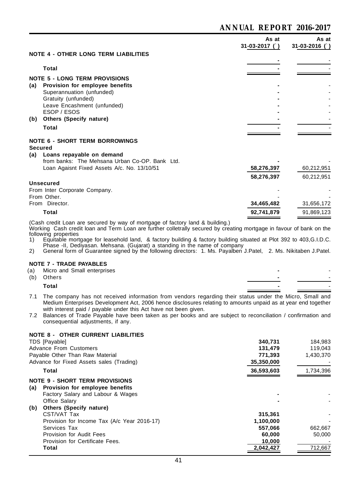## **ANNUAL REPORT 2016-2017**

|                |                                                | As at               | As at               |
|----------------|------------------------------------------------|---------------------|---------------------|
|                |                                                | $31 - 03 - 2017$ () | $31 - 03 - 2016$ () |
|                | <b>NOTE 4 - OTHER LONG TERM LIABILITIES</b>    |                     |                     |
|                |                                                |                     |                     |
|                | Total                                          |                     |                     |
|                | <b>NOTE 5 - LONG TERM PROVISIONS</b>           |                     |                     |
| (a)            | Provision for employee benefits                |                     |                     |
|                | Superannuation (unfunded)                      |                     |                     |
|                | Gratuity (unfunded)                            |                     |                     |
|                | Leave Encashment (unfunded)                    |                     |                     |
|                | ESOP / ESOS                                    |                     |                     |
| (b)            | Others (Specify nature)                        |                     |                     |
|                | Total                                          |                     |                     |
| <b>Secured</b> | <b>NOTE 6 - SHORT TERM BORROWINGS</b>          |                     |                     |
| (a)            | Loans repayable on demand                      |                     |                     |
|                | from banks: The Mehsana Urban Co-OP, Bank Ltd. |                     |                     |
|                | Loan Agaisnt Fixed Assets A/c. No. 13/10/51    | 58,276,397          | 60,212,951          |
|                |                                                | 58,276,397          | 60,212,951          |
|                | Unsecured                                      |                     |                     |
|                | From Inter Corporate Company.                  |                     |                     |
|                | From Other.                                    |                     |                     |
|                | From Director.                                 | 34,465,482          | 31,656,172          |
|                | Total                                          | 92,741,879          | 91,869,123          |

(Cash credit Loan are secured by way of mortgage of factory land & building.)

Working Cash credit loan and Term Loan are further colletrally secured by creating mortgage in favour of bank on the following properties

1) Equitable mortgage for leasehold land, & factory building & factory building situated at Plot 392 to 403,G.I.D.C. Phase -II, Dediyasan. Mehsana. (Gujarat) a standing in the name of company

2) General form of Guarantee signed by the following directors: 1. Ms. Payalben J.Patel, 2. Ms. Nikitaben J.Patel.

## **NOTE 7 - TRADE PAYABLES**

| (a) | Micro and Small enterprises<br>(b) Others                                                                                                                                                                                            | $\overline{\phantom{a}}$ |     |
|-----|--------------------------------------------------------------------------------------------------------------------------------------------------------------------------------------------------------------------------------------|--------------------------|-----|
|     | Total                                                                                                                                                                                                                                |                          |     |
|     | .<br>$\sim$ . The set of the set of the set of the set of the set of the set of the set of the set of the set of the set of the set of the set of the set of the set of the set of the set of the set of the set of the set of the s | .                        | ___ |

7.1 The company has not received information from vendors regarding their status under the Micro, Small and Medium Enterprises Development Act, 2006 hence disclosures relating to amounts unpaid as at year end together with interest paid / payable under this Act have not been given.

7.2 Balances of Trade Payable have been taken as per books and are subject to reconciliation / confirmation and consequential adjustments, if any.

## **NOTE 8 - OTHER CURRENT LIABILITIES**

| <b>TDS [Payable]</b>                        | 340.731    | 184.983   |
|---------------------------------------------|------------|-----------|
| Advance From Customers                      | 131.479    | 119.043   |
| Payable Other Than Raw Material             | 771.393    | 1,430,370 |
| Advance for Fixed Assets sales (Trading)    | 35,350,000 |           |
| Total                                       | 36,593,603 | 1,734,396 |
| <b>NOTE 9 - SHORT TERM PROVISIONS</b>       |            |           |
| Provision for employee benefits<br>(a)      |            |           |
| Factory Salary and Labour & Wages           |            |           |
| Office Salary                               |            |           |
| Others (Specify nature)<br>(b)              |            |           |
| CST/VAT Tax                                 | 315.361    |           |
| Provision for Income Tax (A/c Year 2016-17) | 1,100,000  |           |
| Services Tax                                | 557,066    | 662,667   |
| Provision for Audit Fees                    | 60.000     | 50.000    |
| Provision for Certificate Fees.             | 10,000     |           |
| Total                                       | 2,042,427  | 712,667   |
|                                             |            |           |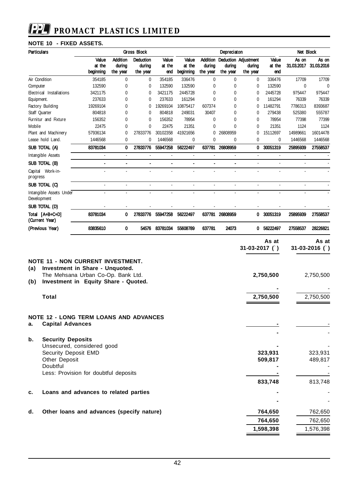#### וכבן **PROMACT PLASTICS LIMITED ---**

#### **NOTE 10 - FIXED ASSETS.**

| <b>Particulars</b>                                                                                                       |                              |                                | <b>Gross Block</b>              |                          |                              |                                | Depreciaton              |                                                   |                        | Net Block                |                                           |
|--------------------------------------------------------------------------------------------------------------------------|------------------------------|--------------------------------|---------------------------------|--------------------------|------------------------------|--------------------------------|--------------------------|---------------------------------------------------|------------------------|--------------------------|-------------------------------------------|
|                                                                                                                          | Value<br>at the<br>beginning | Addition<br>during<br>the year | Deduction<br>during<br>the year | Value<br>at the<br>end   | Value<br>at the<br>beginning | Addition<br>during<br>the year | during<br>the year       | <b>Deduction Adjustment</b><br>during<br>the year | Value<br>at the<br>end | As on                    | As on<br>31.03.2017 31.03.2016            |
| Air Condition                                                                                                            | 354185                       | 0                              | 0                               | 354185                   | 336476                       | 0                              | 0                        | 0                                                 | 336476                 | 17709                    | 17709                                     |
| Computer                                                                                                                 | 132590                       | $\bf{0}$                       | 0                               | 132590                   | 132590                       | 0                              | 0                        | 0                                                 | 132590                 | 0                        | 0                                         |
| Electrical Installations                                                                                                 | 3421175                      | $\bf{0}$                       | 0                               | 3421175                  | 2445728                      | 0                              | 0                        | 0                                                 | 2445728                | 975447                   | 975447                                    |
| Equipment.                                                                                                               | 237633                       | $\bf{0}$                       | 0                               | 237633                   | 161294                       | 0                              | 0                        | 0                                                 | 161294                 | 76339                    | 76339                                     |
| <b>Factory Building</b>                                                                                                  | 19269104                     | $\bf{0}$                       | 0                               | 19269104                 | 10875417                     | 607374                         | 0                        | 0                                                 | 11482791               | 7786313                  | 8393687                                   |
| Staff Quarter                                                                                                            | 804818                       | $\bf{0}$                       | 0                               | 804818                   | 249031                       | 30407                          | $\mathbf 0$              | 0                                                 | 279438                 | 525380                   | 555787                                    |
| Furnitur and Fixture                                                                                                     | 156352                       | $\bf{0}$                       | 0                               | 156352                   | 78954                        | 0                              | 0                        | $\mathbf{0}$                                      | 78954                  | 77398                    | 77399                                     |
| Mobile                                                                                                                   | 22475                        | $\bf{0}$                       | 0                               | 22475                    | 21351                        | 0                              | 0                        | $\mathbf{0}$                                      | 21351                  | 1124                     | 1124                                      |
| Plant and Machinery                                                                                                      | 57936134                     | 0                              | 27833776                        | 30102358                 | 41921656                     |                                | 0 26808959               | 0                                                 | 15112697               | 14989661                 | 16014478                                  |
| Lease hold Land.                                                                                                         | 1446568                      | $\bf{0}$                       | 0                               | 1446568                  | 0                            | 0                              | 0                        | 0                                                 | 0                      | 1446568                  | 1446568                                   |
| SUB TOTAL (A)                                                                                                            | 83781034                     | 0                              | 27833776                        | 55947258                 | 56222497                     |                                | 637781 26808959          | 0                                                 | 30051319               | 25895939                 | 27558537                                  |
| Intangible Assets                                                                                                        | ÷,                           | ÷,                             | ÷,                              |                          |                              |                                | ÷,                       |                                                   | ä,                     |                          |                                           |
| SUB TOTAL (B)                                                                                                            | $\blacksquare$               |                                | ÷,                              | $\overline{a}$           | $\blacksquare$               | ٠                              | $\overline{\phantom{a}}$ | ÷,                                                | ÷,                     | $\overline{\phantom{a}}$ | $\overline{\phantom{a}}$                  |
| Capital Work-in-<br>progress                                                                                             |                              |                                |                                 |                          |                              |                                |                          |                                                   |                        |                          |                                           |
| SUB TOTAL (C)                                                                                                            | $\overline{a}$               | L,                             | L,                              | $\overline{\phantom{a}}$ | L,                           | $\overline{a}$                 | ÷,                       | ÷,                                                | $\overline{a}$         | $\overline{a}$           |                                           |
| Intangible Assets Under<br>Development                                                                                   |                              |                                |                                 |                          |                              |                                | L.                       |                                                   |                        |                          |                                           |
| Sub Total (D)                                                                                                            |                              |                                |                                 |                          |                              |                                |                          |                                                   |                        |                          |                                           |
| Total [A+B+C+D]<br>(Current Year)                                                                                        | 83781034                     | 0                              | 27833776                        | 55947258                 | 56222497                     |                                | 637781 26808959          |                                                   | 0 30051319             | 25895939                 | 27558537                                  |
| (Previous Year)                                                                                                          | 83835610                     | 0                              | 54576                           | 83781034                 | 55608789                     | 637781                         | 24073                    |                                                   | 0 56222497             | 27558537                 | 28226821                                  |
| <b>NOTE 11 - NON CURRENT INVESTMENT.</b><br>Investment in Share - Unquoted.<br>(a)<br>The Mehsana Urban Co-Op. Bank Ltd. |                              |                                |                                 |                          |                              |                                |                          | $31 - 03 - 2017$ ()                               | As at<br>2,750,500     |                          | As at<br>$31 - 03 - 2016$ ()<br>2,750,500 |
| Investment in Equity Share - Quoted.<br>(b)                                                                              |                              |                                |                                 |                          |                              |                                |                          |                                                   |                        |                          |                                           |
| Total                                                                                                                    |                              |                                |                                 |                          |                              |                                |                          |                                                   | 2,750,500              |                          | 2,750,500                                 |
| NOTE 12 - LONG TERM LOANS AND ADVANCES<br><b>Capital Advances</b><br>a.                                                  |                              |                                |                                 |                          |                              |                                |                          |                                                   |                        |                          |                                           |
| b.<br><b>Security Deposits</b><br>Unsecured, considered good<br><b>Security Deposit EMD</b><br>Other Deposit<br>Doubtful |                              |                                |                                 |                          |                              |                                |                          |                                                   | 323,931<br>509,817     |                          | 323,931<br>489,817                        |
| Less: Provision for doubtful deposits                                                                                    |                              |                                |                                 |                          |                              |                                |                          |                                                   | 833,748                |                          | 813,748                                   |
| Loans and advances to related parties<br>c.                                                                              |                              |                                |                                 |                          |                              |                                |                          |                                                   |                        |                          |                                           |
|                                                                                                                          |                              |                                |                                 |                          |                              |                                |                          |                                                   |                        |                          |                                           |
| Other loans and advances (specify nature)<br>d.                                                                          |                              |                                |                                 |                          |                              |                                |                          |                                                   | 764,650                |                          | 762,650                                   |
|                                                                                                                          |                              |                                |                                 |                          |                              |                                |                          |                                                   | 764,650                |                          | 762,650                                   |
|                                                                                                                          |                              |                                |                                 |                          |                              |                                |                          |                                                   | 1,598,398              |                          | 1,576,398                                 |

 $\equiv$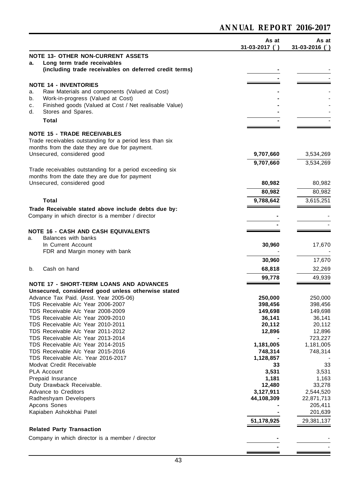Ξ

|          |                                                                                               | As at          | As at             |
|----------|-----------------------------------------------------------------------------------------------|----------------|-------------------|
|          | <b>NOTE 13- OTHER NON-CURRENT ASSETS</b>                                                      | 31-03-2017 (`) | 31-03-2016 (`)    |
| a.       | Long term trade receivables                                                                   |                |                   |
|          | (including trade receivables on deferred credit terms)                                        |                |                   |
|          |                                                                                               |                |                   |
|          | <b>NOTE 14 - INVENTORIES</b>                                                                  |                |                   |
| a.       | Raw Materials and components (Valued at Cost)                                                 |                |                   |
| b.<br>с. | Work-in-progress (Valued at Cost)<br>Finished goods (Valued at Cost / Net realisable Value)   |                |                   |
| d.       | Stores and Spares.                                                                            |                |                   |
|          | <b>Total</b>                                                                                  |                |                   |
|          |                                                                                               |                |                   |
|          | <b>NOTE 15 - TRADE RECEIVABLES</b>                                                            |                |                   |
|          | Trade receivables outstanding for a period less than six                                      |                |                   |
|          | months from the date they are due for payment.<br>Unsecured, considered good                  | 9,707,660      |                   |
|          |                                                                                               |                | 3,534,269         |
|          | Trade receivables outstanding for a period exceeding six                                      | 9,707,660      | 3,534,269         |
|          | months from the date they are due for payment                                                 |                |                   |
|          | Unsecured, considered good                                                                    | 80,982         | 80,982            |
|          |                                                                                               | 80,982         | 80,982            |
|          | Total                                                                                         | 9,788,642      | 3,615,251         |
|          | Trade Receivable stated above include debts due by:                                           |                |                   |
|          | Company in which director is a member / director                                              |                |                   |
|          |                                                                                               |                |                   |
|          | <b>NOTE 16 - CASH AND CASH EQUIVALENTS</b>                                                    |                |                   |
| a.       | Balances with banks                                                                           |                |                   |
|          | In Current Account                                                                            | 30,960         | 17,670            |
|          | FDR and Margin money with bank                                                                |                |                   |
|          |                                                                                               | 30,960         | 17,670            |
| b.       | Cash on hand                                                                                  | 68,818         | 32,269            |
|          |                                                                                               | 99,778         | 49,939            |
|          | NOTE 17 - SHORT-TERM LOANS AND ADVANCES<br>Unsecured, considered good unless otherwise stated |                |                   |
|          | Advance Tax Paid. (Asst. Year 2005-06)                                                        | 250,000        | 250,000           |
|          | TDS Receivable A/c Year 2006-2007                                                             | 398,456        | 398,456           |
|          | TDS Receivable A/c Year 2008-2009                                                             | 149,698        | 149,698           |
|          | TDS Receivable A/c Year 2009-2010                                                             | 36,141         | 36,141            |
|          | TDS Receivable A/c Year 2010-2011<br>TDS Receivable A/c Year 2011-2012                        | 20,112         | 20,112            |
|          | TDS Receivable A/c Year 2013-2014                                                             | 12,896         | 12,896<br>723,227 |
|          | TDS Receivable A/c Year 2014-2015                                                             | 1,181,005      | 1,181,005         |
|          | TDS Receivable A/c Year 2015-2016                                                             | 748,314        | 748,314           |
|          | TDS Receivable A/c. Year 2016-2017                                                            | 1,128,857      |                   |
|          | Modvat Credit Receivable                                                                      | 33             | 33                |
|          | PLA Account<br>Prepaid Insurance                                                              | 3,531<br>1,181 | 3,531             |
|          | Duty Drawback Receivable.                                                                     | 12,480         | 1,163<br>33,278   |
|          | Advance to Creditors                                                                          | 3,127,911      | 2,544,520         |
|          | Radheshyam Developers                                                                         | 44,108,309     | 22,871,713        |
|          | Apcons Sones                                                                                  |                | 205,411           |
|          | Kapiaben Ashokbhai Patel                                                                      |                | 201,639           |
|          |                                                                                               | 51,178,925     | 29,381,137        |
|          | <b>Related Party Transaction</b>                                                              |                |                   |
|          | Company in which director is a member / director                                              |                |                   |
|          |                                                                                               |                |                   |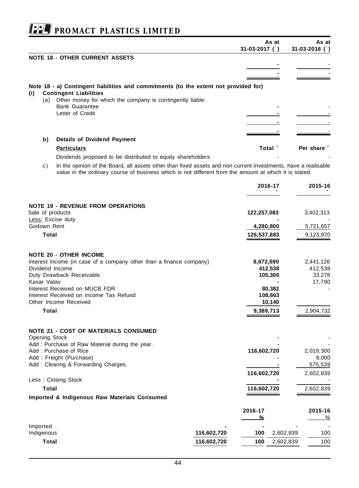|     |                                                                                                                                                                                                                                | As at               | As at               |
|-----|--------------------------------------------------------------------------------------------------------------------------------------------------------------------------------------------------------------------------------|---------------------|---------------------|
|     |                                                                                                                                                                                                                                | $31 - 03 - 2017$ () | $31 - 03 - 2016$ () |
|     | <b>NOTE 18 - OTHER CURRENT ASSETS</b>                                                                                                                                                                                          |                     |                     |
|     |                                                                                                                                                                                                                                |                     |                     |
|     |                                                                                                                                                                                                                                |                     |                     |
| (i) | Note 18 - a) Contingent liabilities and commitments (to the extent not provided for)<br><b>Contingent Liabilities</b>                                                                                                          |                     |                     |
|     | (a) Other money for which the company is contingently liable:                                                                                                                                                                  |                     |                     |
|     | <b>Bank Guarantee</b>                                                                                                                                                                                                          |                     |                     |
|     | Letter of Credit                                                                                                                                                                                                               |                     |                     |
|     |                                                                                                                                                                                                                                |                     |                     |
|     |                                                                                                                                                                                                                                |                     |                     |
|     | b)<br>Details of Dividend Payment                                                                                                                                                                                              |                     |                     |
|     | <b>Particulars</b>                                                                                                                                                                                                             | Total               | Per share           |
|     | Dividends proposed to be distributed to equity shareholders                                                                                                                                                                    |                     |                     |
|     | In the opinion of the Board, all assets other than fixed assets and non current investments, have a realisable<br>c)<br>value in the ordinary course of business which is not different from the amount at which it is stated. |                     |                     |
|     |                                                                                                                                                                                                                                | 2016-17             | 2015-16             |
|     |                                                                                                                                                                                                                                |                     |                     |
|     | <b>NOTE 19 - REVENUE FROM OPERATIONS</b>                                                                                                                                                                                       |                     |                     |
|     | Sale of products<br>Less: Excise duty                                                                                                                                                                                          | 122,257,083         | 3,402,313           |
|     | Godown Rent                                                                                                                                                                                                                    | 4,280,800           | 5,721,657           |
|     | Total                                                                                                                                                                                                                          | 126,537,883         | 9,123,970           |
|     | <b>NOTE 20 - OTHER INCOME</b>                                                                                                                                                                                                  |                     |                     |
|     | Interest Income (in case of a company other than a finance company)                                                                                                                                                            | 8,672,690           | 2,441,126           |
|     | Dividend Income                                                                                                                                                                                                                | 412,538             | 412,538             |
|     | Duty Drawback Receivable.<br>Kasar Vatav                                                                                                                                                                                       | 105,300             | 33,278<br>17,790    |
|     | Interest Received on MUCB FDR                                                                                                                                                                                                  | 80,382              |                     |
|     | Interest Received on Income Tax Refund                                                                                                                                                                                         | 108,663             |                     |
|     | Other Income Received                                                                                                                                                                                                          | 10,140              |                     |
|     | Total                                                                                                                                                                                                                          | 9,389,713           | 2,904,732           |
|     | NOTE 21 - COST OF MATERIALS CONSUMED                                                                                                                                                                                           |                     |                     |
|     | Opening Stock                                                                                                                                                                                                                  |                     |                     |
|     | Add: Purchase of Raw Material during the year.                                                                                                                                                                                 |                     |                     |
|     | Add: Purchase of Rice<br>Add: Freight (Purchase)                                                                                                                                                                               | 116,602,720         | 2,019,300<br>8,000  |
|     | Add: Clearing & Forwarding Charges.                                                                                                                                                                                            |                     | 575,539             |
|     |                                                                                                                                                                                                                                | 116,602,720         | 2,602,839           |
|     | Less: Closing Stock                                                                                                                                                                                                            |                     |                     |

**Total 116,602,720** 2,602,839

**Imported & Indigenous Raw Materials Consumed**

|            |                | 2016-17<br>%   |                          | 2015-16<br>% |
|------------|----------------|----------------|--------------------------|--------------|
| Imported   | $\blacksquare$ | $\blacksquare$ | $\overline{\phantom{a}}$ | ٠            |
| Indigenous | 116,602,720    | 100            | 2,602,839                | 100          |
| Total      | 116,602,720    | 100            | 2,602,839                | 100          |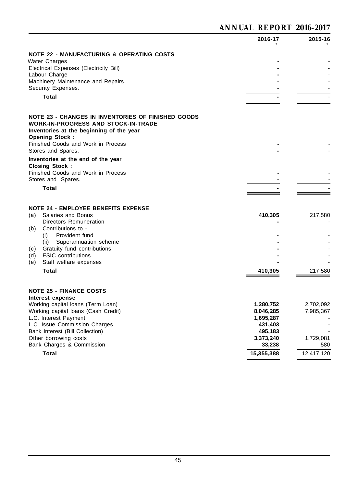## **ANNUAL REPORT 2016-2017**

|                                                                                                                                              | 2016-17             | 2015-16          |
|----------------------------------------------------------------------------------------------------------------------------------------------|---------------------|------------------|
| NOTE 22 - MANUFACTURING & OPERATING COSTS                                                                                                    |                     |                  |
| Water Charges                                                                                                                                |                     |                  |
| Electrical Expenses (Electricity Bill)                                                                                                       |                     |                  |
| Labour Charge<br>Machinery Maintenance and Repairs.                                                                                          |                     |                  |
| Security Expenses.                                                                                                                           |                     |                  |
| Total                                                                                                                                        |                     |                  |
|                                                                                                                                              |                     |                  |
| NOTE 23 - CHANGES IN INVENTORIES OF FINISHED GOODS<br><b>WORK-IN-PROGRESS AND STOCK-IN-TRADE</b><br>Inventories at the beginning of the year |                     |                  |
| <b>Opening Stock:</b>                                                                                                                        |                     |                  |
| Finished Goods and Work in Process                                                                                                           |                     |                  |
| Stores and Spares.                                                                                                                           |                     |                  |
| Inventories at the end of the year<br><b>Closing Stock:</b>                                                                                  |                     |                  |
| Finished Goods and Work in Process                                                                                                           |                     |                  |
| Stores and Spares.                                                                                                                           |                     |                  |
| Total                                                                                                                                        |                     |                  |
|                                                                                                                                              |                     |                  |
| <b>NOTE 24 - EMPLOYEE BENEFITS EXPENSE</b>                                                                                                   |                     |                  |
| Salaries and Bonus<br>(a)                                                                                                                    | 410,305             | 217,580          |
| Directors Remuneration                                                                                                                       |                     |                  |
| Contributions to -<br>(b)                                                                                                                    |                     |                  |
| Provident fund<br>(i)<br>Superannuation scheme<br>(ii)                                                                                       |                     |                  |
| Gratuity fund contributions<br>(c)                                                                                                           |                     |                  |
| <b>ESIC</b> contributions<br>(d)                                                                                                             |                     |                  |
| Staff welfare expenses<br>(e)                                                                                                                |                     |                  |
| Total                                                                                                                                        | 410,305             | 217,580          |
| <b>NOTE 25 - FINANCE COSTS</b><br>Interest expense                                                                                           |                     |                  |
| Working capital loans (Term Loan)                                                                                                            | 1,280,752           | 2,702,092        |
| Working capital loans (Cash Credit)                                                                                                          | 8,046,285           | 7,985,367        |
| L.C. Interest Payment                                                                                                                        | 1,695,287           |                  |
| L.C. Issue Commission Charges                                                                                                                | 431,403             |                  |
| Bank Interest (Bill Collection)                                                                                                              | 495,183             |                  |
| Other borrowing costs<br>Bank Charges & Commission                                                                                           | 3,373,240<br>33,238 | 1,729,081<br>580 |
| <b>Total</b>                                                                                                                                 | 15,355,388          | 12,417,120       |
|                                                                                                                                              |                     |                  |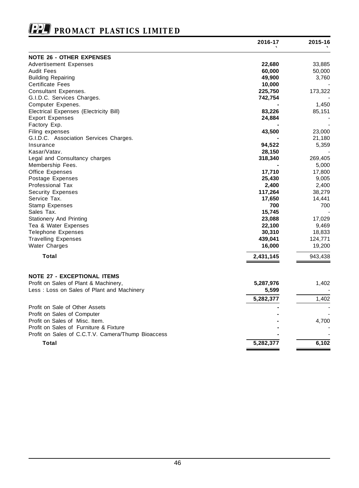|                                                    | 2016-17   | 2015-16 |
|----------------------------------------------------|-----------|---------|
| <b>NOTE 26 - OTHER EXPENSES</b>                    |           |         |
| <b>Advertisement Expenses</b>                      | 22,680    | 33,885  |
| <b>Audit Fees</b>                                  | 60,000    | 50,000  |
| <b>Building Repairing</b>                          | 49,900    | 3,760   |
| <b>Certificate Fees</b>                            | 10,000    |         |
| Consultant Expenses.                               | 225,750   | 173,322 |
| G.I.D.C. Services Charges.                         | 742,754   |         |
| Computer Expenes.                                  |           | 1,450   |
| Electrical Expenses (Electricity Bill)             | 83,226    | 85,151  |
| <b>Export Expenses</b>                             | 24,884    |         |
|                                                    |           |         |
| Factory Exp.                                       |           |         |
| Filing expenses                                    | 43,500    | 23,000  |
| G.I.D.C. Association Services Charges.             |           | 21,180  |
| Insurance                                          | 94,522    | 5,359   |
| Kasar/Vatav.                                       | 28,150    |         |
| Legal and Consultancy charges                      | 318,340   | 269,405 |
| Membership Fees.                                   |           | 5,000   |
| <b>Office Expenses</b>                             | 17,710    | 17,800  |
| Postage Expenses                                   | 25,430    | 9,005   |
| <b>Professional Tax</b>                            | 2,400     | 2,400   |
| <b>Security Expenses</b>                           | 117,264   | 38,279  |
| Service Tax.                                       | 17,650    | 14,441  |
| <b>Stamp Expenses</b>                              | 700       | 700     |
| Sales Tax.                                         | 15,745    |         |
| <b>Stationery And Printing</b>                     | 23,088    | 17,029  |
| Tea & Water Expenses                               | 22,100    | 9,469   |
| <b>Telephone Expenses</b>                          | 30,310    | 18,833  |
| <b>Travelling Expenses</b>                         | 439,041   | 124,771 |
| Water Charges                                      | 16,000    | 19,200  |
| Total                                              | 2,431,145 | 943,438 |
|                                                    |           |         |
| <b>NOTE 27 - EXCEPTIONAL ITEMS</b>                 |           |         |
| Profit on Sales of Plant & Machinery,              | 5,287,976 | 1,402   |
| Less: Loss on Sales of Plant and Machinery         | 5,599     |         |
|                                                    | 5,282,377 | 1,402   |
| Profit on Sale of Other Assets                     |           |         |
| Profit on Sales of Computer                        |           |         |
| Profit on Sales of Misc. Item.                     |           | 4,700   |
| Profit on Sales of Furniture & Fixture             |           |         |
| Profit on Sales of C.C.T.V. Camera/Thump Bioaccess |           |         |
|                                                    |           |         |
| Total                                              | 5,282,377 | 6,102   |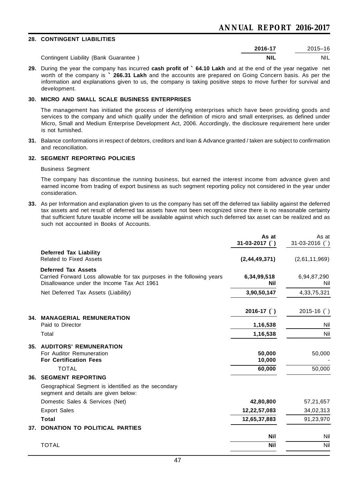## **28. CONTINGENT LIABILITIES**

|                                       | 2016-17    | 2015-16 |
|---------------------------------------|------------|---------|
| Contingent Liability (Bank Guarantee) | <b>NIL</b> | NIL     |

**29.** During the year the company has incurred **cash profit of** ` **64.10 Lakh** and at the end of the year negative net worth of the company is ` **266.31 Lakh** and the accounts are prepared on Going Concern basis. As per the information and explanations given to us, the company is taking positive steps to move further for survival and development.

## **30. MICRO AND SMALL SCALE BUSINESS ENTERPRISES**

The management has initiated the process of identifying enterprises which have been providing goods and services to the company and which qualify under the definition of micro and small enterprises, as defined under Micro, Small and Medium Enterprise Development Act, 2006. Accordingly, the disclosure requirement here under is not furnished.

**31.** Balance conformations in respect of debtors, creditors and loan & Advance granted / taken are subject to confirmation and reconciliation.

## **32. SEGMENT REPORTING POLICIES**

Business Segment

The company has discontinue the running business, but earned the interest income from advance given and earned income from trading of export business as such segment reporting policy not considered in the year under consideration.

**33.** As per Information and explanation given to us the company has set off the deferred tax liability against the deferred tax assets and net result of deferred tax assets have not been recognized since there is no reasonable certainty that sufficient future taxable income will be available against which such deferred tax asset can be realized and as such not accounted in Books of Accounts.

|     |                                                                                                                      | As at               | As at                |
|-----|----------------------------------------------------------------------------------------------------------------------|---------------------|----------------------|
|     |                                                                                                                      | $31 - 03 - 2017$ () | $31 - 03 - 2016$ (1) |
|     | Deferred Tax Liability<br>Related to Fixed Assets                                                                    | (2, 44, 49, 371)    | (2,61,11,969)        |
|     | <b>Deferred Tax Assets</b>                                                                                           |                     |                      |
|     | Carried Forward Loss allowable for tax purposes in the following years<br>Disallowance under the Income Tax Act 1961 | 6,34,99,518<br>Nil  | 6,94,87,290<br>Nil   |
|     | Net Deferred Tax Assets (Liability)                                                                                  | 3,90,50,147         | 4,33,75,321          |
|     |                                                                                                                      | $2016-17$ ()        | $2015 - 16$ (1)      |
| 34. | <b>MANAGERIAL REMUNERATION</b>                                                                                       |                     |                      |
|     | Paid to Director                                                                                                     | 1,16,538            | Nil                  |
|     | Total                                                                                                                | 1,16,538            | Nil                  |
| 35. | <b>AUDITORS' REMUNERATION</b>                                                                                        |                     |                      |
|     | For Auditor Remuneration                                                                                             | 50,000              | 50,000               |
|     | <b>For Certification Fees</b>                                                                                        | 10,000              |                      |
|     | <b>TOTAL</b>                                                                                                         | 60.000              | 50,000               |
|     | <b>36. SEGMENT REPORTING</b>                                                                                         |                     |                      |
|     | Geographical Segment is identified as the secondary<br>segment and details are given below:                          |                     |                      |
|     | Domestic Sales & Services (Net)                                                                                      | 42,80,800           | 57,21,657            |
|     | <b>Export Sales</b>                                                                                                  | 12,22,57,083        | 34,02,313            |
|     | Total                                                                                                                | 12,65,37,883        | 91,23,970            |
| 37. | <b>DONATION TO POLITICAL PARTIES</b>                                                                                 |                     |                      |
|     |                                                                                                                      | Nil                 | Nil                  |
|     | <b>TOTAL</b>                                                                                                         | Nil                 | Nil                  |
|     |                                                                                                                      |                     |                      |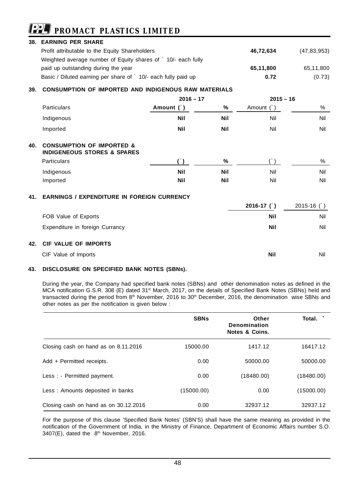|     | <b>38. EARNING PER SHARE</b>                                                   |             |            |              |                  |
|-----|--------------------------------------------------------------------------------|-------------|------------|--------------|------------------|
|     | Profit attributable to the Equity Shareholders                                 |             |            | 46,72,634    | (47, 83, 953)    |
|     | Weighted average number of Equity shares of ` 10/- each fully                  |             |            |              |                  |
|     | paid up outstanding during the year                                            |             |            | 65,11,800    | 65,11,800        |
|     | Basic / Diluted earning per share of ` 10/- each fully paid up                 |             |            | 0.72         | (0.73)           |
| 39. | <b>CONSUMPTION OF IMPORTED AND INDIGENOUS RAW MATERIALS</b>                    |             |            |              |                  |
|     |                                                                                | $2016 - 17$ |            | $2015 - 16$  |                  |
|     | Particulars                                                                    | Amount (`)  | %          | Amount $( )$ | %                |
|     | Indigenous                                                                     | <b>Nil</b>  | Nil        | Nil          | Nil              |
|     | Imported                                                                       | <b>Nil</b>  | <b>Nil</b> | Nil          | Nil              |
| 40. | <b>CONSUMPTION OF IMPORTED &amp;</b><br><b>INDIGENEOUS STORES &amp; SPARES</b> |             |            |              |                  |
|     | Particulars                                                                    | $($ )       | %          | $($ )        | %                |
|     | Indigenous                                                                     | <b>Nil</b>  | Nil        | Nil          | Nil              |
|     | Imported                                                                       | <b>Nil</b>  | <b>Nil</b> | Nil          | Nil              |
| 41. | <b>EARNINGS / EXPENDITURE IN FOREIGN CURRENCY</b>                              |             |            |              |                  |
|     |                                                                                |             |            | $2016-17$ () | 2015-16<br>$($ ) |
|     | FOB Value of Exports                                                           |             |            | <b>Nil</b>   | Nil              |
|     | Expenditure in foreign Currancy                                                |             |            | Nil          | Nil              |
| 42. | <b>CIF VALUE OF IMPORTS</b>                                                    |             |            |              |                  |
|     | CIF Value of Imports                                                           |             |            | Nil          | Nil              |
|     |                                                                                |             |            |              |                  |

## **43. DISCLOSURE ON SPECIFIED BANK NOTES (SBNs).**

During the year, the Company had specified bank notes (SBNs) and other denomination notes as defined in the MCA notification G.S.R. 308 (E) dated 31<sup>st</sup> March, 2017, on the details of Specified Bank Notes (SBNs) held and transacted during the period from 8<sup>th</sup> November, 2016 to 30<sup>th</sup> December, 2016, the denomination wise SBNs and other notes as per the notification is given below :

|                                       | <b>SBNs</b> | Other<br>Denomination<br>Notes & Coins. | Total.     |
|---------------------------------------|-------------|-----------------------------------------|------------|
| Closing cash on hand as on 8.11.2016  | 15000.00    | 1417.12                                 | 16417.12   |
| Add + Permitted receipts.             | 0.00        | 50000.00                                | 50000.00   |
| Less : - Permitted payment.           | 0.00        | (18480.00)                              | (18480.00) |
| Less: Amounts deposited in banks      | (15000.00)  | 0.00                                    | (15000.00) |
| Closing cash on hand as on 30.12.2016 | 0.00        | 32937.12                                | 32937.12   |

For the purpose of this clause 'Specified Bank Notes' (SBN'S) shall have the same meaning as provided in the notification of the Government of India, in the Ministry of Finance, Department of Economic Affairs number S.O.  $3407(E)$ , dated the  $8<sup>th</sup>$  November, 2016.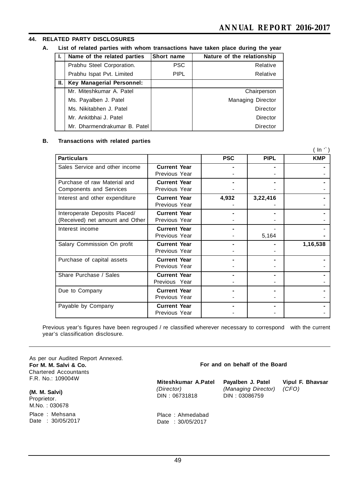## **44. RELATED PARTY DISCLOSURES**

**A. List of related parties with whom transactions have taken place during the year**

| п. | Name of the related parties  | Short name  | Nature of the relationship |
|----|------------------------------|-------------|----------------------------|
|    | Prabhu Steel Corporation.    | <b>PSC</b>  | Relative                   |
|    | Prabhu Ispat Pvt. Limited    | <b>PIPL</b> | Relative                   |
| Ш. | Key Managerial Personnel:    |             |                            |
|    | Mr. Miteshkumar A. Patel     |             | Chairperson                |
|    | Ms. Payalben J. Patel        |             | <b>Managing Director</b>   |
|    | Ms. Nikitabhen J. Patel      |             | Director                   |
|    | Mr. Ankitbhai J. Patel       |             | <b>Director</b>            |
|    | Mr. Dharmendrakumar B. Patel |             | Director                   |

## **B. Transactions with related parties**

|                                                                  |                                      |            |             | $(\ln \degree)$ |
|------------------------------------------------------------------|--------------------------------------|------------|-------------|-----------------|
| <b>Particulars</b>                                               |                                      | <b>PSC</b> | <b>PIPL</b> | <b>KMP</b>      |
| Sales Service and other income                                   | <b>Current Year</b><br>Previous Year |            |             |                 |
| Purchase of raw Material and<br><b>Components and Services</b>   | <b>Current Year</b><br>Previous Year |            |             |                 |
| Interest and other expenditure                                   | <b>Current Year</b><br>Previous Year | 4,932      | 3,22,416    |                 |
| Interoperate Deposits Placed/<br>(Received) net amount and Other | <b>Current Year</b><br>Previous Year |            |             |                 |
| Interest income                                                  | <b>Current Year</b><br>Previous Year |            | 5,164       |                 |
| Salary Commission On profit                                      | <b>Current Year</b><br>Previous Year |            |             | 1,16,538        |
| Purchase of capital assets                                       | <b>Current Year</b><br>Previous Year |            |             |                 |
| Share Purchase / Sales                                           | <b>Current Year</b><br>Previous Year |            |             |                 |
| Due to Company                                                   | <b>Current Year</b><br>Previous Year |            |             |                 |
| Payable by Company                                               | <b>Current Year</b><br>Previous Year |            |             |                 |

Previous year's figures have been regrouped / re classified wherever necessary to correspond with the current year's classification disclosure.

As per our Audited Report Annexed. **For M. M. Salvi & Co.** Chartered Accountants F.R. No.: 109004W

**(M. M. Salvi)** Proprietor. M.No. : 030678 Place : Mehsana Date : 30/05/2017 **For and on behalf of the Board**

**Miteshkumar A.Patel Payalben J. Patel Vipul F. Bhavsar** DIN : 06731818

(Director) (Managing Director) (CFO)<br>
DIN: 06731818 DIN: 03086759

Place : Ahmedabad Date : 30/05/2017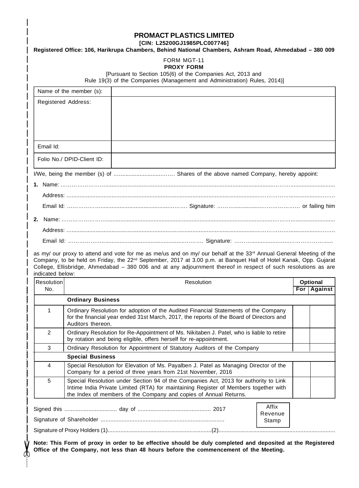| <b>PROMACT PLASTICS LIMITED</b> |  |  |
|---------------------------------|--|--|
|---------------------------------|--|--|

**[CIN: L25200GJ1985PLC007746]**

**Registered Office: 106, Harikrupa Chambers, Behind National Chambers, Ashram Road, Ahmedabad – 380 009**

#### FORM MGT-11 **PROXY FORM**

[Pursuant to Section 105(6) of the Companies Act, 2013 and Rule 19(3) of the Companies (Management and Administration) Rules, 2014)]

|                   | Name of the member (s):                                                                                                                                                                                                                           |                                                                    |                                                                                                                                                                                                                                                                                                                                                                        |                  |                            |  |
|-------------------|---------------------------------------------------------------------------------------------------------------------------------------------------------------------------------------------------------------------------------------------------|--------------------------------------------------------------------|------------------------------------------------------------------------------------------------------------------------------------------------------------------------------------------------------------------------------------------------------------------------------------------------------------------------------------------------------------------------|------------------|----------------------------|--|
|                   | Registered Address:                                                                                                                                                                                                                               |                                                                    |                                                                                                                                                                                                                                                                                                                                                                        |                  |                            |  |
| Email Id:         |                                                                                                                                                                                                                                                   |                                                                    |                                                                                                                                                                                                                                                                                                                                                                        |                  |                            |  |
|                   | Folio No./ DPID-Client ID:                                                                                                                                                                                                                        |                                                                    |                                                                                                                                                                                                                                                                                                                                                                        |                  |                            |  |
|                   |                                                                                                                                                                                                                                                   |                                                                    |                                                                                                                                                                                                                                                                                                                                                                        |                  |                            |  |
|                   |                                                                                                                                                                                                                                                   |                                                                    |                                                                                                                                                                                                                                                                                                                                                                        |                  |                            |  |
|                   |                                                                                                                                                                                                                                                   |                                                                    |                                                                                                                                                                                                                                                                                                                                                                        |                  |                            |  |
|                   |                                                                                                                                                                                                                                                   |                                                                    |                                                                                                                                                                                                                                                                                                                                                                        |                  |                            |  |
|                   |                                                                                                                                                                                                                                                   |                                                                    |                                                                                                                                                                                                                                                                                                                                                                        |                  |                            |  |
|                   |                                                                                                                                                                                                                                                   |                                                                    |                                                                                                                                                                                                                                                                                                                                                                        |                  |                            |  |
|                   |                                                                                                                                                                                                                                                   |                                                                    |                                                                                                                                                                                                                                                                                                                                                                        |                  |                            |  |
| indicated below:  |                                                                                                                                                                                                                                                   |                                                                    | as my/ our proxy to attend and vote for me as me/us and on my/ our behalf at the 33rd Annual General Meeting of the<br>Company, to be held on Friday, the 22 <sup>nd</sup> September, 2017 at 3.00 p.m. at Banquet Hall of Hotel Kanak, Opp. Gujarat<br>College, Ellisbridge, Ahmedabad - 380 006 and at any adjournment thereof in respect of such resolutions as are |                  |                            |  |
| Resolution<br>No. |                                                                                                                                                                                                                                                   |                                                                    | Resolution                                                                                                                                                                                                                                                                                                                                                             |                  | Optional<br>Against<br>For |  |
|                   | <b>Ordinary Business</b>                                                                                                                                                                                                                          |                                                                    |                                                                                                                                                                                                                                                                                                                                                                        |                  |                            |  |
| $\mathbf{1}$      | Auditors thereon.                                                                                                                                                                                                                                 |                                                                    | Ordinary Resolution for adoption of the Audited Financial Statements of the Company<br>for the financial year ended 31st March, 2017, the reports of the Board of Directors and                                                                                                                                                                                        |                  |                            |  |
| 2                 |                                                                                                                                                                                                                                                   | by rotation and being eligible, offers herself for re-appointment. | Ordinary Resolution for Re-Appointment of Ms. Nikitaben J. Patel, who is liable to retire                                                                                                                                                                                                                                                                              |                  |                            |  |
| 3                 |                                                                                                                                                                                                                                                   |                                                                    | Ordinary Resolution for Appointment of Statutory Auditors of the Company                                                                                                                                                                                                                                                                                               |                  |                            |  |
|                   | <b>Special Business</b>                                                                                                                                                                                                                           |                                                                    |                                                                                                                                                                                                                                                                                                                                                                        |                  |                            |  |
| 4                 |                                                                                                                                                                                                                                                   |                                                                    | Special Resolution for Elevation of Ms. Payalben J. Patel as Managing Director of the<br>Company for a period of three years from 21st November, 2016                                                                                                                                                                                                                  |                  |                            |  |
| 5                 | Special Resolution under Section 94 of the Companies Act, 2013 for authority to Link<br>Intime India Private Limited (RTA) for maintaining Register of Members together with<br>the Index of members of the Company and copies of Annual Returns. |                                                                    |                                                                                                                                                                                                                                                                                                                                                                        |                  |                            |  |
|                   |                                                                                                                                                                                                                                                   |                                                                    |                                                                                                                                                                                                                                                                                                                                                                        | Affix<br>Revenue |                            |  |

Signature of Proxy Holders (1)..................................................................(2)..........................................................................

Signature of Shareholder .............................................................................

 $\phi$ 

**Note: This Form of proxy in order to be effective should be duly completed and deposited at the Registered Office of the Company, not less than 48 hours before the commencement of the Meeting.**

Stamp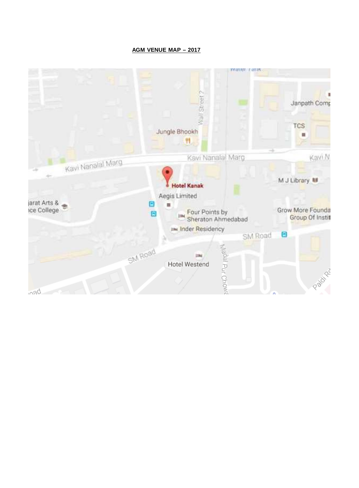## **AGM VENUE MAP – 2017**

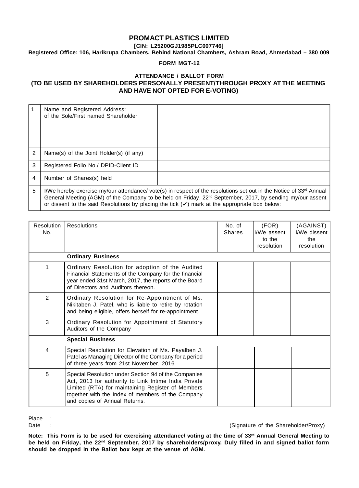**[CIN: L25200GJ1985PLC007746]**

**Registered Office: 106, Harikrupa Chambers, Behind National Chambers, Ashram Road, Ahmedabad – 380 009**

#### **FORM MGT-12**

## **ATTENDANCE / BALLOT FORM**

## **(TO BE USED BY SHAREHOLDERS PERSONALLY PRESENT/THROUGH PROXY AT THE MEETING AND HAVE NOT OPTED FOR E-VOTING)**

| $\vert$ 1 | Name and Registered Address:<br>of the Sole/First named Shareholder |                                                                                                                                                                                                                                                                                                                                                            |
|-----------|---------------------------------------------------------------------|------------------------------------------------------------------------------------------------------------------------------------------------------------------------------------------------------------------------------------------------------------------------------------------------------------------------------------------------------------|
| 2         | Name(s) of the Joint Holder(s) (if any)                             |                                                                                                                                                                                                                                                                                                                                                            |
| 3         | Registered Folio No./ DPID-Client ID                                |                                                                                                                                                                                                                                                                                                                                                            |
| 4         | Number of Shares(s) held                                            |                                                                                                                                                                                                                                                                                                                                                            |
| 5         |                                                                     | I/We hereby exercise my/our attendance/ vote(s) in respect of the resolutions set out in the Notice of 33 <sup>rd</sup> Annual<br>General Meeting (AGM) of the Company to be held on Friday, 22 <sup>nd</sup> September, 2017, by sending my/our assent<br>or dissent to the said Resolutions by placing the tick $(v)$ mark at the appropriate box below: |

| Resolution<br>No. | Resolutions                                                                                                                                                                                                                                             | No. of<br><b>Shares</b> | (FOR)<br>I/We assent<br>to the<br>resolution | (AGAINST)<br>I/We dissent<br>the<br>resolution |
|-------------------|---------------------------------------------------------------------------------------------------------------------------------------------------------------------------------------------------------------------------------------------------------|-------------------------|----------------------------------------------|------------------------------------------------|
|                   | <b>Ordinary Business</b>                                                                                                                                                                                                                                |                         |                                              |                                                |
| 1                 | Ordinary Resolution for adoption of the Audited<br>Financial Statements of the Company for the financial<br>year ended 31st March, 2017, the reports of the Board<br>of Directors and Auditors thereon.                                                 |                         |                                              |                                                |
| $\mathfrak{p}$    | Ordinary Resolution for Re-Appointment of Ms.<br>Nikitaben J. Patel, who is liable to retire by rotation<br>and being eligible, offers herself for re-appointment.                                                                                      |                         |                                              |                                                |
| 3                 | Ordinary Resolution for Appointment of Statutory<br>Auditors of the Company                                                                                                                                                                             |                         |                                              |                                                |
|                   | <b>Special Business</b>                                                                                                                                                                                                                                 |                         |                                              |                                                |
| 4                 | Special Resolution for Elevation of Ms. Payalben J.<br>Patel as Managing Director of the Company for a period<br>of three years from 21st November, 2016                                                                                                |                         |                                              |                                                |
| 5                 | Special Resolution under Section 94 of the Companies<br>Act, 2013 for authority to Link Intime India Private<br>Limited (RTA) for maintaining Register of Members<br>together with the Index of members of the Company<br>and copies of Annual Returns. |                         |                                              |                                                |

Place :

Date : (Signature of the Shareholder/Proxy)

**Not rd e: This Form is to be used for exercising attendance/ voting at the time of 33 Annual General Meeting to nd be held on Friday, the 22 September, 2017 by shareholders/proxy. Duly filled in and signed ballot form should be dropped in the Ballot box kept at the venue of AGM.**